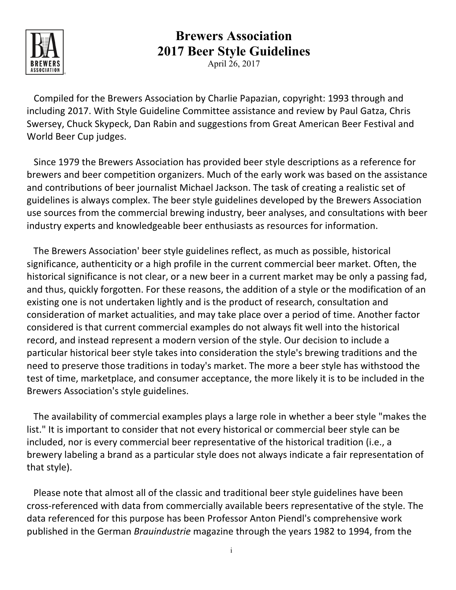

#### **Brewers Association 2017 Beer Style Guidelines**

April 26, 2017

Compiled for the Brewers Association by Charlie Papazian, copyright: 1993 through and including 2017. With Style Guideline Committee assistance and review by Paul Gatza, Chris Swersey, Chuck Skypeck, Dan Rabin and suggestions from Great American Beer Festival and World Beer Cup judges.

Since 1979 the Brewers Association has provided beer style descriptions as a reference for brewers and beer competition organizers. Much of the early work was based on the assistance and contributions of beer journalist Michael Jackson. The task of creating a realistic set of guidelines is always complex. The beer style guidelines developed by the Brewers Association use sources from the commercial brewing industry, beer analyses, and consultations with beer industry experts and knowledgeable beer enthusiasts as resources for information.

The Brewers Association' beer style guidelines reflect, as much as possible, historical significance, authenticity or a high profile in the current commercial beer market. Often, the historical significance is not clear, or a new beer in a current market may be only a passing fad, and thus, quickly forgotten. For these reasons, the addition of a style or the modification of an existing one is not undertaken lightly and is the product of research, consultation and consideration of market actualities, and may take place over a period of time. Another factor considered is that current commercial examples do not always fit well into the historical record, and instead represent a modern version of the style. Our decision to include a particular historical beer style takes into consideration the style's brewing traditions and the need to preserve those traditions in today's market. The more a beer style has withstood the test of time, marketplace, and consumer acceptance, the more likely it is to be included in the Brewers Association's style guidelines.

The availability of commercial examples plays a large role in whether a beer style "makes the list." It is important to consider that not every historical or commercial beer style can be included, nor is every commercial beer representative of the historical tradition (i.e., a brewery labeling a brand as a particular style does not always indicate a fair representation of that style).

Please note that almost all of the classic and traditional beer style guidelines have been cross-referenced with data from commercially available beers representative of the style. The data referenced for this purpose has been Professor Anton Piendl's comprehensive work published in the German *Brauindustrie* magazine through the years 1982 to 1994, from the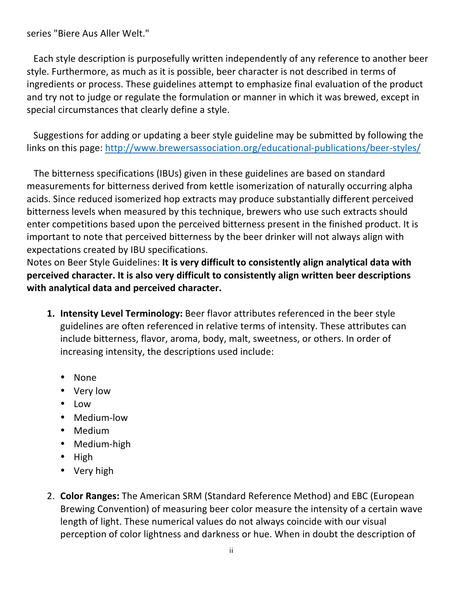series "Biere Aus Aller Welt."

Each style description is purposefully written independently of any reference to another beer style. Furthermore, as much as it is possible, beer character is not described in terms of ingredients or process. These guidelines attempt to emphasize final evaluation of the product and try not to judge or regulate the formulation or manner in which it was brewed, except in special circumstances that clearly define a style.

Suggestions for adding or updating a beer style guideline may be submitted by following the links on this page: http://www.brewersassociation.org/educational-publications/beer-styles/

The bitterness specifications (IBUs) given in these guidelines are based on standard measurements for bitterness derived from kettle isomerization of naturally occurring alpha acids. Since reduced isomerized hop extracts may produce substantially different perceived bitterness levels when measured by this technique, brewers who use such extracts should enter competitions based upon the perceived bitterness present in the finished product. It is important to note that perceived bitterness by the beer drinker will not always align with expectations created by IBU specifications.

Notes on Beer Style Guidelines: It is very difficult to consistently align analytical data with perceived character. It is also very difficult to consistently align written beer descriptions with analytical data and perceived character.

- **1. Intensity Level Terminology:** Beer flavor attributes referenced in the beer style guidelines are often referenced in relative terms of intensity. These attributes can include bitterness, flavor, aroma, body, malt, sweetness, or others. In order of increasing intensity, the descriptions used include:
	- None
	- Very low
	- Low
	- Medium-low
	- Medium
	- Medium-high
	- High
	- Very high
- 2. **Color Ranges:** The American SRM (Standard Reference Method) and EBC (European Brewing Convention) of measuring beer color measure the intensity of a certain wave length of light. These numerical values do not always coincide with our visual perception of color lightness and darkness or hue. When in doubt the description of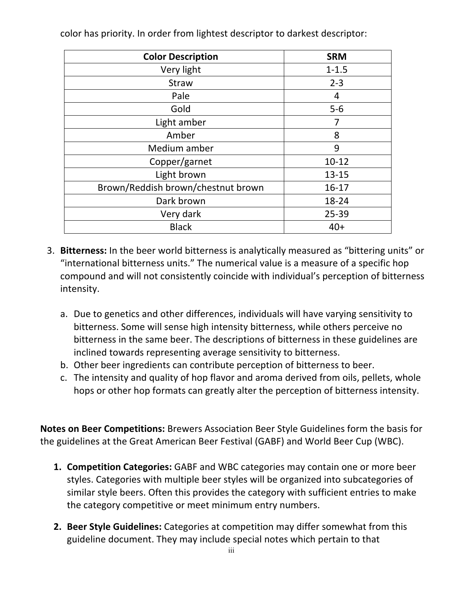| <b>Color Description</b>           | <b>SRM</b> |
|------------------------------------|------------|
| Very light                         | $1 - 1.5$  |
| <b>Straw</b>                       | $2 - 3$    |
| Pale                               | 4          |
| Gold                               | $5-6$      |
| Light amber                        |            |
| Amber                              | 8          |
| Medium amber                       | 9          |
| Copper/garnet                      | $10-12$    |
| Light brown                        | $13 - 15$  |
| Brown/Reddish brown/chestnut brown | $16-17$    |
| Dark brown                         | 18-24      |
| Very dark                          | 25-39      |
| <b>Black</b>                       | $40+$      |

color has priority. In order from lightest descriptor to darkest descriptor:

- 3. **Bitterness:** In the beer world bitterness is analytically measured as "bittering units" or "international bitterness units." The numerical value is a measure of a specific hop compound and will not consistently coincide with individual's perception of bitterness intensity.
	- a. Due to genetics and other differences, individuals will have varying sensitivity to bitterness. Some will sense high intensity bitterness, while others perceive no bitterness in the same beer. The descriptions of bitterness in these guidelines are inclined towards representing average sensitivity to bitterness.
	- b. Other beer ingredients can contribute perception of bitterness to beer.
	- c. The intensity and quality of hop flavor and aroma derived from oils, pellets, whole hops or other hop formats can greatly alter the perception of bitterness intensity.

**Notes on Beer Competitions:** Brewers Association Beer Style Guidelines form the basis for the guidelines at the Great American Beer Festival (GABF) and World Beer Cup (WBC).

- **1. Competition Categories:** GABF and WBC categories may contain one or more beer styles. Categories with multiple beer styles will be organized into subcategories of similar style beers. Often this provides the category with sufficient entries to make the category competitive or meet minimum entry numbers.
- **2. Beer Style Guidelines:** Categories at competition may differ somewhat from this guideline document. They may include special notes which pertain to that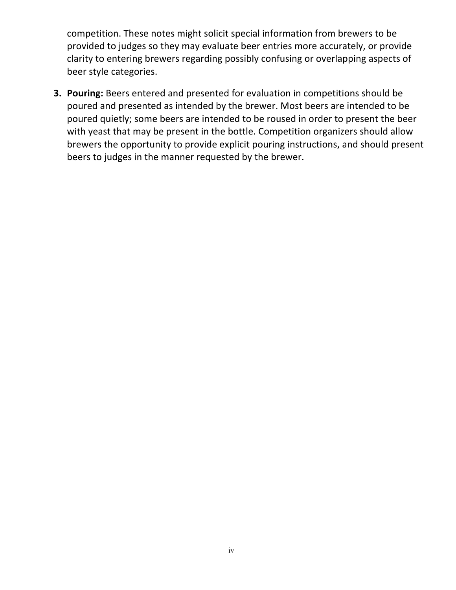competition. These notes might solicit special information from brewers to be provided to judges so they may evaluate beer entries more accurately, or provide clarity to entering brewers regarding possibly confusing or overlapping aspects of beer style categories.

**3. Pouring:** Beers entered and presented for evaluation in competitions should be poured and presented as intended by the brewer. Most beers are intended to be poured quietly; some beers are intended to be roused in order to present the beer with yeast that may be present in the bottle. Competition organizers should allow brewers the opportunity to provide explicit pouring instructions, and should present beers to judges in the manner requested by the brewer.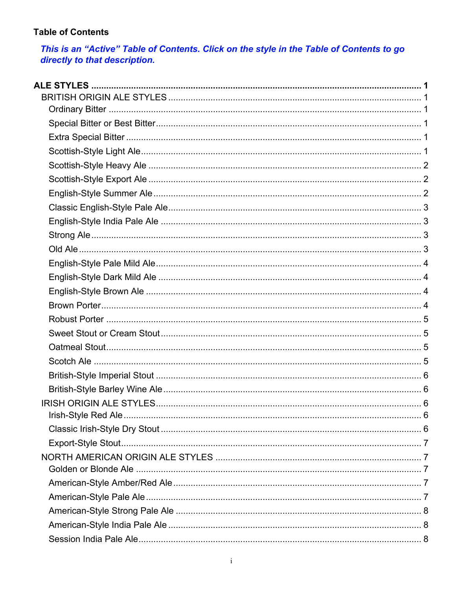#### **Table of Contents**

This is an "Active" Table of Contents. Click on the style in the Table of Contents to go directly to that description.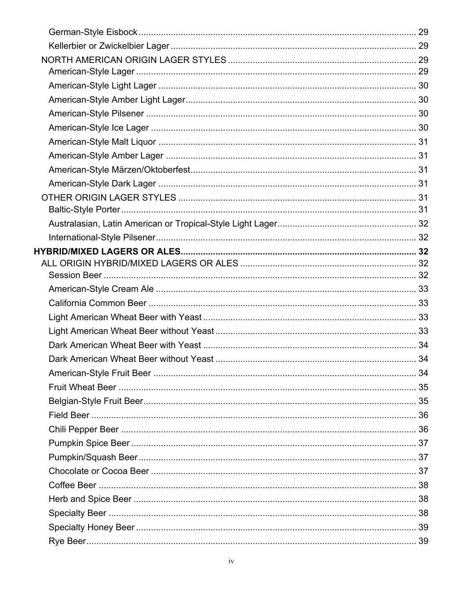| Dark American Wheat Beer without Yeast.<br>34 |  |
|-----------------------------------------------|--|
|                                               |  |
|                                               |  |
|                                               |  |
|                                               |  |
|                                               |  |
|                                               |  |
|                                               |  |
|                                               |  |
|                                               |  |
|                                               |  |
|                                               |  |
|                                               |  |
|                                               |  |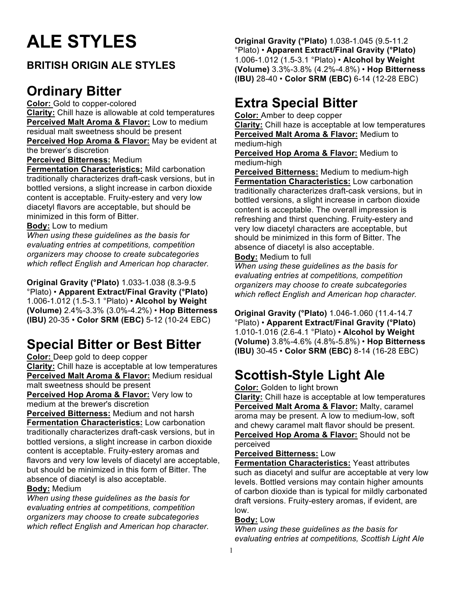# **ALE STYLES**

#### **BRITISH ORIGIN ALE STYLES**

# **Ordinary Bitter**

**Color:** Gold to copper-colored **Clarity:** Chill haze is allowable at cold temperatures **Perceived Malt Aroma & Flavor:** Low to medium residual malt sweetness should be present **Perceived Hop Aroma & Flavor:** May be evident at the brewer's discretion

**Perceived Bitterness:** Medium

**Fermentation Characteristics:** Mild carbonation traditionally characterizes draft-cask versions, but in bottled versions, a slight increase in carbon dioxide content is acceptable. Fruity-estery and very low diacetyl flavors are acceptable, but should be minimized in this form of Bitter.

**Body:** Low to medium

*When using these guidelines as the basis for evaluating entries at competitions, competition organizers may choose to create subcategories which reflect English and American hop character.*

**Original Gravity (°Plato)** 1.033-1.038 (8.3-9.5 °Plato) • **Apparent Extract/Final Gravity (°Plato)** 1.006-1.012 (1.5-3.1 °Plato) • **Alcohol by Weight (Volume)** 2.4%-3.3% (3.0%-4.2%) • **Hop Bitterness (IBU)** 20-35 • **Color SRM (EBC)** 5-12 (10-24 EBC)

# **Special Bitter or Best Bitter**

**Color:** Deep gold to deep copper

**Clarity:** Chill haze is acceptable at low temperatures **Perceived Malt Aroma & Flavor:** Medium residual malt sweetness should be present **Perceived Hop Aroma & Flavor:** Very low to medium at the brewer's discretion

**Perceived Bitterness:** Medium and not harsh **Fermentation Characteristics:** Low carbonation traditionally characterizes draft-cask versions, but in bottled versions, a slight increase in carbon dioxide content is acceptable. Fruity-estery aromas and flavors and very low levels of diacetyl are acceptable, but should be minimized in this form of Bitter. The absence of diacetyl is also acceptable.

#### **Body:** Medium

*When using these guidelines as the basis for evaluating entries at competitions, competition organizers may choose to create subcategories which reflect English and American hop character.*

**Original Gravity (°Plato)** 1.038-1.045 (9.5-11.2 °Plato) • **Apparent Extract/Final Gravity (°Plato)** 1.006-1.012 (1.5-3.1 °Plato) • **Alcohol by Weight (Volume)** 3.3%-3.8% (4.2%-4.8%) • **Hop Bitterness (IBU)** 28-40 • **Color SRM (EBC)** 6-14 (12-28 EBC)

# **Extra Special Bitter**

**Color:** Amber to deep copper **Clarity:** Chill haze is acceptable at low temperatures **Perceived Malt Aroma & Flavor:** Medium to medium-high

**Perceived Hop Aroma & Flavor:** Medium to medium-high

**Perceived Bitterness:** Medium to medium-high **Fermentation Characteristics:** Low carbonation traditionally characterizes draft-cask versions, but in bottled versions, a slight increase in carbon dioxide content is acceptable. The overall impression is refreshing and thirst quenching. Fruity-estery and very low diacetyl characters are acceptable, but should be minimized in this form of Bitter. The absence of diacetyl is also acceptable.

**Body:** Medium to full

*When using these guidelines as the basis for evaluating entries at competitions, competition organizers may choose to create subcategories which reflect English and American hop character.*

**Original Gravity (°Plato)** 1.046-1.060 (11.4-14.7 °Plato) • **Apparent Extract/Final Gravity (°Plato)** 1.010-1.016 (2.6-4.1 °Plato) • **Alcohol by Weight (Volume)** 3.8%-4.6% (4.8%-5.8%) • **Hop Bitterness (IBU)** 30-45 • **Color SRM (EBC)** 8-14 (16-28 EBC)

# **Scottish-Style Light Ale**

**Color:** Golden to light brown

**Clarity:** Chill haze is acceptable at low temperatures **Perceived Malt Aroma & Flavor:** Malty, caramel aroma may be present. A low to medium-low, soft and chewy caramel malt flavor should be present. **Perceived Hop Aroma & Flavor:** Should not be perceived

#### **Perceived Bitterness:** Low

**Fermentation Characteristics:** Yeast attributes such as diacetyl and sulfur are acceptable at very low levels. Bottled versions may contain higher amounts of carbon dioxide than is typical for mildly carbonated draft versions. Fruity-estery aromas, if evident, are low.

#### **Body:** Low

*When using these guidelines as the basis for evaluating entries at competitions, Scottish Light Ale*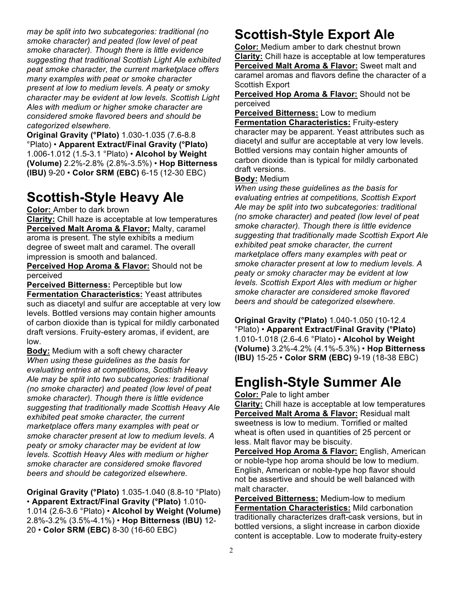*may be split into two subcategories: traditional (no smoke character) and peated (low level of peat smoke character). Though there is little evidence suggesting that traditional Scottish Light Ale exhibited peat smoke character, the current marketplace offers many examples with peat or smoke character present at low to medium levels. A peaty or smoky character may be evident at low levels. Scottish Light Ales with medium or higher smoke character are considered smoke flavored beers and should be categorized elsewhere.*

**Original Gravity (°Plato)** 1.030-1.035 (7.6-8.8 °Plato) • **Apparent Extract/Final Gravity (°Plato)** 1.006-1.012 (1.5-3.1 °Plato) • **Alcohol by Weight (Volume)** 2.2%-2.8% (2.8%-3.5%) • **Hop Bitterness (IBU)** 9-20 • **Color SRM (EBC)** 6-15 (12-30 EBC)

# **Scottish-Style Heavy Ale**

**Color:** Amber to dark brown

**Clarity:** Chill haze is acceptable at low temperatures **Perceived Malt Aroma & Flavor:** Malty, caramel aroma is present. The style exhibits a medium degree of sweet malt and caramel. The overall impression is smooth and balanced.

**Perceived Hop Aroma & Flavor:** Should not be perceived

**Perceived Bitterness:** Perceptible but low **Fermentation Characteristics:** Yeast attributes such as diacetyl and sulfur are acceptable at very low levels. Bottled versions may contain higher amounts of carbon dioxide than is typical for mildly carbonated draft versions. Fruity-estery aromas, if evident, are low.

**Body:** Medium with a soft chewy character *When using these guidelines as the basis for evaluating entries at competitions, Scottish Heavy Ale may be split into two subcategories: traditional (no smoke character) and peated (low level of peat smoke character). Though there is little evidence suggesting that traditionally made Scottish Heavy Ale exhibited peat smoke character, the current marketplace offers many examples with peat or smoke character present at low to medium levels. A peaty or smoky character may be evident at low levels. Scottish Heavy Ales with medium or higher smoke character are considered smoke flavored beers and should be categorized elsewhere.*

**Original Gravity (°Plato)** 1.035-1.040 (8.8-10 °Plato) • **Apparent Extract/Final Gravity (°Plato)** 1.010- 1.014 (2.6-3.6 °Plato) • **Alcohol by Weight (Volume)** 2.8%-3.2% (3.5%-4.1%) • **Hop Bitterness (IBU)** 12- 20 • **Color SRM (EBC)** 8-30 (16-60 EBC)

# **Scottish-Style Export Ale**

**Color:** Medium amber to dark chestnut brown **Clarity:** Chill haze is acceptable at low temperatures **Perceived Malt Aroma & Flavor:** Sweet malt and caramel aromas and flavors define the character of a Scottish Export

**Perceived Hop Aroma & Flavor:** Should not be perceived

**Perceived Bitterness:** Low to medium **Fermentation Characteristics:** Fruity-estery character may be apparent. Yeast attributes such as diacetyl and sulfur are acceptable at very low levels. Bottled versions may contain higher amounts of carbon dioxide than is typical for mildly carbonated draft versions.

#### **Body:** Medium

*When using these guidelines as the basis for evaluating entries at competitions, Scottish Export Ale may be split into two subcategories: traditional (no smoke character) and peated (low level of peat smoke character). Though there is little evidence suggesting that traditionally made Scottish Export Ale exhibited peat smoke character, the current marketplace offers many examples with peat or smoke character present at low to medium levels. A peaty or smoky character may be evident at low levels. Scottish Export Ales with medium or higher smoke character are considered smoke flavored beers and should be categorized elsewhere.*

**Original Gravity (°Plato)** 1.040-1.050 (10-12.4 °Plato) • **Apparent Extract/Final Gravity (°Plato)** 1.010-1.018 (2.6-4.6 °Plato) • **Alcohol by Weight (Volume)** 3.2%-4.2% (4.1%-5.3%) • **Hop Bitterness (IBU)** 15-25 • **Color SRM (EBC)** 9-19 (18-38 EBC)

# **English-Style Summer Ale**

**Color:** Pale to light amber

**Clarity:** Chill haze is acceptable at low temperatures **Perceived Malt Aroma & Flavor:** Residual malt sweetness is low to medium. Torrified or malted wheat is often used in quantities of 25 percent or less. Malt flavor may be biscuity.

**Perceived Hop Aroma & Flavor:** English, American or noble-type hop aroma should be low to medium. English, American or noble-type hop flavor should not be assertive and should be well balanced with malt character.

**Perceived Bitterness:** Medium-low to medium **Fermentation Characteristics:** Mild carbonation traditionally characterizes draft-cask versions, but in bottled versions, a slight increase in carbon dioxide content is acceptable. Low to moderate fruity-estery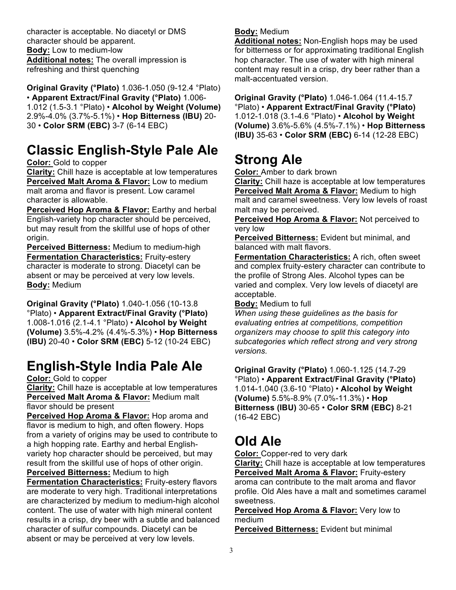character is acceptable. No diacetyl or DMS character should be apparent. **Body:** Low to medium-low **Additional notes:** The overall impression is refreshing and thirst quenching

**Original Gravity (°Plato)** 1.036-1.050 (9-12.4 °Plato) • **Apparent Extract/Final Gravity (°Plato)** 1.006- 1.012 (1.5-3.1 °Plato) • **Alcohol by Weight (Volume)** 2.9%-4.0% (3.7%-5.1%) • **Hop Bitterness (IBU)** 20- 30 • **Color SRM (EBC)** 3-7 (6-14 EBC)

# **Classic English-Style Pale Ale**

**Color:** Gold to copper

**Clarity:** Chill haze is acceptable at low temperatures **Perceived Malt Aroma & Flavor:** Low to medium malt aroma and flavor is present. Low caramel character is allowable.

**Perceived Hop Aroma & Flavor:** Earthy and herbal English-variety hop character should be perceived, but may result from the skillful use of hops of other origin.

**Perceived Bitterness:** Medium to medium-high **Fermentation Characteristics:** Fruity-estery character is moderate to strong. Diacetyl can be absent or may be perceived at very low levels. **Body:** Medium

**Original Gravity (°Plato)** 1.040-1.056 (10-13.8 °Plato) • **Apparent Extract/Final Gravity (°Plato)** 1.008-1.016 (2.1-4.1 °Plato) • **Alcohol by Weight (Volume)** 3.5%-4.2% (4.4%-5.3%) • **Hop Bitterness (IBU)** 20-40 • **Color SRM (EBC)** 5-12 (10-24 EBC)

# **English-Style India Pale Ale**

**Color:** Gold to copper

**Clarity:** Chill haze is acceptable at low temperatures **Perceived Malt Aroma & Flavor:** Medium malt flavor should be present

**Perceived Hop Aroma & Flavor:** Hop aroma and flavor is medium to high, and often flowery. Hops from a variety of origins may be used to contribute to a high hopping rate. Earthy and herbal Englishvariety hop character should be perceived, but may result from the skillful use of hops of other origin.

**Perceived Bitterness:** Medium to high

**Fermentation Characteristics:** Fruity-estery flavors are moderate to very high. Traditional interpretations are characterized by medium to medium-high alcohol content. The use of water with high mineral content results in a crisp, dry beer with a subtle and balanced character of sulfur compounds. Diacetyl can be absent or may be perceived at very low levels.

#### **Body:** Medium

**Additional notes:** Non-English hops may be used for bitterness or for approximating traditional English hop character. The use of water with high mineral content may result in a crisp, dry beer rather than a malt-accentuated version.

**Original Gravity (°Plato)** 1.046-1.064 (11.4-15.7 °Plato) • **Apparent Extract/Final Gravity (°Plato)** 1.012-1.018 (3.1-4.6 °Plato) • **Alcohol by Weight (Volume)** 3.6%-5.6% (4.5%-7.1%) • **Hop Bitterness (IBU)** 35-63 • **Color SRM (EBC)** 6-14 (12-28 EBC)

# **Strong Ale**

**Color:** Amber to dark brown

**Clarity:** Chill haze is acceptable at low temperatures **Perceived Malt Aroma & Flavor:** Medium to high malt and caramel sweetness. Very low levels of roast malt may be perceived.

**Perceived Hop Aroma & Flavor:** Not perceived to very low

**Perceived Bitterness:** Evident but minimal, and balanced with malt flavors.

**Fermentation Characteristics:** A rich, often sweet and complex fruity-estery character can contribute to the profile of Strong Ales. Alcohol types can be varied and complex. Very low levels of diacetyl are acceptable.

**Body:** Medium to full

*When using these guidelines as the basis for evaluating entries at competitions, competition organizers may choose to split this category into subcategories which reflect strong and very strong versions.*

**Original Gravity (°Plato)** 1.060-1.125 (14.7-29 °Plato) • **Apparent Extract/Final Gravity (°Plato)** 1.014-1.040 (3.6-10 °Plato) • **Alcohol by Weight (Volume)** 5.5%-8.9% (7.0%-11.3%) • **Hop Bitterness (IBU)** 30-65 • **Color SRM (EBC)** 8-21 (16-42 EBC)

# **Old Ale**

**Color:** Copper-red to very dark

**Clarity:** Chill haze is acceptable at low temperatures **Perceived Malt Aroma & Flavor:** Fruity-estery aroma can contribute to the malt aroma and flavor profile. Old Ales have a malt and sometimes caramel sweetness.

**Perceived Hop Aroma & Flavor:** Very low to medium

**Perceived Bitterness:** Evident but minimal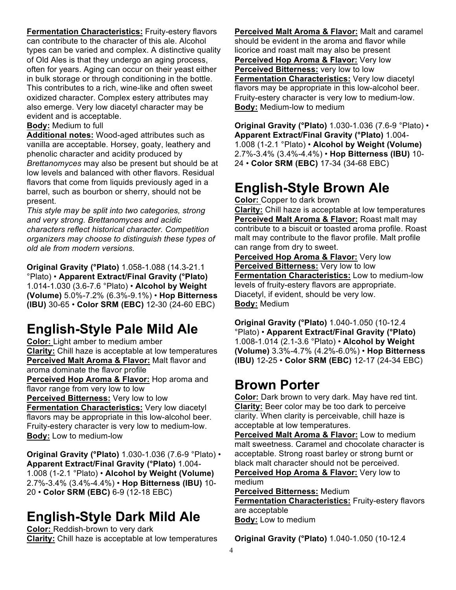**Fermentation Characteristics:** Fruity-estery flavors can contribute to the character of this ale. Alcohol types can be varied and complex. A distinctive quality of Old Ales is that they undergo an aging process, often for years. Aging can occur on their yeast either in bulk storage or through conditioning in the bottle. This contributes to a rich, wine-like and often sweet oxidized character. Complex estery attributes may also emerge. Very low diacetyl character may be evident and is acceptable.

#### **Body:** Medium to full

**Additional notes:** Wood-aged attributes such as vanilla are acceptable. Horsey, goaty, leathery and phenolic character and acidity produced by *Brettanomyces* may also be present but should be at low levels and balanced with other flavors. Residual flavors that come from liquids previously aged in a barrel, such as bourbon or sherry, should not be present.

*This style may be split into two categories, strong and very strong. Brettanomyces and acidic characters reflect historical character. Competition organizers may choose to distinguish these types of old ale from modern versions.*

**Original Gravity (°Plato)** 1.058-1.088 (14.3-21.1 °Plato) • **Apparent Extract/Final Gravity (°Plato)** 1.014-1.030 (3.6-7.6 °Plato) • **Alcohol by Weight (Volume)** 5.0%-7.2% (6.3%-9.1%) • **Hop Bitterness (IBU)** 30-65 • **Color SRM (EBC)** 12-30 (24-60 EBC)

# **English-Style Pale Mild Ale**

**Color:** Light amber to medium amber **Clarity:** Chill haze is acceptable at low temperatures **Perceived Malt Aroma & Flavor:** Malt flavor and aroma dominate the flavor profile **Perceived Hop Aroma & Flavor:** Hop aroma and flavor range from very low to low **Perceived Bitterness:** Very low to low **Fermentation Characteristics:** Very low diacetyl flavors may be appropriate in this low-alcohol beer. Fruity-estery character is very low to medium-low. **Body:** Low to medium-low

**Original Gravity (°Plato)** 1.030-1.036 (7.6-9 °Plato) • **Apparent Extract/Final Gravity (°Plato)** 1.004- 1.008 (1-2.1 °Plato) • **Alcohol by Weight (Volume)** 2.7%-3.4% (3.4%-4.4%) • **Hop Bitterness (IBU)** 10- 20 • **Color SRM (EBC)** 6-9 (12-18 EBC)

# **English-Style Dark Mild Ale**

**Color:** Reddish-brown to very dark **Clarity:** Chill haze is acceptable at low temperatures **Perceived Malt Aroma & Flavor:** Malt and caramel should be evident in the aroma and flavor while licorice and roast malt may also be present **Perceived Hop Aroma & Flavor:** Very low **Perceived Bitterness:** very low to low **Fermentation Characteristics:** Very low diacetyl flavors may be appropriate in this low-alcohol beer. Fruity-estery character is very low to medium-low. **Body:** Medium-low to medium

**Original Gravity (°Plato)** 1.030-1.036 (7.6-9 °Plato) • **Apparent Extract/Final Gravity (°Plato)** 1.004- 1.008 (1-2.1 °Plato) • **Alcohol by Weight (Volume)** 2.7%-3.4% (3.4%-4.4%) • **Hop Bitterness (IBU)** 10- 24 • **Color SRM (EBC)** 17-34 (34-68 EBC)

# **English-Style Brown Ale**

**Color:** Copper to dark brown **Clarity:** Chill haze is acceptable at low temperatures **Perceived Malt Aroma & Flavor:** Roast malt may contribute to a biscuit or toasted aroma profile. Roast malt may contribute to the flavor profile. Malt profile can range from dry to sweet.

**Perceived Hop Aroma & Flavor:** Very low **Perceived Bitterness:** Very low to low **Fermentation Characteristics:** Low to medium-low levels of fruity-estery flavors are appropriate. Diacetyl, if evident, should be very low. **Body:** Medium

**Original Gravity (°Plato)** 1.040-1.050 (10-12.4 °Plato) • **Apparent Extract/Final Gravity (°Plato)** 1.008-1.014 (2.1-3.6 °Plato) • **Alcohol by Weight (Volume)** 3.3%-4.7% (4.2%-6.0%) • **Hop Bitterness (IBU)** 12-25 • **Color SRM (EBC)** 12-17 (24-34 EBC)

#### **Brown Porter**

**Color:** Dark brown to very dark. May have red tint. **Clarity:** Beer color may be too dark to perceive clarity. When clarity is perceivable, chill haze is acceptable at low temperatures.

**Perceived Malt Aroma & Flavor:** Low to medium malt sweetness. Caramel and chocolate character is acceptable. Strong roast barley or strong burnt or black malt character should not be perceived.

**Perceived Hop Aroma & Flavor:** Very low to medium

**Perceived Bitterness:** Medium

**Fermentation Characteristics:** Fruity-estery flavors are acceptable **Body:** Low to medium

**Original Gravity (°Plato)** 1.040-1.050 (10-12.4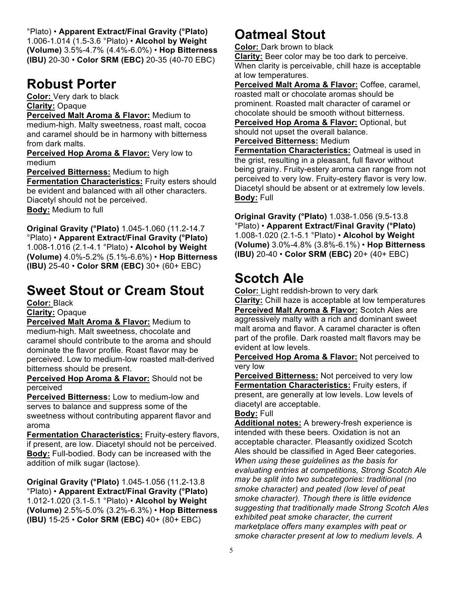°Plato) • **Apparent Extract/Final Gravity (°Plato)** 1.006-1.014 (1.5-3.6 °Plato) • **Alcohol by Weight (Volume)** 3.5%-4.7% (4.4%-6.0%) • **Hop Bitterness (IBU)** 20-30 • **Color SRM (EBC)** 20-35 (40-70 EBC)

# **Robust Porter**

**Color:** Very dark to black **Clarity:** Opaque

**Perceived Malt Aroma & Flavor:** Medium to medium-high. Malty sweetness, roast malt, cocoa and caramel should be in harmony with bitterness from dark malts.

**Perceived Hop Aroma & Flavor:** Very low to medium

**Perceived Bitterness:** Medium to high **Fermentation Characteristics:** Fruity esters should be evident and balanced with all other characters. Diacetyl should not be perceived. **Body:** Medium to full

**Original Gravity (°Plato)** 1.045-1.060 (11.2-14.7 °Plato) • **Apparent Extract/Final Gravity (°Plato)** 1.008-1.016 (2.1-4.1 °Plato) • **Alcohol by Weight (Volume)** 4.0%-5.2% (5.1%-6.6%) • **Hop Bitterness (IBU)** 25-40 • **Color SRM (EBC)** 30+ (60+ EBC)

# **Sweet Stout or Cream Stout**

**Color:** Black

**Clarity:** Opaque

**Perceived Malt Aroma & Flavor:** Medium to medium-high. Malt sweetness, chocolate and caramel should contribute to the aroma and should dominate the flavor profile. Roast flavor may be perceived. Low to medium-low roasted malt-derived bitterness should be present.

**Perceived Hop Aroma & Flavor:** Should not be perceived

**Perceived Bitterness:** Low to medium-low and serves to balance and suppress some of the sweetness without contributing apparent flavor and aroma

**Fermentation Characteristics:** Fruity-estery flavors, if present, are low. Diacetyl should not be perceived. **Body:** Full-bodied. Body can be increased with the addition of milk sugar (lactose).

**Original Gravity (°Plato)** 1.045-1.056 (11.2-13.8 °Plato) • **Apparent Extract/Final Gravity (°Plato)** 1.012-1.020 (3.1-5.1 °Plato) • **Alcohol by Weight (Volume)** 2.5%-5.0% (3.2%-6.3%) • **Hop Bitterness (IBU)** 15-25 • **Color SRM (EBC)** 40+ (80+ EBC)

# **Oatmeal Stout**

**Color:** Dark brown to black

**Clarity:** Beer color may be too dark to perceive. When clarity is perceivable, chill haze is acceptable at low temperatures.

**Perceived Malt Aroma & Flavor:** Coffee, caramel, roasted malt or chocolate aromas should be prominent. Roasted malt character of caramel or chocolate should be smooth without bitterness.

**Perceived Hop Aroma & Flavor:** Optional, but should not upset the overall balance.

**Perceived Bitterness:** Medium

**Fermentation Characteristics:** Oatmeal is used in the grist, resulting in a pleasant, full flavor without being grainy. Fruity-estery aroma can range from not perceived to very low. Fruity-estery flavor is very low. Diacetyl should be absent or at extremely low levels. **Body:** Full

**Original Gravity (°Plato)** 1.038-1.056 (9.5-13.8 °Plato) • **Apparent Extract/Final Gravity (°Plato)** 1.008-1.020 (2.1-5.1 °Plato) • **Alcohol by Weight (Volume)** 3.0%-4.8% (3.8%-6.1%) • **Hop Bitterness (IBU)** 20-40 • **Color SRM (EBC)** 20+ (40+ EBC)

# **Scotch Ale**

**Color:** Light reddish-brown to very dark **Clarity:** Chill haze is acceptable at low temperatures **Perceived Malt Aroma & Flavor:** Scotch Ales are aggressively malty with a rich and dominant sweet malt aroma and flavor. A caramel character is often part of the profile. Dark roasted malt flavors may be evident at low levels.

**Perceived Hop Aroma & Flavor:** Not perceived to very low

**Perceived Bitterness:** Not perceived to very low **Fermentation Characteristics:** Fruity esters, if present, are generally at low levels. Low levels of diacetyl are acceptable.

**Body:** Full

**Additional notes:** A brewery-fresh experience is intended with these beers. Oxidation is not an acceptable character. Pleasantly oxidized Scotch Ales should be classified in Aged Beer categories. *When using these guidelines as the basis for evaluating entries at competitions, Strong Scotch Ale may be split into two subcategories: traditional (no smoke character) and peated (low level of peat smoke character). Though there is little evidence suggesting that traditionally made Strong Scotch Ales exhibited peat smoke character, the current marketplace offers many examples with peat or smoke character present at low to medium levels. A*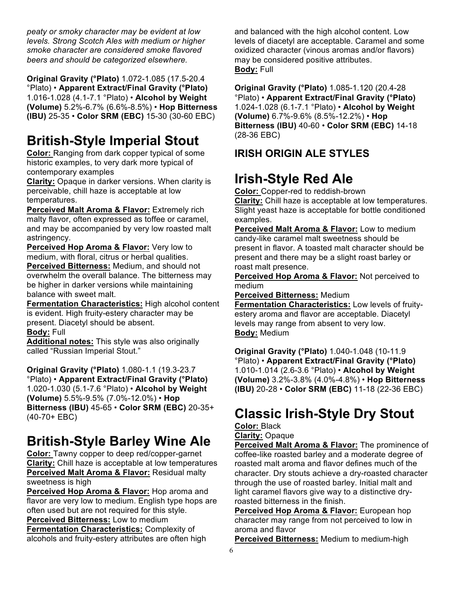*peaty or smoky character may be evident at low levels. Strong Scotch Ales with medium or higher smoke character are considered smoke flavored beers and should be categorized elsewhere.*

**Original Gravity (°Plato)** 1.072-1.085 (17.5-20.4 °Plato) • **Apparent Extract/Final Gravity (°Plato)** 1.016-1.028 (4.1-7.1 °Plato) • **Alcohol by Weight (Volume)** 5.2%-6.7% (6.6%-8.5%) • **Hop Bitterness (IBU)** 25-35 • **Color SRM (EBC)** 15-30 (30-60 EBC)

# **British-Style Imperial Stout**

**Color:** Ranging from dark copper typical of some historic examples, to very dark more typical of contemporary examples

**Clarity:** Opaque in darker versions. When clarity is perceivable, chill haze is acceptable at low temperatures.

**Perceived Malt Aroma & Flavor:** Extremely rich malty flavor, often expressed as toffee or caramel, and may be accompanied by very low roasted malt astringency.

**Perceived Hop Aroma & Flavor:** Very low to medium, with floral, citrus or herbal qualities. **Perceived Bitterness:** Medium, and should not overwhelm the overall balance. The bitterness may be higher in darker versions while maintaining balance with sweet malt.

**Fermentation Characteristics:** High alcohol content is evident. High fruity-estery character may be present. Diacetyl should be absent.

**Body:** Full

**Additional notes:** This style was also originally called "Russian Imperial Stout."

**Original Gravity (°Plato)** 1.080-1.1 (19.3-23.7 °Plato) • **Apparent Extract/Final Gravity (°Plato)** 1.020-1.030 (5.1-7.6 °Plato) • **Alcohol by Weight (Volume)** 5.5%-9.5% (7.0%-12.0%) • **Hop Bitterness (IBU)** 45-65 • **Color SRM (EBC)** 20-35+ (40-70+ EBC)

# **British-Style Barley Wine Ale**

**Color:** Tawny copper to deep red/copper-garnet **Clarity:** Chill haze is acceptable at low temperatures **Perceived Malt Aroma & Flavor:** Residual malty sweetness is high

**Perceived Hop Aroma & Flavor:** Hop aroma and flavor are very low to medium. English type hops are often used but are not required for this style.

**Perceived Bitterness:** Low to medium **Fermentation Characteristics:** Complexity of alcohols and fruity-estery attributes are often high and balanced with the high alcohol content. Low levels of diacetyl are acceptable. Caramel and some oxidized character (vinous aromas and/or flavors) may be considered positive attributes. **Body:** Full

**Original Gravity (°Plato)** 1.085-1.120 (20.4-28 °Plato) • **Apparent Extract/Final Gravity (°Plato)** 1.024-1.028 (6.1-7.1 °Plato) • **Alcohol by Weight (Volume)** 6.7%-9.6% (8.5%-12.2%) • **Hop Bitterness (IBU)** 40-60 • **Color SRM (EBC)** 14-18 (28-36 EBC)

#### **IRISH ORIGIN ALE STYLES**

# **Irish-Style Red Ale**

**Color:** Copper-red to reddish-brown **Clarity:** Chill haze is acceptable at low temperatures. Slight yeast haze is acceptable for bottle conditioned examples.

**Perceived Malt Aroma & Flavor:** Low to medium candy-like caramel malt sweetness should be present in flavor. A toasted malt character should be present and there may be a slight roast barley or roast malt presence.

**Perceived Hop Aroma & Flavor:** Not perceived to medium

**Perceived Bitterness:** Medium

**Fermentation Characteristics:** Low levels of fruityestery aroma and flavor are acceptable. Diacetyl levels may range from absent to very low. **Body:** Medium

**Original Gravity (°Plato)** 1.040-1.048 (10-11.9 °Plato) • **Apparent Extract/Final Gravity (°Plato)** 1.010-1.014 (2.6-3.6 °Plato) • **Alcohol by Weight (Volume)** 3.2%-3.8% (4.0%-4.8%) • **Hop Bitterness (IBU)** 20-28 • **Color SRM (EBC)** 11-18 (22-36 EBC)

# **Classic Irish-Style Dry Stout**

**Color:** Black

**Clarity:** Opaque

**Perceived Malt Aroma & Flavor:** The prominence of coffee-like roasted barley and a moderate degree of roasted malt aroma and flavor defines much of the character. Dry stouts achieve a dry-roasted character through the use of roasted barley. Initial malt and light caramel flavors give way to a distinctive dryroasted bitterness in the finish.

**Perceived Hop Aroma & Flavor:** European hop character may range from not perceived to low in aroma and flavor

**Perceived Bitterness:** Medium to medium-high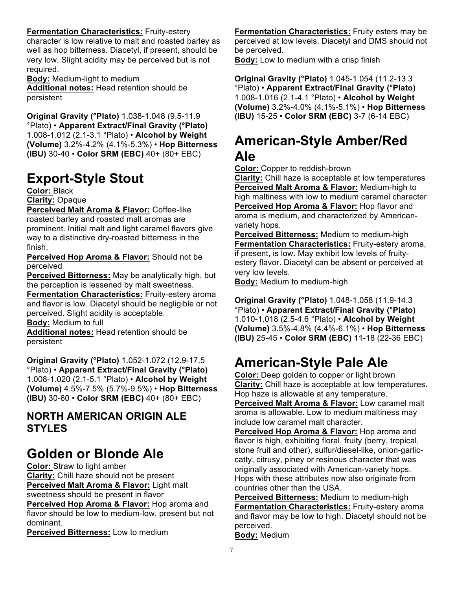**Fermentation Characteristics:** Fruity-estery character is low relative to malt and roasted barley as well as hop bitterness. Diacetyl, if present, should be very low. Slight acidity may be perceived but is not required.

**Body:** Medium-light to medium **Additional notes:** Head retention should be persistent

**Original Gravity (°Plato)** 1.038-1.048 (9.5-11.9 °Plato) • **Apparent Extract/Final Gravity (°Plato)** 1.008-1.012 (2.1-3.1 °Plato) • **Alcohol by Weight (Volume)** 3.2%-4.2% (4.1%-5.3%) • **Hop Bitterness (IBU)** 30-40 • **Color SRM (EBC)** 40+ (80+ EBC)

# **Export-Style Stout**

**Color:** Black **Clarity:** Opaque

**Perceived Malt Aroma & Flavor:** Coffee-like roasted barley and roasted malt aromas are prominent. Initial malt and light caramel flavors give way to a distinctive dry-roasted bitterness in the finish.

**Perceived Hop Aroma & Flavor:** Should not be perceived

**Perceived Bitterness:** May be analytically high, but the perception is lessened by malt sweetness.

**Fermentation Characteristics:** Fruity-estery aroma and flavor is low. Diacetyl should be negligible or not perceived. Slight acidity is acceptable.

**Body:** Medium to full

**Additional notes:** Head retention should be persistent

**Original Gravity (°Plato)** 1.052-1.072 (12.9-17.5 °Plato) • **Apparent Extract/Final Gravity (°Plato)** 1.008-1.020 (2.1-5.1 °Plato) • **Alcohol by Weight (Volume)** 4.5%-7.5% (5.7%-9.5%) • **Hop Bitterness (IBU)** 30-60 • **Color SRM (EBC)** 40+ (80+ EBC)

#### **NORTH AMERICAN ORIGIN ALE STYLES**

# **Golden or Blonde Ale**

**Color:** Straw to light amber **Clarity:** Chill haze should not be present **Perceived Malt Aroma & Flavor:** Light malt sweetness should be present in flavor **Perceived Hop Aroma & Flavor:** Hop aroma and flavor should be low to medium-low, present but not dominant.

**Perceived Bitterness:** Low to medium

**Fermentation Characteristics:** Fruity esters may be perceived at low levels. Diacetyl and DMS should not be perceived.

**Body:** Low to medium with a crisp finish

**Original Gravity (°Plato)** 1.045-1.054 (11.2-13.3 °Plato) • **Apparent Extract/Final Gravity (°Plato)** 1.008-1.016 (2.1-4.1 °Plato) • **Alcohol by Weight (Volume)** 3.2%-4.0% (4.1%-5.1%) • **Hop Bitterness (IBU)** 15-25 • **Color SRM (EBC)** 3-7 (6-14 EBC)

#### **American-Style Amber/Red Ale**

**Color:** Copper to reddish-brown

**Clarity:** Chill haze is acceptable at low temperatures **Perceived Malt Aroma & Flavor:** Medium-high to high maltiness with low to medium caramel character **Perceived Hop Aroma & Flavor:** Hop flavor and aroma is medium, and characterized by Americanvariety hops.

**Perceived Bitterness:** Medium to medium-high **Fermentation Characteristics:** Fruity-estery aroma, if present, is low. May exhibit low levels of fruityestery flavor. Diacetyl can be absent or perceived at very low levels.

**Body:** Medium to medium-high

**Original Gravity (°Plato)** 1.048-1.058 (11.9-14.3 °Plato) • **Apparent Extract/Final Gravity (°Plato)** 1.010-1.018 (2.5-4.6 °Plato) • **Alcohol by Weight (Volume)** 3.5%-4.8% (4.4%-6.1%) • **Hop Bitterness (IBU)** 25-45 • **Color SRM (EBC)** 11-18 (22-36 EBC)

# **American-Style Pale Ale**

**Color:** Deep golden to copper or light brown **Clarity:** Chill haze is acceptable at low temperatures. Hop haze is allowable at any temperature.

**Perceived Malt Aroma & Flavor:** Low caramel malt aroma is allowable. Low to medium maltiness may include low caramel malt character.

**Perceived Hop Aroma & Flavor:** Hop aroma and flavor is high, exhibiting floral, fruity (berry, tropical, stone fruit and other), sulfur/diesel-like, onion-garliccatty, citrusy, piney or resinous character that was originally associated with American-variety hops. Hops with these attributes now also originate from countries other than the USA.

**Perceived Bitterness:** Medium to medium-high **Fermentation Characteristics:** Fruity-estery aroma and flavor may be low to high. Diacetyl should not be perceived. **Body:** Medium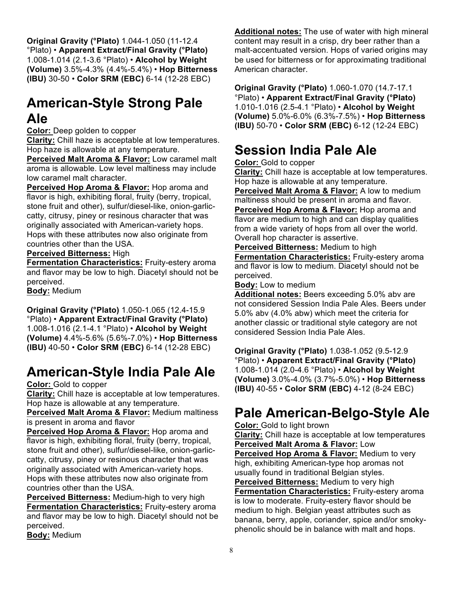**Original Gravity (°Plato)** 1.044-1.050 (11-12.4 °Plato) • **Apparent Extract/Final Gravity (°Plato)** 1.008-1.014 (2.1-3.6 °Plato) • **Alcohol by Weight (Volume)** 3.5%-4.3% (4.4%-5.4%) • **Hop Bitterness (IBU)** 30-50 • **Color SRM (EBC)** 6-14 (12-28 EBC)

#### **American-Style Strong Pale Ale**

**Color:** Deep golden to copper

**Clarity:** Chill haze is acceptable at low temperatures. Hop haze is allowable at any temperature.

**Perceived Malt Aroma & Flavor:** Low caramel malt aroma is allowable. Low level maltiness may include low caramel malt character.

**Perceived Hop Aroma & Flavor:** Hop aroma and flavor is high, exhibiting floral, fruity (berry, tropical, stone fruit and other), sulfur/diesel-like, onion-garliccatty, citrusy, piney or resinous character that was originally associated with American-variety hops. Hops with these attributes now also originate from countries other than the USA.

#### **Perceived Bitterness:** High

**Fermentation Characteristics:** Fruity-estery aroma and flavor may be low to high. Diacetyl should not be perceived.

**Body:** Medium

**Original Gravity (°Plato)** 1.050-1.065 (12.4-15.9 °Plato) • **Apparent Extract/Final Gravity (°Plato)** 1.008-1.016 (2.1-4.1 °Plato) • **Alcohol by Weight (Volume)** 4.4%-5.6% (5.6%-7.0%) • **Hop Bitterness (IBU)** 40-50 • **Color SRM (EBC)** 6-14 (12-28 EBC)

#### **American-Style India Pale Ale**

**Color:** Gold to copper

**Clarity:** Chill haze is acceptable at low temperatures. Hop haze is allowable at any temperature.

**Perceived Malt Aroma & Flavor:** Medium maltiness is present in aroma and flavor

**Perceived Hop Aroma & Flavor:** Hop aroma and flavor is high, exhibiting floral, fruity (berry, tropical, stone fruit and other), sulfur/diesel-like, onion-garliccatty, citrusy, piney or resinous character that was originally associated with American-variety hops. Hops with these attributes now also originate from countries other than the USA.

**Perceived Bitterness:** Medium-high to very high **Fermentation Characteristics:** Fruity-estery aroma and flavor may be low to high. Diacetyl should not be perceived.

**Body:** Medium

**Additional notes:** The use of water with high mineral content may result in a crisp, dry beer rather than a malt-accentuated version. Hops of varied origins may be used for bitterness or for approximating traditional American character.

**Original Gravity (°Plato)** 1.060-1.070 (14.7-17.1 °Plato) • **Apparent Extract/Final Gravity (°Plato)** 1.010-1.016 (2.5-4.1 °Plato) • **Alcohol by Weight (Volume)** 5.0%-6.0% (6.3%-7.5%) • **Hop Bitterness (IBU)** 50-70 • **Color SRM (EBC)** 6-12 (12-24 EBC)

### **Session India Pale Ale**

**Color:** Gold to copper

**Clarity:** Chill haze is acceptable at low temperatures. Hop haze is allowable at any temperature.

**Perceived Malt Aroma & Flavor:** A low to medium maltiness should be present in aroma and flavor. **Perceived Hop Aroma & Flavor:** Hop aroma and flavor are medium to high and can display qualities from a wide variety of hops from all over the world.

Overall hop character is assertive.

**Perceived Bitterness:** Medium to high **Fermentation Characteristics:** Fruity-estery aroma and flavor is low to medium. Diacetyl should not be perceived.

**Body:** Low to medium

**Additional notes:** Beers exceeding 5.0% abv are not considered Session India Pale Ales. Beers under 5.0% abv (4.0% abw) which meet the criteria for another classic or traditional style category are not considered Session India Pale Ales.

**Original Gravity (°Plato)** 1.038-1.052 (9.5-12.9 °Plato) • **Apparent Extract/Final Gravity (°Plato)** 1.008-1.014 (2.0-4.6 °Plato) • **Alcohol by Weight (Volume)** 3.0%-4.0% (3.7%-5.0%) • **Hop Bitterness (IBU)** 40-55 • **Color SRM (EBC)** 4-12 (8-24 EBC)

# **Pale American-Belgo-Style Ale**

**Color:** Gold to light brown

**Clarity:** Chill haze is acceptable at low temperatures **Perceived Malt Aroma & Flavor:** Low

**Perceived Hop Aroma & Flavor:** Medium to very high, exhibiting American-type hop aromas not usually found in traditional Belgian styles.

**Perceived Bitterness:** Medium to very high **Fermentation Characteristics:** Fruity-estery aroma is low to moderate. Fruity-estery flavor should be medium to high. Belgian yeast attributes such as banana, berry, apple, coriander, spice and/or smokyphenolic should be in balance with malt and hops.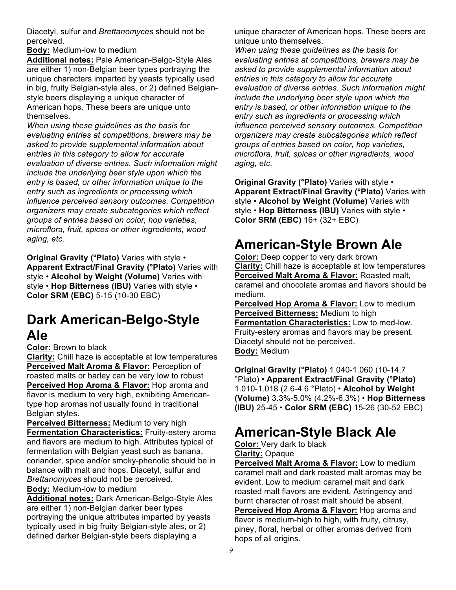Diacetyl, sulfur and *Brettanomyces* should not be perceived.

**Body:** Medium-low to medium

**Additional notes:** Pale American-Belgo-Style Ales are either 1) non-Belgian beer types portraying the unique characters imparted by yeasts typically used in big, fruity Belgian-style ales, or 2) defined Belgianstyle beers displaying a unique character of American hops. These beers are unique unto themselves.

*When using these guidelines as the basis for evaluating entries at competitions, brewers may be asked to provide supplemental information about entries in this category to allow for accurate evaluation of diverse entries. Such information might include the underlying beer style upon which the entry is based, or other information unique to the entry such as ingredients or processing which influence perceived sensory outcomes. Competition organizers may create subcategories which reflect groups of entries based on color, hop varieties, microflora, fruit, spices or other ingredients, wood aging, etc.*

**Original Gravity (°Plato)** Varies with style • **Apparent Extract/Final Gravity (°Plato)** Varies with style • **Alcohol by Weight (Volume)** Varies with style • **Hop Bitterness (IBU)** Varies with style • **Color SRM (EBC)** 5-15 (10-30 EBC)

#### **Dark American-Belgo-Style Ale**

**Color:** Brown to black

**Clarity:** Chill haze is acceptable at low temperatures **Perceived Malt Aroma & Flavor:** Perception of roasted malts or barley can be very low to robust **Perceived Hop Aroma & Flavor:** Hop aroma and flavor is medium to very high, exhibiting Americantype hop aromas not usually found in traditional Belgian styles.

**Perceived Bitterness:** Medium to very high **Fermentation Characteristics:** Fruity-estery aroma and flavors are medium to high. Attributes typical of fermentation with Belgian yeast such as banana, coriander, spice and/or smoky-phenolic should be in balance with malt and hops. Diacetyl, sulfur and *Brettanomyces* should not be perceived.

**Body:** Medium-low to medium

**Additional notes:** Dark American-Belgo-Style Ales are either 1) non-Belgian darker beer types portraying the unique attributes imparted by yeasts typically used in big fruity Belgian-style ales, or 2) defined darker Belgian-style beers displaying a

unique character of American hops. These beers are unique unto themselves.

*When using these guidelines as the basis for evaluating entries at competitions, brewers may be asked to provide supplemental information about entries in this category to allow for accurate evaluation of diverse entries. Such information might include the underlying beer style upon which the entry is based, or other information unique to the entry such as ingredients or processing which influence perceived sensory outcomes. Competition organizers may create subcategories which reflect groups of entries based on color, hop varieties, microflora, fruit, spices or other ingredients, wood aging, etc.*

**Original Gravity (°Plato)** Varies with style • **Apparent Extract/Final Gravity (°Plato)** Varies with style • **Alcohol by Weight (Volume)** Varies with style • **Hop Bitterness (IBU)** Varies with style • **Color SRM (EBC)** 16+ (32+ EBC)

# **American-Style Brown Ale**

**Color:** Deep copper to very dark brown **Clarity:** Chill haze is acceptable at low temperatures **Perceived Malt Aroma & Flavor:** Roasted malt, caramel and chocolate aromas and flavors should be medium.

**Perceived Hop Aroma & Flavor:** Low to medium **Perceived Bitterness:** Medium to high **Fermentation Characteristics:** Low to med-low. Fruity-estery aromas and flavors may be present. Diacetyl should not be perceived. **Body:** Medium

**Original Gravity (°Plato)** 1.040-1.060 (10-14.7 °Plato) • **Apparent Extract/Final Gravity (°Plato)** 1.010-1.018 (2.6-4.6 °Plato) • **Alcohol by Weight (Volume)** 3.3%-5.0% (4.2%-6.3%) • **Hop Bitterness (IBU)** 25-45 • **Color SRM (EBC)** 15-26 (30-52 EBC)

# **American-Style Black Ale**

**Color:** Very dark to black **Clarity:** Opaque

**Perceived Malt Aroma & Flavor:** Low to medium caramel malt and dark roasted malt aromas may be evident. Low to medium caramel malt and dark roasted malt flavors are evident. Astringency and burnt character of roast malt should be absent. **Perceived Hop Aroma & Flavor:** Hop aroma and flavor is medium-high to high, with fruity, citrusy, piney, floral, herbal or other aromas derived from hops of all origins.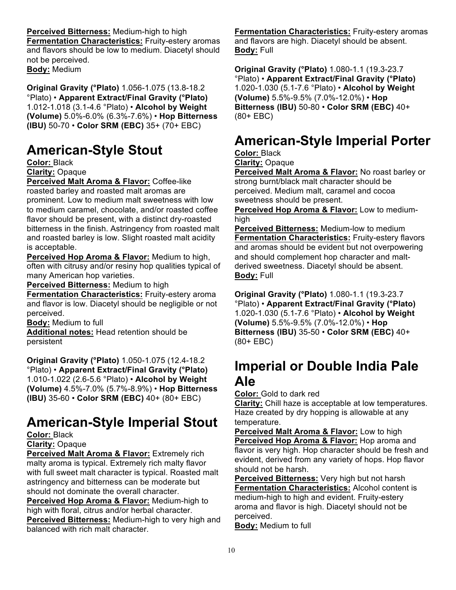**Perceived Bitterness:** Medium-high to high **Fermentation Characteristics:** Fruity-estery aromas and flavors should be low to medium. Diacetyl should not be perceived. **Body:** Medium

**Original Gravity (°Plato)** 1.056-1.075 (13.8-18.2 °Plato) • **Apparent Extract/Final Gravity (°Plato)** 1.012-1.018 (3.1-4.6 °Plato) • **Alcohol by Weight (Volume)** 5.0%-6.0% (6.3%-7.6%) • **Hop Bitterness (IBU)** 50-70 • **Color SRM (EBC)** 35+ (70+ EBC)

#### **American-Style Stout**

**Color:** Black **Clarity:** Opaque

**Perceived Malt Aroma & Flavor:** Coffee-like

roasted barley and roasted malt aromas are prominent. Low to medium malt sweetness with low to medium caramel, chocolate, and/or roasted coffee flavor should be present, with a distinct dry-roasted bitterness in the finish. Astringency from roasted malt and roasted barley is low. Slight roasted malt acidity is acceptable.

**Perceived Hop Aroma & Flavor:** Medium to high, often with citrusy and/or resiny hop qualities typical of many American hop varieties.

**Perceived Bitterness:** Medium to high

**Fermentation Characteristics:** Fruity-estery aroma and flavor is low. Diacetyl should be negligible or not perceived.

**Body:** Medium to full **Additional notes:** Head retention should be

persistent

**Original Gravity (°Plato)** 1.050-1.075 (12.4-18.2 °Plato) • **Apparent Extract/Final Gravity (°Plato)** 1.010-1.022 (2.6-5.6 °Plato) • **Alcohol by Weight (Volume)** 4.5%-7.0% (5.7%-8.9%) • **Hop Bitterness (IBU)** 35-60 • **Color SRM (EBC)** 40+ (80+ EBC)

# **American-Style Imperial Stout**

**Color:** Black

**Clarity:** Opaque

**Perceived Malt Aroma & Flavor:** Extremely rich malty aroma is typical. Extremely rich malty flavor with full sweet malt character is typical. Roasted malt astringency and bitterness can be moderate but should not dominate the overall character.

**Perceived Hop Aroma & Flavor:** Medium-high to high with floral, citrus and/or herbal character. **Perceived Bitterness:** Medium-high to very high and balanced with rich malt character.

**Fermentation Characteristics:** Fruity-estery aromas and flavors are high. Diacetyl should be absent. **Body:** Full

**Original Gravity (°Plato)** 1.080-1.1 (19.3-23.7 °Plato) • **Apparent Extract/Final Gravity (°Plato)** 1.020-1.030 (5.1-7.6 °Plato) • **Alcohol by Weight (Volume)** 5.5%-9.5% (7.0%-12.0%) • **Hop Bitterness (IBU)** 50-80 • **Color SRM (EBC)** 40+ (80+ EBC)

### **American-Style Imperial Porter**

**Color:** Black

**Clarity:** Opaque

**Perceived Malt Aroma & Flavor:** No roast barley or strong burnt/black malt character should be perceived. Medium malt, caramel and cocoa sweetness should be present.

**Perceived Hop Aroma & Flavor:** Low to mediumhigh

**Perceived Bitterness:** Medium-low to medium **Fermentation Characteristics:** Fruity-estery flavors and aromas should be evident but not overpowering and should complement hop character and maltderived sweetness. Diacetyl should be absent. **Body:** Full

**Original Gravity (°Plato)** 1.080-1.1 (19.3-23.7 °Plato) • **Apparent Extract/Final Gravity (°Plato)** 1.020-1.030 (5.1-7.6 °Plato) • **Alcohol by Weight (Volume)** 5.5%-9.5% (7.0%-12.0%) • **Hop Bitterness (IBU)** 35-50 • **Color SRM (EBC)** 40+ (80+ EBC)

#### **Imperial or Double India Pale Ale**

**Color:** Gold to dark red

**Clarity:** Chill haze is acceptable at low temperatures. Haze created by dry hopping is allowable at any temperature.

**Perceived Malt Aroma & Flavor:** Low to high **Perceived Hop Aroma & Flavor:** Hop aroma and flavor is very high. Hop character should be fresh and evident, derived from any variety of hops. Hop flavor should not be harsh.

**Perceived Bitterness:** Very high but not harsh **Fermentation Characteristics:** Alcohol content is medium-high to high and evident. Fruity-estery aroma and flavor is high. Diacetyl should not be perceived.

**Body:** Medium to full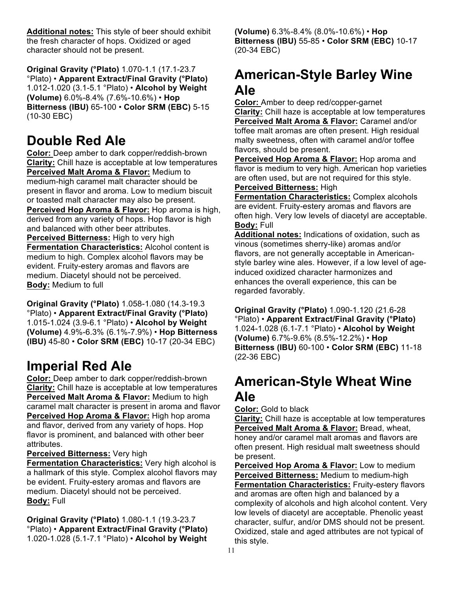**Additional notes:** This style of beer should exhibit the fresh character of hops. Oxidized or aged character should not be present.

**Original Gravity (°Plato)** 1.070-1.1 (17.1-23.7 °Plato) • **Apparent Extract/Final Gravity (°Plato)** 1.012-1.020 (3.1-5.1 °Plato) • **Alcohol by Weight (Volume)** 6.0%-8.4% (7.6%-10.6%) • **Hop Bitterness (IBU)** 65-100 • **Color SRM (EBC)** 5-15 (10-30 EBC)

# **Double Red Ale**

**Color:** Deep amber to dark copper/reddish-brown **Clarity:** Chill haze is acceptable at low temperatures **Perceived Malt Aroma & Flavor:** Medium to medium-high caramel malt character should be present in flavor and aroma. Low to medium biscuit or toasted malt character may also be present. **Perceived Hop Aroma & Flavor:** Hop aroma is high, derived from any variety of hops. Hop flavor is high and balanced with other beer attributes. **Perceived Bitterness:** High to very high **Fermentation Characteristics:** Alcohol content is medium to high. Complex alcohol flavors may be evident. Fruity-estery aromas and flavors are medium. Diacetyl should not be perceived. **Body:** Medium to full

**Original Gravity (°Plato)** 1.058-1.080 (14.3-19.3 °Plato) • **Apparent Extract/Final Gravity (°Plato)** 1.015-1.024 (3.9-6.1 °Plato) • **Alcohol by Weight (Volume)** 4.9%-6.3% (6.1%-7.9%) • **Hop Bitterness (IBU)** 45-80 • **Color SRM (EBC)** 10-17 (20-34 EBC)

# **Imperial Red Ale**

**Color:** Deep amber to dark copper/reddish-brown **Clarity:** Chill haze is acceptable at low temperatures **Perceived Malt Aroma & Flavor:** Medium to high caramel malt character is present in aroma and flavor **Perceived Hop Aroma & Flavor:** High hop aroma and flavor, derived from any variety of hops. Hop flavor is prominent, and balanced with other beer attributes.

#### **Perceived Bitterness:** Very high

**Fermentation Characteristics:** Very high alcohol is a hallmark of this style. Complex alcohol flavors may be evident. Fruity-estery aromas and flavors are medium. Diacetyl should not be perceived. **Body:** Full

**Original Gravity (°Plato)** 1.080-1.1 (19.3-23.7 °Plato) • **Apparent Extract/Final Gravity (°Plato)** 1.020-1.028 (5.1-7.1 °Plato) • **Alcohol by Weight** 

**(Volume)** 6.3%-8.4% (8.0%-10.6%) • **Hop Bitterness (IBU)** 55-85 • **Color SRM (EBC)** 10-17 (20-34 EBC)

### **American-Style Barley Wine Ale**

**Color:** Amber to deep red/copper-garnet **Clarity:** Chill haze is acceptable at low temperatures **Perceived Malt Aroma & Flavor:** Caramel and/or toffee malt aromas are often present. High residual malty sweetness, often with caramel and/or toffee flavors, should be present.

**Perceived Hop Aroma & Flavor:** Hop aroma and flavor is medium to very high. American hop varieties are often used, but are not required for this style. **Perceived Bitterness:** High

**Fermentation Characteristics:** Complex alcohols are evident. Fruity-estery aromas and flavors are often high. Very low levels of diacetyl are acceptable. **Body:** Full

**Additional notes:** Indications of oxidation, such as vinous (sometimes sherry-like) aromas and/or flavors, are not generally acceptable in Americanstyle barley wine ales. However, if a low level of ageinduced oxidized character harmonizes and enhances the overall experience, this can be regarded favorably.

**Original Gravity (°Plato)** 1.090-1.120 (21.6-28 °Plato) • **Apparent Extract/Final Gravity (°Plato)** 1.024-1.028 (6.1-7.1 °Plato) • **Alcohol by Weight (Volume)** 6.7%-9.6% (8.5%-12.2%) • **Hop Bitterness (IBU)** 60-100 • **Color SRM (EBC)** 11-18 (22-36 EBC)

### **American-Style Wheat Wine Ale**

**Color:** Gold to black

**Clarity:** Chill haze is acceptable at low temperatures **Perceived Malt Aroma & Flavor:** Bread, wheat, honey and/or caramel malt aromas and flavors are often present. High residual malt sweetness should be present.

**Perceived Hop Aroma & Flavor:** Low to medium **Perceived Bitterness:** Medium to medium-high **Fermentation Characteristics:** Fruity-estery flavors and aromas are often high and balanced by a complexity of alcohols and high alcohol content. Very low levels of diacetyl are acceptable. Phenolic yeast character, sulfur, and/or DMS should not be present. Oxidized, stale and aged attributes are not typical of this style.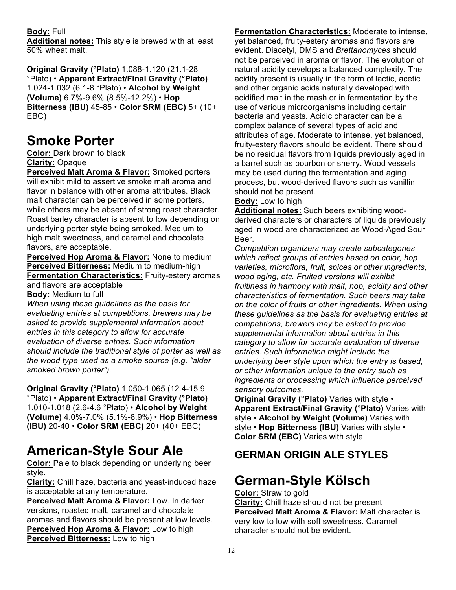**Body:** Full

**Additional notes:** This style is brewed with at least 50% wheat malt.

**Original Gravity (°Plato)** 1.088-1.120 (21.1-28 °Plato) • **Apparent Extract/Final Gravity (°Plato)** 1.024-1.032 (6.1-8 °Plato) • **Alcohol by Weight (Volume)** 6.7%-9.6% (8.5%-12.2%) • **Hop Bitterness (IBU)** 45-85 • **Color SRM (EBC)** 5+ (10+ EBC)

# **Smoke Porter**

**Color:** Dark brown to black **Clarity:** Opaque

**Perceived Malt Aroma & Flavor:** Smoked porters will exhibit mild to assertive smoke malt aroma and flavor in balance with other aroma attributes. Black malt character can be perceived in some porters, while others may be absent of strong roast character. Roast barley character is absent to low depending on underlying porter style being smoked. Medium to high malt sweetness, and caramel and chocolate flavors, are acceptable.

**Perceived Hop Aroma & Flavor:** None to medium **Perceived Bitterness:** Medium to medium-high **Fermentation Characteristics:** Fruity-estery aromas and flavors are acceptable

**Body:** Medium to full

*When using these guidelines as the basis for evaluating entries at competitions, brewers may be asked to provide supplemental information about entries in this category to allow for accurate evaluation of diverse entries. Such information should include the traditional style of porter as well as the wood type used as a smoke source (e.g. "alder smoked brown porter").*

**Original Gravity (°Plato)** 1.050-1.065 (12.4-15.9 °Plato) • **Apparent Extract/Final Gravity (°Plato)** 1.010-1.018 (2.6-4.6 °Plato) • **Alcohol by Weight (Volume)** 4.0%-7.0% (5.1%-8.9%) • **Hop Bitterness (IBU)** 20-40 • **Color SRM (EBC)** 20+ (40+ EBC)

# **American-Style Sour Ale**

**Color:** Pale to black depending on underlying beer style.

**Clarity:** Chill haze, bacteria and yeast-induced haze is acceptable at any temperature.

**Perceived Malt Aroma & Flavor:** Low. In darker versions, roasted malt, caramel and chocolate aromas and flavors should be present at low levels. **Perceived Hop Aroma & Flavor:** Low to high **Perceived Bitterness:** Low to high

**Fermentation Characteristics:** Moderate to intense, yet balanced, fruity-estery aromas and flavors are evident. Diacetyl, DMS and *Brettanomyces* should not be perceived in aroma or flavor. The evolution of natural acidity develops a balanced complexity. The acidity present is usually in the form of lactic, acetic and other organic acids naturally developed with acidified malt in the mash or in fermentation by the use of various microorganisms including certain bacteria and yeasts. Acidic character can be a complex balance of several types of acid and attributes of age. Moderate to intense, yet balanced, fruity-estery flavors should be evident. There should be no residual flavors from liquids previously aged in a barrel such as bourbon or sherry. Wood vessels may be used during the fermentation and aging process, but wood-derived flavors such as vanillin should not be present.

**Body:** Low to high

**Additional notes:** Such beers exhibiting woodderived characters or characters of liquids previously aged in wood are characterized as Wood-Aged Sour Beer.

*Competition organizers may create subcategories which reflect groups of entries based on color, hop varieties, microflora, fruit, spices or other ingredients, wood aging, etc. Fruited versions will exhibit fruitiness in harmony with malt, hop, acidity and other characteristics of fermentation. Such beers may take on the color of fruits or other ingredients. When using these guidelines as the basis for evaluating entries at competitions, brewers may be asked to provide supplemental information about entries in this category to allow for accurate evaluation of diverse entries. Such information might include the underlying beer style upon which the entry is based, or other information unique to the entry such as ingredients or processing which influence perceived sensory outcomes.*

**Original Gravity (°Plato)** Varies with style • **Apparent Extract/Final Gravity (°Plato)** Varies with style • **Alcohol by Weight (Volume)** Varies with style • **Hop Bitterness (IBU)** Varies with style • **Color SRM (EBC)** Varies with style

#### **GERMAN ORIGIN ALE STYLES**

# **German-Style Kölsch**

**Color:** Straw to gold **Clarity:** Chill haze should not be present **Perceived Malt Aroma & Flavor:** Malt character is very low to low with soft sweetness. Caramel character should not be evident.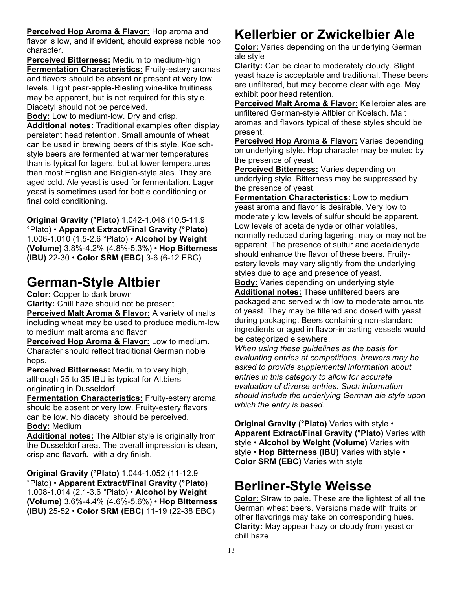**Perceived Hop Aroma & Flavor:** Hop aroma and flavor is low, and if evident, should express noble hop character.

**Perceived Bitterness:** Medium to medium-high **Fermentation Characteristics:** Fruity-estery aromas and flavors should be absent or present at very low levels. Light pear-apple-Riesling wine-like fruitiness may be apparent, but is not required for this style. Diacetyl should not be perceived.

**Body:** Low to medium-low. Dry and crisp. **Additional notes:** Traditional examples often display persistent head retention. Small amounts of wheat can be used in brewing beers of this style. Koelschstyle beers are fermented at warmer temperatures than is typical for lagers, but at lower temperatures than most English and Belgian-style ales. They are aged cold. Ale yeast is used for fermentation. Lager yeast is sometimes used for bottle conditioning or final cold conditioning.

**Original Gravity (°Plato)** 1.042-1.048 (10.5-11.9 °Plato) • **Apparent Extract/Final Gravity (°Plato)** 1.006-1.010 (1.5-2.6 °Plato) • **Alcohol by Weight (Volume)** 3.8%-4.2% (4.8%-5.3%) • **Hop Bitterness (IBU)** 22-30 • **Color SRM (EBC)** 3-6 (6-12 EBC)

# **German-Style Altbier**

**Color:** Copper to dark brown **Clarity:** Chill haze should not be present **Perceived Malt Aroma & Flavor:** A variety of malts including wheat may be used to produce medium-low to medium malt aroma and flavor

**Perceived Hop Aroma & Flavor:** Low to medium. Character should reflect traditional German noble hops.

**Perceived Bitterness:** Medium to very high, although 25 to 35 IBU is typical for Altbiers originating in Dusseldorf.

**Fermentation Characteristics:** Fruity-estery aroma should be absent or very low. Fruity-estery flavors can be low. No diacetyl should be perceived. **Body:** Medium

**Additional notes:** The Altbier style is originally from the Dusseldorf area. The overall impression is clean, crisp and flavorful with a dry finish.

**Original Gravity (°Plato)** 1.044-1.052 (11-12.9 °Plato) • **Apparent Extract/Final Gravity (°Plato)** 1.008-1.014 (2.1-3.6 °Plato) • **Alcohol by Weight (Volume)** 3.6%-4.4% (4.6%-5.6%) • **Hop Bitterness (IBU)** 25-52 • **Color SRM (EBC)** 11-19 (22-38 EBC)

# **Kellerbier or Zwickelbier Ale**

**Color:** Varies depending on the underlying German ale style

**Clarity:** Can be clear to moderately cloudy. Slight yeast haze is acceptable and traditional. These beers are unfiltered, but may become clear with age. May exhibit poor head retention.

**Perceived Malt Aroma & Flavor:** Kellerbier ales are unfiltered German-style Altbier or Koelsch. Malt aromas and flavors typical of these styles should be present.

**Perceived Hop Aroma & Flavor:** Varies depending on underlying style. Hop character may be muted by the presence of yeast.

**Perceived Bitterness:** Varies depending on underlying style. Bitterness may be suppressed by the presence of yeast.

**Fermentation Characteristics:** Low to medium yeast aroma and flavor is desirable. Very low to moderately low levels of sulfur should be apparent. Low levels of acetaldehyde or other volatiles, normally reduced during lagering, may or may not be apparent. The presence of sulfur and acetaldehyde should enhance the flavor of these beers. Fruityestery levels may vary slightly from the underlying styles due to age and presence of yeast.

**Body:** Varies depending on underlying style **Additional notes:** These unfiltered beers are packaged and served with low to moderate amounts of yeast. They may be filtered and dosed with yeast during packaging. Beers containing non-standard ingredients or aged in flavor-imparting vessels would be categorized elsewhere.

*When using these guidelines as the basis for evaluating entries at competitions, brewers may be asked to provide supplemental information about entries in this category to allow for accurate evaluation of diverse entries. Such information should include the underlying German ale style upon which the entry is based.*

**Original Gravity (°Plato)** Varies with style • **Apparent Extract/Final Gravity (°Plato)** Varies with style • **Alcohol by Weight (Volume)** Varies with style • **Hop Bitterness (IBU)** Varies with style • **Color SRM (EBC)** Varies with style

# **Berliner-Style Weisse**

**Color:** Straw to pale. These are the lightest of all the German wheat beers. Versions made with fruits or other flavorings may take on corresponding hues. **Clarity:** May appear hazy or cloudy from yeast or chill haze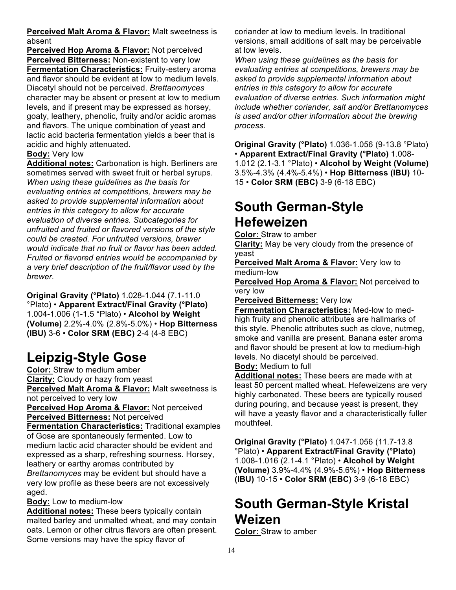**Perceived Malt Aroma & Flavor:** Malt sweetness is absent

**Perceived Hop Aroma & Flavor:** Not perceived **Perceived Bitterness:** Non-existent to very low **Fermentation Characteristics:** Fruity-estery aroma and flavor should be evident at low to medium levels. Diacetyl should not be perceived. *Brettanomyces* character may be absent or present at low to medium levels, and if present may be expressed as horsey, goaty, leathery, phenolic, fruity and/or acidic aromas and flavors. The unique combination of yeast and lactic acid bacteria fermentation yields a beer that is acidic and highly attenuated.

#### **Body:** Very low

**Additional notes:** Carbonation is high. Berliners are sometimes served with sweet fruit or herbal syrups. *When using these guidelines as the basis for evaluating entries at competitions, brewers may be asked to provide supplemental information about entries in this category to allow for accurate evaluation of diverse entries. Subcategories for unfruited and fruited or flavored versions of the style could be created. For unfruited versions, brewer would indicate that no fruit or flavor has been added. Fruited or flavored entries would be accompanied by a very brief description of the fruit/flavor used by the brewer.*

**Original Gravity (°Plato)** 1.028-1.044 (7.1-11.0 °Plato) • **Apparent Extract/Final Gravity (°Plato)** 1.004-1.006 (1-1.5 °Plato) • **Alcohol by Weight (Volume)** 2.2%-4.0% (2.8%-5.0%) • **Hop Bitterness (IBU)** 3-6 • **Color SRM (EBC)** 2-4 (4-8 EBC)

# **Leipzig-Style Gose**

**Color:** Straw to medium amber **Clarity:** Cloudy or hazy from yeast **Perceived Malt Aroma & Flavor:** Malt sweetness is not perceived to very low

**Perceived Hop Aroma & Flavor:** Not perceived **Perceived Bitterness:** Not perceived

**Fermentation Characteristics:** Traditional examples of Gose are spontaneously fermented. Low to medium lactic acid character should be evident and expressed as a sharp, refreshing sourness. Horsey, leathery or earthy aromas contributed by *Brettanomyces* may be evident but should have a very low profile as these beers are not excessively aged.

#### **Body:** Low to medium-low

**Additional notes:** These beers typically contain malted barley and unmalted wheat, and may contain oats. Lemon or other citrus flavors are often present. Some versions may have the spicy flavor of

coriander at low to medium levels. In traditional versions, small additions of salt may be perceivable at low levels.

*When using these guidelines as the basis for evaluating entries at competitions, brewers may be asked to provide supplemental information about entries in this category to allow for accurate evaluation of diverse entries. Such information might include whether coriander, salt and/or Brettanomyces is used and/or other information about the brewing process.*

**Original Gravity (°Plato)** 1.036-1.056 (9-13.8 °Plato) • **Apparent Extract/Final Gravity (°Plato)** 1.008- 1.012 (2.1-3.1 °Plato) • **Alcohol by Weight (Volume)** 3.5%-4.3% (4.4%-5.4%) • **Hop Bitterness (IBU)** 10- 15 • **Color SRM (EBC)** 3-9 (6-18 EBC)

#### **South German-Style Hefeweizen**

**Color:** Straw to amber

**Clarity:** May be very cloudy from the presence of yeast

**Perceived Malt Aroma & Flavor:** Very low to medium-low

**Perceived Hop Aroma & Flavor:** Not perceived to very low

**Perceived Bitterness:** Very low

**Fermentation Characteristics:** Med-low to medhigh fruity and phenolic attributes are hallmarks of this style. Phenolic attributes such as clove, nutmeg, smoke and vanilla are present. Banana ester aroma and flavor should be present at low to medium-high levels. No diacetyl should be perceived.

**Body:** Medium to full

**Additional notes:** These beers are made with at least 50 percent malted wheat. Hefeweizens are very highly carbonated. These beers are typically roused during pouring, and because yeast is present, they will have a yeasty flavor and a characteristically fuller mouthfeel.

**Original Gravity (°Plato)** 1.047-1.056 (11.7-13.8 °Plato) • **Apparent Extract/Final Gravity (°Plato)** 1.008-1.016 (2.1-4.1 °Plato) • **Alcohol by Weight (Volume)** 3.9%-4.4% (4.9%-5.6%) • **Hop Bitterness (IBU)** 10-15 • **Color SRM (EBC)** 3-9 (6-18 EBC)

# **South German-Style Kristal Weizen**

**Color:** Straw to amber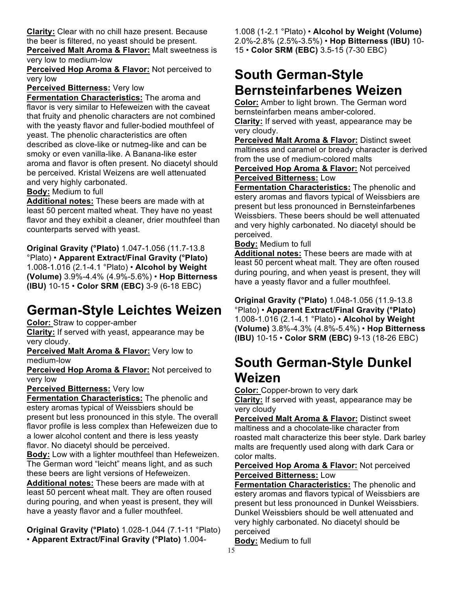**Clarity:** Clear with no chill haze present. Because the beer is filtered, no yeast should be present. **Perceived Malt Aroma & Flavor:** Malt sweetness is very low to medium-low

**Perceived Hop Aroma & Flavor:** Not perceived to very low

#### **Perceived Bitterness:** Very low

**Fermentation Characteristics:** The aroma and flavor is very similar to Hefeweizen with the caveat that fruity and phenolic characters are not combined with the yeasty flavor and fuller-bodied mouthfeel of yeast. The phenolic characteristics are often described as clove-like or nutmeg-like and can be smoky or even vanilla-like. A Banana-like ester aroma and flavor is often present. No diacetyl should be perceived. Kristal Weizens are well attenuated and very highly carbonated.

**Body:** Medium to full

**Additional notes:** These beers are made with at least 50 percent malted wheat. They have no yeast flavor and they exhibit a cleaner, drier mouthfeel than counterparts served with yeast.

**Original Gravity (°Plato)** 1.047-1.056 (11.7-13.8 °Plato) • **Apparent Extract/Final Gravity (°Plato)** 1.008-1.016 (2.1-4.1 °Plato) • **Alcohol by Weight (Volume)** 3.9%-4.4% (4.9%-5.6%) • **Hop Bitterness (IBU)** 10-15 • **Color SRM (EBC)** 3-9 (6-18 EBC)

#### **German-Style Leichtes Weizen**

**Color:** Straw to copper-amber

**Clarity:** If served with yeast, appearance may be very cloudy.

**Perceived Malt Aroma & Flavor:** Very low to medium-low

**Perceived Hop Aroma & Flavor:** Not perceived to very low

**Perceived Bitterness:** Very low

**Fermentation Characteristics:** The phenolic and estery aromas typical of Weissbiers should be present but less pronounced in this style. The overall flavor profile is less complex than Hefeweizen due to a lower alcohol content and there is less yeasty flavor. No diacetyl should be perceived.

**Body:** Low with a lighter mouthfeel than Hefeweizen. The German word "leicht" means light, and as such these beers are light versions of Hefeweizen.

**Additional notes:** These beers are made with at least 50 percent wheat malt. They are often roused during pouring, and when yeast is present, they will have a yeasty flavor and a fuller mouthfeel.

**Original Gravity (°Plato)** 1.028-1.044 (7.1-11 °Plato) • **Apparent Extract/Final Gravity (°Plato)** 1.004-

1.008 (1-2.1 °Plato) • **Alcohol by Weight (Volume)** 2.0%-2.8% (2.5%-3.5%) • **Hop Bitterness (IBU)** 10- 15 • **Color SRM (EBC)** 3.5-15 (7-30 EBC)

# **South German-Style Bernsteinfarbenes Weizen**

**Color:** Amber to light brown. The German word bernsteinfarben means amber-colored.

**Clarity:** If served with yeast, appearance may be very cloudy.

**Perceived Malt Aroma & Flavor:** Distinct sweet maltiness and caramel or bready character is derived from the use of medium-colored malts

**Perceived Hop Aroma & Flavor:** Not perceived **Perceived Bitterness:** Low

**Fermentation Characteristics:** The phenolic and estery aromas and flavors typical of Weissbiers are present but less pronounced in Bernsteinfarbenes Weissbiers. These beers should be well attenuated and very highly carbonated. No diacetyl should be perceived.

#### **Body:** Medium to full

**Additional notes:** These beers are made with at least 50 percent wheat malt. They are often roused during pouring, and when yeast is present, they will have a yeasty flavor and a fuller mouthfeel.

**Original Gravity (°Plato)** 1.048-1.056 (11.9-13.8 °Plato) • **Apparent Extract/Final Gravity (°Plato)** 1.008-1.016 (2.1-4.1 °Plato) • **Alcohol by Weight (Volume)** 3.8%-4.3% (4.8%-5.4%) • **Hop Bitterness (IBU)** 10-15 • **Color SRM (EBC)** 9-13 (18-26 EBC)

### **South German-Style Dunkel Weizen**

**Color:** Copper-brown to very dark **Clarity:** If served with yeast, appearance may be

very cloudy **Perceived Malt Aroma & Flavor:** Distinct sweet maltiness and a chocolate-like character from roasted malt characterize this beer style. Dark barley malts are frequently used along with dark Cara or color malts.

**Perceived Hop Aroma & Flavor:** Not perceived **Perceived Bitterness:** Low

**Fermentation Characteristics:** The phenolic and estery aromas and flavors typical of Weissbiers are present but less pronounced in Dunkel Weissbiers. Dunkel Weissbiers should be well attenuated and very highly carbonated. No diacetyl should be perceived

**Body:** Medium to full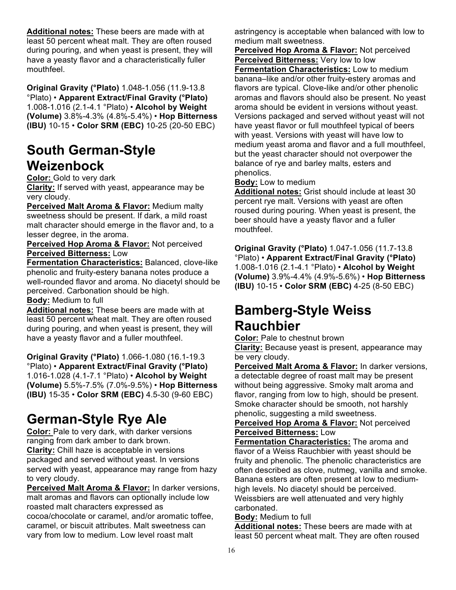**Additional notes:** These beers are made with at least 50 percent wheat malt. They are often roused during pouring, and when yeast is present, they will have a yeasty flavor and a characteristically fuller mouthfeel.

**Original Gravity (°Plato)** 1.048-1.056 (11.9-13.8 °Plato) • **Apparent Extract/Final Gravity (°Plato)** 1.008-1.016 (2.1-4.1 °Plato) • **Alcohol by Weight (Volume)** 3.8%-4.3% (4.8%-5.4%) • **Hop Bitterness (IBU)** 10-15 • **Color SRM (EBC)** 10-25 (20-50 EBC)

#### **South German-Style Weizenbock**

**Color:** Gold to very dark

**Clarity:** If served with yeast, appearance may be very cloudy.

**Perceived Malt Aroma & Flavor:** Medium malty sweetness should be present. If dark, a mild roast malt character should emerge in the flavor and, to a lesser degree, in the aroma.

**Perceived Hop Aroma & Flavor:** Not perceived **Perceived Bitterness:** Low

**Fermentation Characteristics:** Balanced, clove-like phenolic and fruity-estery banana notes produce a well-rounded flavor and aroma. No diacetyl should be perceived. Carbonation should be high.

**Body:** Medium to full

**Additional notes:** These beers are made with at least 50 percent wheat malt. They are often roused during pouring, and when yeast is present, they will have a yeasty flavor and a fuller mouthfeel.

**Original Gravity (°Plato)** 1.066-1.080 (16.1-19.3 °Plato) • **Apparent Extract/Final Gravity (°Plato)** 1.016-1.028 (4.1-7.1 °Plato) • **Alcohol by Weight (Volume)** 5.5%-7.5% (7.0%-9.5%) • **Hop Bitterness (IBU)** 15-35 • **Color SRM (EBC)** 4.5-30 (9-60 EBC)

# **German-Style Rye Ale**

**Color:** Pale to very dark, with darker versions ranging from dark amber to dark brown. **Clarity:** Chill haze is acceptable in versions packaged and served without yeast. In versions served with yeast, appearance may range from hazy to very cloudy.

**Perceived Malt Aroma & Flavor:** In darker versions, malt aromas and flavors can optionally include low roasted malt characters expressed as cocoa/chocolate or caramel, and/or aromatic toffee, caramel, or biscuit attributes. Malt sweetness can vary from low to medium. Low level roast malt

astringency is acceptable when balanced with low to medium malt sweetness.

**Perceived Hop Aroma & Flavor:** Not perceived **Perceived Bitterness:** Very low to low **Fermentation Characteristics:** Low to medium banana–like and/or other fruity-estery aromas and flavors are typical. Clove-like and/or other phenolic aromas and flavors should also be present. No yeast aroma should be evident in versions without yeast. Versions packaged and served without yeast will not have yeast flavor or full mouthfeel typical of beers with yeast. Versions with yeast will have low to medium yeast aroma and flavor and a full mouthfeel, but the yeast character should not overpower the balance of rye and barley malts, esters and phenolics.

**Body:** Low to medium

**Additional notes:** Grist should include at least 30 percent rye malt. Versions with yeast are often roused during pouring. When yeast is present, the beer should have a yeasty flavor and a fuller mouthfeel.

**Original Gravity (°Plato)** 1.047-1.056 (11.7-13.8 °Plato) • **Apparent Extract/Final Gravity (°Plato)** 1.008-1.016 (2.1-4.1 °Plato) • **Alcohol by Weight (Volume)** 3.9%-4.4% (4.9%-5.6%) • **Hop Bitterness (IBU)** 10-15 • **Color SRM (EBC)** 4-25 (8-50 EBC)

#### **Bamberg-Style Weiss Rauchbier**

**Color:** Pale to chestnut brown

**Clarity:** Because yeast is present, appearance may be very cloudy.

**Perceived Malt Aroma & Flavor:** In darker versions, a detectable degree of roast malt may be present without being aggressive. Smoky malt aroma and flavor, ranging from low to high, should be present. Smoke character should be smooth, not harshly phenolic, suggesting a mild sweetness.

**Perceived Hop Aroma & Flavor:** Not perceived **Perceived Bitterness:** Low

**Fermentation Characteristics:** The aroma and flavor of a Weiss Rauchbier with yeast should be fruity and phenolic. The phenolic characteristics are often described as clove, nutmeg, vanilla and smoke. Banana esters are often present at low to mediumhigh levels. No diacetyl should be perceived. Weissbiers are well attenuated and very highly carbonated.

**Body:** Medium to full

**Additional notes:** These beers are made with at least 50 percent wheat malt. They are often roused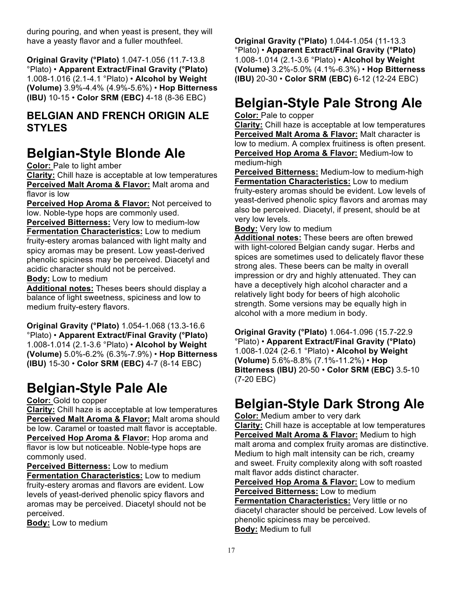during pouring, and when yeast is present, they will have a yeasty flavor and a fuller mouthfeel.

**Original Gravity (°Plato)** 1.047-1.056 (11.7-13.8 °Plato) • **Apparent Extract/Final Gravity (°Plato)** 1.008-1.016 (2.1-4.1 °Plato) • **Alcohol by Weight (Volume)** 3.9%-4.4% (4.9%-5.6%) • **Hop Bitterness (IBU)** 10-15 • **Color SRM (EBC)** 4-18 (8-36 EBC)

#### **BELGIAN AND FRENCH ORIGIN ALE STYLES**

# **Belgian-Style Blonde Ale**

**Color:** Pale to light amber

**Clarity:** Chill haze is acceptable at low temperatures **Perceived Malt Aroma & Flavor:** Malt aroma and flavor is low

**Perceived Hop Aroma & Flavor:** Not perceived to low. Noble-type hops are commonly used. **Perceived Bitterness:** Very low to medium-low **Fermentation Characteristics:** Low to medium fruity-estery aromas balanced with light malty and spicy aromas may be present. Low yeast-derived

phenolic spiciness may be perceived. Diacetyl and acidic character should not be perceived. **Body:** Low to medium

**Additional notes:** Theses beers should display a balance of light sweetness, spiciness and low to medium fruity-estery flavors.

**Original Gravity (°Plato)** 1.054-1.068 (13.3-16.6 °Plato) • **Apparent Extract/Final Gravity (°Plato)** 1.008-1.014 (2.1-3.6 °Plato) • **Alcohol by Weight (Volume)** 5.0%-6.2% (6.3%-7.9%) • **Hop Bitterness (IBU)** 15-30 • **Color SRM (EBC)** 4-7 (8-14 EBC)

# **Belgian-Style Pale Ale**

**Color:** Gold to copper

**Clarity:** Chill haze is acceptable at low temperatures **Perceived Malt Aroma & Flavor:** Malt aroma should be low. Caramel or toasted malt flavor is acceptable. **Perceived Hop Aroma & Flavor:** Hop aroma and flavor is low but noticeable. Noble-type hops are commonly used.

**Perceived Bitterness:** Low to medium **Fermentation Characteristics:** Low to medium fruity-estery aromas and flavors are evident. Low levels of yeast-derived phenolic spicy flavors and aromas may be perceived. Diacetyl should not be perceived.

**Body:** Low to medium

**Original Gravity (°Plato)** 1.044-1.054 (11-13.3 °Plato) • **Apparent Extract/Final Gravity (°Plato)** 1.008-1.014 (2.1-3.6 °Plato) • **Alcohol by Weight (Volume)** 3.2%-5.0% (4.1%-6.3%) • **Hop Bitterness (IBU)** 20-30 • **Color SRM (EBC)** 6-12 (12-24 EBC)

# **Belgian-Style Pale Strong Ale**

**Color:** Pale to copper

**Clarity:** Chill haze is acceptable at low temperatures **Perceived Malt Aroma & Flavor:** Malt character is low to medium. A complex fruitiness is often present. **Perceived Hop Aroma & Flavor:** Medium-low to medium-high

**Perceived Bitterness:** Medium-low to medium-high **Fermentation Characteristics:** Low to medium fruity-estery aromas should be evident. Low levels of yeast-derived phenolic spicy flavors and aromas may also be perceived. Diacetyl, if present, should be at very low levels.

**Body:** Very low to medium

**Additional notes:** These beers are often brewed with light-colored Belgian candy sugar. Herbs and spices are sometimes used to delicately flavor these strong ales. These beers can be malty in overall impression or dry and highly attenuated. They can have a deceptively high alcohol character and a relatively light body for beers of high alcoholic strength. Some versions may be equally high in alcohol with a more medium in body.

**Original Gravity (°Plato)** 1.064-1.096 (15.7-22.9 °Plato) • **Apparent Extract/Final Gravity (°Plato)** 1.008-1.024 (2-6.1 °Plato) • **Alcohol by Weight (Volume)** 5.6%-8.8% (7.1%-11.2%) • **Hop Bitterness (IBU)** 20-50 • **Color SRM (EBC)** 3.5-10 (7-20 EBC)

# **Belgian-Style Dark Strong Ale**

**Color:** Medium amber to very dark **Clarity:** Chill haze is acceptable at low temperatures **Perceived Malt Aroma & Flavor:** Medium to high malt aroma and complex fruity aromas are distinctive. Medium to high malt intensity can be rich, creamy and sweet. Fruity complexity along with soft roasted malt flavor adds distinct character.

**Perceived Hop Aroma & Flavor:** Low to medium **Perceived Bitterness:** Low to medium

**Fermentation Characteristics:** Very little or no diacetyl character should be perceived. Low levels of phenolic spiciness may be perceived. **Body:** Medium to full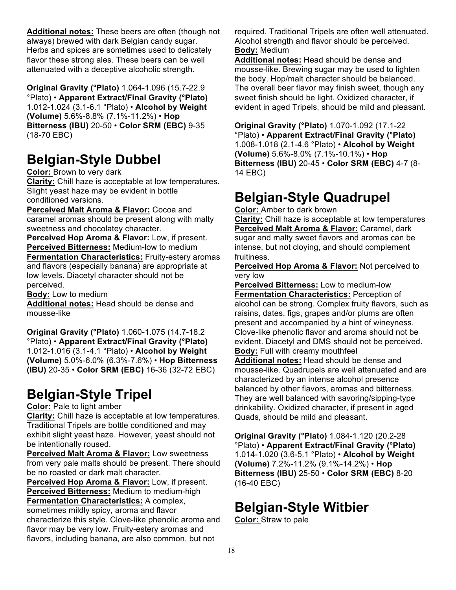**Additional notes:** These beers are often (though not always) brewed with dark Belgian candy sugar. Herbs and spices are sometimes used to delicately flavor these strong ales. These beers can be well attenuated with a deceptive alcoholic strength.

**Original Gravity (°Plato)** 1.064-1.096 (15.7-22.9 °Plato) • **Apparent Extract/Final Gravity (°Plato)** 1.012-1.024 (3.1-6.1 °Plato) • **Alcohol by Weight (Volume)** 5.6%-8.8% (7.1%-11.2%) • **Hop Bitterness (IBU)** 20-50 • **Color SRM (EBC)** 9-35 (18-70 EBC)

# **Belgian-Style Dubbel**

**Color:** Brown to very dark

**Clarity:** Chill haze is acceptable at low temperatures. Slight yeast haze may be evident in bottle conditioned versions.

**Perceived Malt Aroma & Flavor:** Cocoa and caramel aromas should be present along with malty sweetness and chocolatey character.

**Perceived Hop Aroma & Flavor:** Low, if present. **Perceived Bitterness:** Medium-low to medium **Fermentation Characteristics:** Fruity-estery aromas and flavors (especially banana) are appropriate at low levels. Diacetyl character should not be perceived.

**Body:** Low to medium

**Additional notes:** Head should be dense and mousse-like

**Original Gravity (°Plato)** 1.060-1.075 (14.7-18.2 °Plato) • **Apparent Extract/Final Gravity (°Plato)** 1.012-1.016 (3.1-4.1 °Plato) • **Alcohol by Weight (Volume)** 5.0%-6.0% (6.3%-7.6%) • **Hop Bitterness (IBU)** 20-35 • **Color SRM (EBC)** 16-36 (32-72 EBC)

# **Belgian-Style Tripel**

**Color:** Pale to light amber

**Clarity:** Chill haze is acceptable at low temperatures. Traditional Tripels are bottle conditioned and may exhibit slight yeast haze. However, yeast should not be intentionally roused.

**Perceived Malt Aroma & Flavor:** Low sweetness from very pale malts should be present. There should be no roasted or dark malt character.

**Perceived Hop Aroma & Flavor:** Low, if present. **Perceived Bitterness:** Medium to medium-high **Fermentation Characteristics:** A complex,

sometimes mildly spicy, aroma and flavor characterize this style. Clove-like phenolic aroma and flavor may be very low. Fruity-estery aromas and flavors, including banana, are also common, but not

required. Traditional Tripels are often well attenuated. Alcohol strength and flavor should be perceived. **Body:** Medium

**Additional notes:** Head should be dense and mousse-like. Brewing sugar may be used to lighten the body. Hop/malt character should be balanced. The overall beer flavor may finish sweet, though any sweet finish should be light. Oxidized character, if evident in aged Tripels, should be mild and pleasant.

**Original Gravity (°Plato)** 1.070-1.092 (17.1-22 °Plato) • **Apparent Extract/Final Gravity (°Plato)** 1.008-1.018 (2.1-4.6 °Plato) • **Alcohol by Weight (Volume)** 5.6%-8.0% (7.1%-10.1%) • **Hop Bitterness (IBU)** 20-45 • **Color SRM (EBC)** 4-7 (8- 14 EBC)

# **Belgian-Style Quadrupel**

**Color:** Amber to dark brown

**Clarity:** Chill haze is acceptable at low temperatures **Perceived Malt Aroma & Flavor:** Caramel, dark sugar and malty sweet flavors and aromas can be intense, but not cloying, and should complement fruitiness.

**Perceived Hop Aroma & Flavor:** Not perceived to very low

**Perceived Bitterness:** Low to medium-low **Fermentation Characteristics:** Perception of alcohol can be strong. Complex fruity flavors, such as raisins, dates, figs, grapes and/or plums are often present and accompanied by a hint of wineyness. Clove-like phenolic flavor and aroma should not be evident. Diacetyl and DMS should not be perceived. **Body:** Full with creamy mouthfeel

**Additional notes:** Head should be dense and mousse-like. Quadrupels are well attenuated and are characterized by an intense alcohol presence balanced by other flavors, aromas and bitterness. They are well balanced with savoring/sipping-type drinkability. Oxidized character, if present in aged Quads, should be mild and pleasant.

**Original Gravity (°Plato)** 1.084-1.120 (20.2-28 °Plato) • **Apparent Extract/Final Gravity (°Plato)** 1.014-1.020 (3.6-5.1 °Plato) • **Alcohol by Weight (Volume)** 7.2%-11.2% (9.1%-14.2%) • **Hop Bitterness (IBU)** 25-50 • **Color SRM (EBC)** 8-20 (16-40 EBC)

# **Belgian-Style Witbier**

**Color:** Straw to pale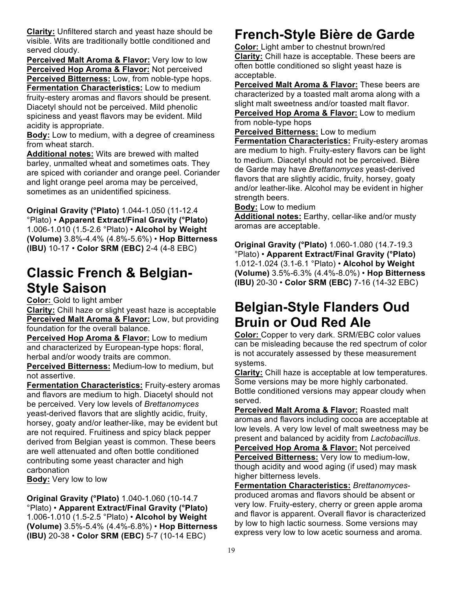**Clarity:** Unfiltered starch and yeast haze should be visible. Wits are traditionally bottle conditioned and served cloudy.

**Perceived Malt Aroma & Flavor:** Very low to low **Perceived Hop Aroma & Flavor:** Not perceived **Perceived Bitterness:** Low, from noble-type hops. **Fermentation Characteristics:** Low to medium fruity-estery aromas and flavors should be present. Diacetyl should not be perceived. Mild phenolic spiciness and yeast flavors may be evident. Mild acidity is appropriate.

**Body:** Low to medium, with a degree of creaminess from wheat starch.

**Additional notes:** Wits are brewed with malted barley, unmalted wheat and sometimes oats. They are spiced with coriander and orange peel. Coriander and light orange peel aroma may be perceived, sometimes as an unidentified spiciness.

**Original Gravity (°Plato)** 1.044-1.050 (11-12.4 °Plato) • **Apparent Extract/Final Gravity (°Plato)** 1.006-1.010 (1.5-2.6 °Plato) • **Alcohol by Weight (Volume)** 3.8%-4.4% (4.8%-5.6%) • **Hop Bitterness (IBU)** 10-17 • **Color SRM (EBC)** 2-4 (4-8 EBC)

# **Classic French & Belgian-Style Saison**

**Color:** Gold to light amber

**Clarity:** Chill haze or slight yeast haze is acceptable **Perceived Malt Aroma & Flavor:** Low, but providing foundation for the overall balance.

**Perceived Hop Aroma & Flavor:** Low to medium and characterized by European-type hops: floral, herbal and/or woody traits are common.

**Perceived Bitterness:** Medium-low to medium, but not assertive.

**Fermentation Characteristics:** Fruity-estery aromas and flavors are medium to high. Diacetyl should not be perceived. Very low levels of *Brettanomyces* yeast-derived flavors that are slightly acidic, fruity, horsey, goaty and/or leather-like, may be evident but are not required. Fruitiness and spicy black pepper derived from Belgian yeast is common. These beers are well attenuated and often bottle conditioned contributing some yeast character and high carbonation

**Body:** Very low to low

**Original Gravity (°Plato)** 1.040-1.060 (10-14.7 °Plato) • **Apparent Extract/Final Gravity (°Plato)** 1.006-1.010 (1.5-2.5 °Plato) • **Alcohol by Weight (Volume)** 3.5%-5.4% (4.4%-6.8%) • **Hop Bitterness (IBU)** 20-38 • **Color SRM (EBC)** 5-7 (10-14 EBC)

# **French-Style Bière de Garde**

**Color:** Light amber to chestnut brown/red **Clarity:** Chill haze is acceptable. These beers are often bottle conditioned so slight yeast haze is acceptable.

**Perceived Malt Aroma & Flavor:** These beers are characterized by a toasted malt aroma along with a slight malt sweetness and/or toasted malt flavor.

**Perceived Hop Aroma & Flavor:** Low to medium from noble-type hops

**Perceived Bitterness:** Low to medium

**Fermentation Characteristics:** Fruity-estery aromas are medium to high. Fruity-estery flavors can be light to medium. Diacetyl should not be perceived. Bière de Garde may have *Brettanomyces* yeast-derived flavors that are slightly acidic, fruity, horsey, goaty and/or leather-like. Alcohol may be evident in higher strength beers.

**Body:** Low to medium

**Additional notes:** Earthy, cellar-like and/or musty aromas are acceptable.

**Original Gravity (°Plato)** 1.060-1.080 (14.7-19.3 °Plato) • **Apparent Extract/Final Gravity (°Plato)** 1.012-1.024 (3.1-6.1 °Plato) • **Alcohol by Weight (Volume)** 3.5%-6.3% (4.4%-8.0%) • **Hop Bitterness (IBU)** 20-30 • **Color SRM (EBC)** 7-16 (14-32 EBC)

#### **Belgian-Style Flanders Oud Bruin or Oud Red Ale**

**Color:** Copper to very dark. SRM/EBC color values can be misleading because the red spectrum of color is not accurately assessed by these measurement systems.

**Clarity:** Chill haze is acceptable at low temperatures. Some versions may be more highly carbonated. Bottle conditioned versions may appear cloudy when served.

**Perceived Malt Aroma & Flavor:** Roasted malt aromas and flavors including cocoa are acceptable at low levels. A very low level of malt sweetness may be present and balanced by acidity from *Lactobacillus*. **Perceived Hop Aroma & Flavor:** Not perceived **Perceived Bitterness:** Very low to medium-low,

though acidity and wood aging (if used) may mask higher bitterness levels.

**Fermentation Characteristics:** *Brettanomyces*produced aromas and flavors should be absent or very low. Fruity-estery, cherry or green apple aroma and flavor is apparent. Overall flavor is characterized by low to high lactic sourness. Some versions may express very low to low acetic sourness and aroma.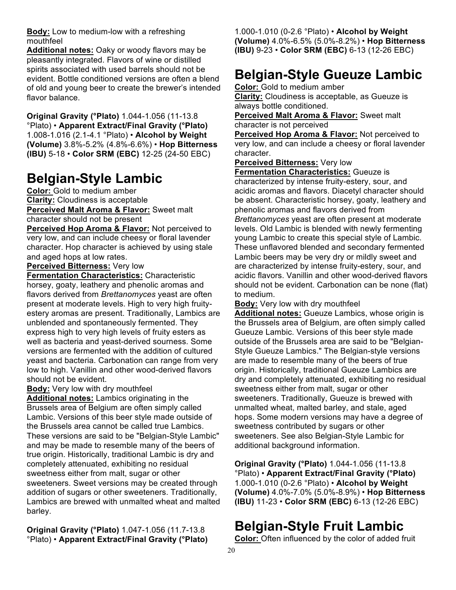**Body:** Low to medium-low with a refreshing mouthfeel

**Additional notes:** Oaky or woody flavors may be pleasantly integrated. Flavors of wine or distilled spirits associated with used barrels should not be evident. Bottle conditioned versions are often a blend of old and young beer to create the brewer's intended flavor balance.

**Original Gravity (°Plato)** 1.044-1.056 (11-13.8 °Plato) • **Apparent Extract/Final Gravity (°Plato)** 1.008-1.016 (2.1-4.1 °Plato) • **Alcohol by Weight (Volume)** 3.8%-5.2% (4.8%-6.6%) • **Hop Bitterness (IBU)** 5-18 • **Color SRM (EBC)** 12-25 (24-50 EBC)

# **Belgian-Style Lambic**

**Color:** Gold to medium amber **Clarity:** Cloudiness is acceptable **Perceived Malt Aroma & Flavor:** Sweet malt character should not be present

**Perceived Hop Aroma & Flavor:** Not perceived to very low, and can include cheesy or floral lavender character. Hop character is achieved by using stale and aged hops at low rates.

**Perceived Bitterness:** Very low

**Fermentation Characteristics:** Characteristic horsey, goaty, leathery and phenolic aromas and flavors derived from *Brettanomyces* yeast are often present at moderate levels. High to very high fruityestery aromas are present. Traditionally, Lambics are unblended and spontaneously fermented. They express high to very high levels of fruity esters as well as bacteria and yeast-derived sourness. Some versions are fermented with the addition of cultured yeast and bacteria. Carbonation can range from very low to high. Vanillin and other wood-derived flavors should not be evident.

**Body:** Very low with dry mouthfeel

**Additional notes:** Lambics originating in the Brussels area of Belgium are often simply called Lambic. Versions of this beer style made outside of the Brussels area cannot be called true Lambics. These versions are said to be "Belgian-Style Lambic" and may be made to resemble many of the beers of true origin. Historically, traditional Lambic is dry and completely attenuated, exhibiting no residual sweetness either from malt, sugar or other sweeteners. Sweet versions may be created through addition of sugars or other sweeteners. Traditionally, Lambics are brewed with unmalted wheat and malted barley.

**Original Gravity (°Plato)** 1.047-1.056 (11.7-13.8 °Plato) • **Apparent Extract/Final Gravity (°Plato)**

1.000-1.010 (0-2.6 °Plato) • **Alcohol by Weight (Volume)** 4.0%-6.5% (5.0%-8.2%) • **Hop Bitterness (IBU)** 9-23 • **Color SRM (EBC)** 6-13 (12-26 EBC)

### **Belgian-Style Gueuze Lambic**

**Color:** Gold to medium amber

**Clarity:** Cloudiness is acceptable, as Gueuze is always bottle conditioned.

**Perceived Malt Aroma & Flavor:** Sweet malt character is not perceived

**Perceived Hop Aroma & Flavor:** Not perceived to very low, and can include a cheesy or floral lavender character.

**Perceived Bitterness:** Very low

**Fermentation Characteristics:** Gueuze is characterized by intense fruity-estery, sour, and acidic aromas and flavors. Diacetyl character should be absent. Characteristic horsey, goaty, leathery and phenolic aromas and flavors derived from *Brettanomyces* yeast are often present at moderate levels. Old Lambic is blended with newly fermenting young Lambic to create this special style of Lambic. These unflavored blended and secondary fermented Lambic beers may be very dry or mildly sweet and are characterized by intense fruity-estery, sour, and acidic flavors. Vanillin and other wood-derived flavors should not be evident. Carbonation can be none (flat) to medium.

**Body:** Very low with dry mouthfeel

**Additional notes:** Gueuze Lambics, whose origin is the Brussels area of Belgium, are often simply called Gueuze Lambic. Versions of this beer style made outside of the Brussels area are said to be "Belgian-Style Gueuze Lambics." The Belgian-style versions are made to resemble many of the beers of true origin. Historically, traditional Gueuze Lambics are dry and completely attenuated, exhibiting no residual sweetness either from malt, sugar or other sweeteners. Traditionally, Gueuze is brewed with unmalted wheat, malted barley, and stale, aged hops. Some modern versions may have a degree of sweetness contributed by sugars or other sweeteners. See also Belgian-Style Lambic for additional background information.

**Original Gravity (°Plato)** 1.044-1.056 (11-13.8 °Plato) • **Apparent Extract/Final Gravity (°Plato)** 1.000-1.010 (0-2.6 °Plato) • **Alcohol by Weight (Volume)** 4.0%-7.0% (5.0%-8.9%) • **Hop Bitterness (IBU)** 11-23 • **Color SRM (EBC)** 6-13 (12-26 EBC)

# **Belgian-Style Fruit Lambic**

**Color:** Often influenced by the color of added fruit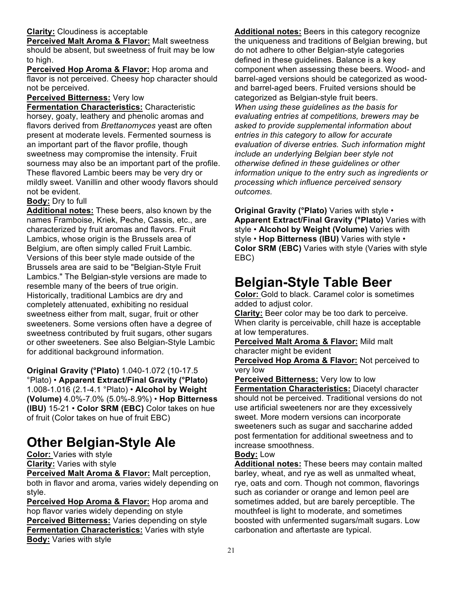#### **Clarity:** Cloudiness is acceptable

**Perceived Malt Aroma & Flavor:** Malt sweetness should be absent, but sweetness of fruit may be low to high.

**Perceived Hop Aroma & Flavor:** Hop aroma and flavor is not perceived. Cheesy hop character should not be perceived.

#### **Perceived Bitterness:** Very low

**Fermentation Characteristics:** Characteristic horsey, goaty, leathery and phenolic aromas and flavors derived from *Brettanomyces* yeast are often present at moderate levels. Fermented sourness is an important part of the flavor profile, though sweetness may compromise the intensity. Fruit sourness may also be an important part of the profile. These flavored Lambic beers may be very dry or mildly sweet. Vanillin and other woody flavors should not be evident.

#### **Body:** Dry to full

**Additional notes:** These beers, also known by the names Framboise, Kriek, Peche, Cassis, etc., are characterized by fruit aromas and flavors. Fruit Lambics, whose origin is the Brussels area of Belgium, are often simply called Fruit Lambic. Versions of this beer style made outside of the Brussels area are said to be "Belgian-Style Fruit Lambics." The Belgian-style versions are made to resemble many of the beers of true origin. Historically, traditional Lambics are dry and completely attenuated, exhibiting no residual sweetness either from malt, sugar, fruit or other sweeteners. Some versions often have a degree of sweetness contributed by fruit sugars, other sugars or other sweeteners. See also Belgian-Style Lambic for additional background information.

**Original Gravity (°Plato)** 1.040-1.072 (10-17.5 °Plato) • **Apparent Extract/Final Gravity (°Plato)** 1.008-1.016 (2.1-4.1 °Plato) • **Alcohol by Weight (Volume)** 4.0%-7.0% (5.0%-8.9%) • **Hop Bitterness (IBU)** 15-21 • **Color SRM (EBC)** Color takes on hue of fruit (Color takes on hue of fruit EBC)

# **Other Belgian-Style Ale**

**Color:** Varies with style

**Clarity:** Varies with style

**Perceived Malt Aroma & Flavor:** Malt perception, both in flavor and aroma, varies widely depending on style.

**Perceived Hop Aroma & Flavor:** Hop aroma and hop flavor varies widely depending on style **Perceived Bitterness:** Varies depending on style **Fermentation Characteristics:** Varies with style **Body:** Varies with style

**Additional notes:** Beers in this category recognize the uniqueness and traditions of Belgian brewing, but do not adhere to other Belgian-style categories defined in these guidelines. Balance is a key component when assessing these beers. Wood- and barrel-aged versions should be categorized as woodand barrel-aged beers. Fruited versions should be categorized as Belgian-style fruit beers. *When using these guidelines as the basis for evaluating entries at competitions, brewers may be asked to provide supplemental information about entries in this category to allow for accurate evaluation of diverse entries. Such information might include an underlying Belgian beer style not otherwise defined in these guidelines or other information unique to the entry such as ingredients or processing which influence perceived sensory outcomes.*

**Original Gravity (°Plato)** Varies with style • **Apparent Extract/Final Gravity (°Plato)** Varies with style • **Alcohol by Weight (Volume)** Varies with style • **Hop Bitterness (IBU)** Varies with style • **Color SRM (EBC)** Varies with style (Varies with style EBC)

#### **Belgian-Style Table Beer**

**Color:** Gold to black. Caramel color is sometimes added to adjust color.

**Clarity:** Beer color may be too dark to perceive. When clarity is perceivable, chill haze is acceptable at low temperatures.

**Perceived Malt Aroma & Flavor:** Mild malt character might be evident

**Perceived Hop Aroma & Flavor:** Not perceived to very low

**Perceived Bitterness:** Very low to low **Fermentation Characteristics:** Diacetyl character should not be perceived. Traditional versions do not use artificial sweeteners nor are they excessively sweet. More modern versions can incorporate sweeteners such as sugar and saccharine added post fermentation for additional sweetness and to increase smoothness.

#### **Body:** Low

**Additional notes:** These beers may contain malted barley, wheat, and rye as well as unmalted wheat, rye, oats and corn. Though not common, flavorings such as coriander or orange and lemon peel are sometimes added, but are barely perceptible. The mouthfeel is light to moderate, and sometimes boosted with unfermented sugars/malt sugars. Low carbonation and aftertaste are typical.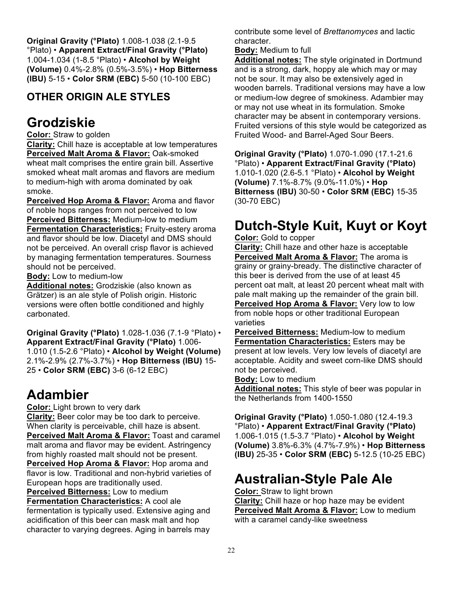**Original Gravity (°Plato)** 1.008-1.038 (2.1-9.5 °Plato) • **Apparent Extract/Final Gravity (°Plato)** 1.004-1.034 (1-8.5 °Plato) • **Alcohol by Weight (Volume)** 0.4%-2.8% (0.5%-3.5%) • **Hop Bitterness (IBU)** 5-15 • **Color SRM (EBC)** 5-50 (10-100 EBC)

#### **OTHER ORIGIN ALE STYLES**

# **Grodziskie**

**Color:** Straw to golden

**Clarity:** Chill haze is acceptable at low temperatures **Perceived Malt Aroma & Flavor:** Oak-smoked wheat malt comprises the entire grain bill. Assertive smoked wheat malt aromas and flavors are medium to medium-high with aroma dominated by oak smoke.

**Perceived Hop Aroma & Flavor:** Aroma and flavor of noble hops ranges from not perceived to low **Perceived Bitterness:** Medium-low to medium **Fermentation Characteristics:** Fruity-estery aroma and flavor should be low. Diacetyl and DMS should not be perceived. An overall crisp flavor is achieved by managing fermentation temperatures. Sourness should not be perceived.

**Body:** Low to medium-low

**Additional notes:** Grodziskie (also known as Grätzer) is an ale style of Polish origin. Historic versions were often bottle conditioned and highly carbonated.

**Original Gravity (°Plato)** 1.028-1.036 (7.1-9 °Plato) • **Apparent Extract/Final Gravity (°Plato)** 1.006- 1.010 (1.5-2.6 °Plato) • **Alcohol by Weight (Volume)** 2.1%-2.9% (2.7%-3.7%) • **Hop Bitterness (IBU)** 15- 25 • **Color SRM (EBC)** 3-6 (6-12 EBC)

# **Adambier**

**Color:** Light brown to very dark

**Clarity:** Beer color may be too dark to perceive. When clarity is perceivable, chill haze is absent. **Perceived Malt Aroma & Flavor:** Toast and caramel malt aroma and flavor may be evident. Astringency from highly roasted malt should not be present. **Perceived Hop Aroma & Flavor:** Hop aroma and flavor is low. Traditional and non-hybrid varieties of European hops are traditionally used. **Perceived Bitterness:** Low to medium

**Fermentation Characteristics:** A cool ale

fermentation is typically used. Extensive aging and acidification of this beer can mask malt and hop character to varying degrees. Aging in barrels may

contribute some level of *Brettanomyces* and lactic character.

**Body:** Medium to full

**Additional notes:** The style originated in Dortmund and is a strong, dark, hoppy ale which may or may not be sour. It may also be extensively aged in wooden barrels. Traditional versions may have a low or medium-low degree of smokiness. Adambier may or may not use wheat in its formulation. Smoke character may be absent in contemporary versions. Fruited versions of this style would be categorized as Fruited Wood- and Barrel-Aged Sour Beers.

**Original Gravity (°Plato)** 1.070-1.090 (17.1-21.6 °Plato) • **Apparent Extract/Final Gravity (°Plato)** 1.010-1.020 (2.6-5.1 °Plato) • **Alcohol by Weight (Volume)** 7.1%-8.7% (9.0%-11.0%) • **Hop Bitterness (IBU)** 30-50 • **Color SRM (EBC)** 15-35 (30-70 EBC)

# **Dutch-Style Kuit, Kuyt or Koyt**

**Color:** Gold to copper

**Clarity:** Chill haze and other haze is acceptable **Perceived Malt Aroma & Flavor:** The aroma is grainy or grainy-bready. The distinctive character of this beer is derived from the use of at least 45 percent oat malt, at least 20 percent wheat malt with pale malt making up the remainder of the grain bill. **Perceived Hop Aroma & Flavor:** Very low to low from noble hops or other traditional European

varieties

**Perceived Bitterness:** Medium-low to medium **Fermentation Characteristics:** Esters may be present at low levels. Very low levels of diacetyl are acceptable. Acidity and sweet corn-like DMS should not be perceived.

**Body:** Low to medium

**Additional notes:** This style of beer was popular in the Netherlands from 1400-1550

**Original Gravity (°Plato)** 1.050-1.080 (12.4-19.3 °Plato) • **Apparent Extract/Final Gravity (°Plato)** 1.006-1.015 (1.5-3.7 °Plato) • **Alcohol by Weight (Volume)** 3.8%-6.3% (4.7%-7.9%) • **Hop Bitterness (IBU)** 25-35 • **Color SRM (EBC)** 5-12.5 (10-25 EBC)

# **Australian-Style Pale Ale**

**Color:** Straw to light brown **Clarity:** Chill haze or hop haze may be evident **Perceived Malt Aroma & Flavor:** Low to medium with a caramel candy-like sweetness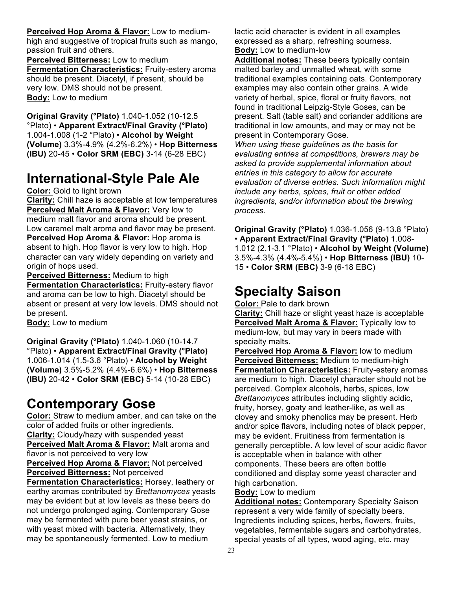**Perceived Hop Aroma & Flavor:** Low to mediumhigh and suggestive of tropical fruits such as mango, passion fruit and others.

**Perceived Bitterness:** Low to medium **Fermentation Characteristics:** Fruity-estery aroma should be present. Diacetyl, if present, should be very low. DMS should not be present. **Body:** Low to medium

**Original Gravity (°Plato)** 1.040-1.052 (10-12.5 °Plato) • **Apparent Extract/Final Gravity (°Plato)** 1.004-1.008 (1-2 °Plato) • **Alcohol by Weight (Volume)** 3.3%-4.9% (4.2%-6.2%) • **Hop Bitterness (IBU)** 20-45 • **Color SRM (EBC)** 3-14 (6-28 EBC)

# **International-Style Pale Ale**

**Color:** Gold to light brown

**Clarity:** Chill haze is acceptable at low temperatures **Perceived Malt Aroma & Flavor:** Very low to medium malt flavor and aroma should be present. Low caramel malt aroma and flavor may be present. **Perceived Hop Aroma & Flavor:** Hop aroma is absent to high. Hop flavor is very low to high. Hop character can vary widely depending on variety and origin of hops used.

**Perceived Bitterness:** Medium to high **Fermentation Characteristics:** Fruity-estery flavor and aroma can be low to high. Diacetyl should be absent or present at very low levels. DMS should not be present.

**Body:** Low to medium

**Original Gravity (°Plato)** 1.040-1.060 (10-14.7 °Plato) • **Apparent Extract/Final Gravity (°Plato)** 1.006-1.014 (1.5-3.6 °Plato) • **Alcohol by Weight (Volume)** 3.5%-5.2% (4.4%-6.6%) • **Hop Bitterness (IBU)** 20-42 • **Color SRM (EBC)** 5-14 (10-28 EBC)

# **Contemporary Gose**

**Color:** Straw to medium amber, and can take on the color of added fruits or other ingredients. **Clarity:** Cloudy/hazy with suspended yeast **Perceived Malt Aroma & Flavor:** Malt aroma and flavor is not perceived to very low

**Perceived Hop Aroma & Flavor:** Not perceived **Perceived Bitterness:** Not perceived

**Fermentation Characteristics:** Horsey, leathery or earthy aromas contributed by *Brettanomyces* yeasts may be evident but at low levels as these beers do not undergo prolonged aging. Contemporary Gose may be fermented with pure beer yeast strains, or with yeast mixed with bacteria. Alternatively, they may be spontaneously fermented. Low to medium

lactic acid character is evident in all examples expressed as a sharp, refreshing sourness. **Body:** Low to medium-low

**Additional notes:** These beers typically contain malted barley and unmalted wheat, with some traditional examples containing oats. Contemporary examples may also contain other grains. A wide variety of herbal, spice, floral or fruity flavors, not found in traditional Leipzig-Style Goses, can be present. Salt (table salt) and coriander additions are traditional in low amounts, and may or may not be present in Contemporary Gose.

*When using these guidelines as the basis for evaluating entries at competitions, brewers may be asked to provide supplemental information about entries in this category to allow for accurate evaluation of diverse entries. Such information might include any herbs, spices, fruit or other added ingredients, and/or information about the brewing process.*

**Original Gravity (°Plato)** 1.036-1.056 (9-13.8 °Plato) • **Apparent Extract/Final Gravity (°Plato)** 1.008- 1.012 (2.1-3.1 °Plato) • **Alcohol by Weight (Volume)** 3.5%-4.3% (4.4%-5.4%) • **Hop Bitterness (IBU)** 10- 15 • **Color SRM (EBC)** 3-9 (6-18 EBC)

# **Specialty Saison**

**Color:** Pale to dark brown

**Clarity:** Chill haze or slight yeast haze is acceptable **Perceived Malt Aroma & Flavor:** Typically low to medium-low, but may vary in beers made with specialty malts.

**Perceived Hop Aroma & Flavor:** low to medium **Perceived Bitterness:** Medium to medium-high **Fermentation Characteristics:** Fruity-estery aromas are medium to high. Diacetyl character should not be perceived. Complex alcohols, herbs, spices, low *Brettanomyces* attributes including slightly acidic, fruity, horsey, goaty and leather-like, as well as clovey and smoky phenolics may be present. Herb and/or spice flavors, including notes of black pepper, may be evident. Fruitiness from fermentation is generally perceptible. A low level of sour acidic flavor is acceptable when in balance with other components. These beers are often bottle conditioned and display some yeast character and high carbonation.

**Body:** Low to medium

**Additional notes:** Contemporary Specialty Saison represent a very wide family of specialty beers. Ingredients including spices, herbs, flowers, fruits, vegetables, fermentable sugars and carbohydrates, special yeasts of all types, wood aging, etc. may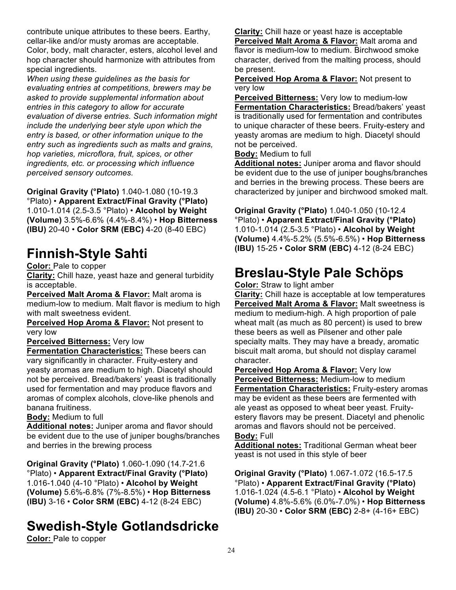contribute unique attributes to these beers. Earthy, cellar-like and/or musty aromas are acceptable. Color, body, malt character, esters, alcohol level and hop character should harmonize with attributes from special ingredients.

*When using these guidelines as the basis for evaluating entries at competitions, brewers may be asked to provide supplemental information about entries in this category to allow for accurate evaluation of diverse entries. Such information might include the underlying beer style upon which the entry is based, or other information unique to the entry such as ingredients such as malts and grains, hop varieties, microflora, fruit, spices, or other ingredients, etc. or processing which influence perceived sensory outcomes.*

**Original Gravity (°Plato)** 1.040-1.080 (10-19.3 °Plato) • **Apparent Extract/Final Gravity (°Plato)** 1.010-1.014 (2.5-3.5 °Plato) • **Alcohol by Weight (Volume)** 3.5%-6.6% (4.4%-8.4%) • **Hop Bitterness (IBU)** 20-40 • **Color SRM (EBC)** 4-20 (8-40 EBC)

# **Finnish-Style Sahti**

**Color:** Pale to copper

**Clarity:** Chill haze, yeast haze and general turbidity is acceptable.

**Perceived Malt Aroma & Flavor:** Malt aroma is medium-low to medium. Malt flavor is medium to high with malt sweetness evident.

**Perceived Hop Aroma & Flavor:** Not present to very low

**Perceived Bitterness:** Very low

**Fermentation Characteristics:** These beers can vary significantly in character. Fruity-estery and yeasty aromas are medium to high. Diacetyl should not be perceived. Bread/bakers' yeast is traditionally used for fermentation and may produce flavors and aromas of complex alcohols, clove-like phenols and banana fruitiness.

**Body:** Medium to full

**Additional notes:** Juniper aroma and flavor should be evident due to the use of juniper boughs/branches and berries in the brewing process

**Original Gravity (°Plato)** 1.060-1.090 (14.7-21.6 °Plato) • **Apparent Extract/Final Gravity (°Plato)** 1.016-1.040 (4-10 °Plato) • **Alcohol by Weight (Volume)** 5.6%-6.8% (7%-8.5%) • **Hop Bitterness (IBU)** 3-16 • **Color SRM (EBC)** 4-12 (8-24 EBC)

# **Swedish-Style Gotlandsdricke**

**Color:** Pale to copper

**Clarity:** Chill haze or yeast haze is acceptable **Perceived Malt Aroma & Flavor:** Malt aroma and flavor is medium-low to medium. Birchwood smoke character, derived from the malting process, should be present.

**Perceived Hop Aroma & Flavor:** Not present to very low

**Perceived Bitterness:** Very low to medium-low **Fermentation Characteristics:** Bread/bakers' yeast is traditionally used for fermentation and contributes to unique character of these beers. Fruity-estery and yeasty aromas are medium to high. Diacetyl should not be perceived.

**Body:** Medium to full

**Additional notes:** Juniper aroma and flavor should be evident due to the use of juniper boughs/branches and berries in the brewing process. These beers are characterized by juniper and birchwood smoked malt.

**Original Gravity (°Plato)** 1.040-1.050 (10-12.4 °Plato) • **Apparent Extract/Final Gravity (°Plato)** 1.010-1.014 (2.5-3.5 °Plato) • **Alcohol by Weight (Volume)** 4.4%-5.2% (5.5%-6.5%) • **Hop Bitterness (IBU)** 15-25 • **Color SRM (EBC)** 4-12 (8-24 EBC)

# **Breslau-Style Pale Schöps**

**Color:** Straw to light amber

**Clarity:** Chill haze is acceptable at low temperatures **Perceived Malt Aroma & Flavor:** Malt sweetness is medium to medium-high. A high proportion of pale wheat malt (as much as 80 percent) is used to brew these beers as well as Pilsener and other pale specialty malts. They may have a bready, aromatic biscuit malt aroma, but should not display caramel character.

**Perceived Hop Aroma & Flavor:** Very low **Perceived Bitterness:** Medium-low to medium **Fermentation Characteristics:** Fruity-estery aromas may be evident as these beers are fermented with ale yeast as opposed to wheat beer yeast. Fruityestery flavors may be present. Diacetyl and phenolic aromas and flavors should not be perceived.

**Body:** Full

**Additional notes:** Traditional German wheat beer yeast is not used in this style of beer

**Original Gravity (°Plato)** 1.067-1.072 (16.5-17.5 °Plato) • **Apparent Extract/Final Gravity (°Plato)** 1.016-1.024 (4.5-6.1 °Plato) • **Alcohol by Weight (Volume)** 4.8%-5.6% (6.0%-7.0%) • **Hop Bitterness (IBU)** 20-30 • **Color SRM (EBC)** 2-8+ (4-16+ EBC)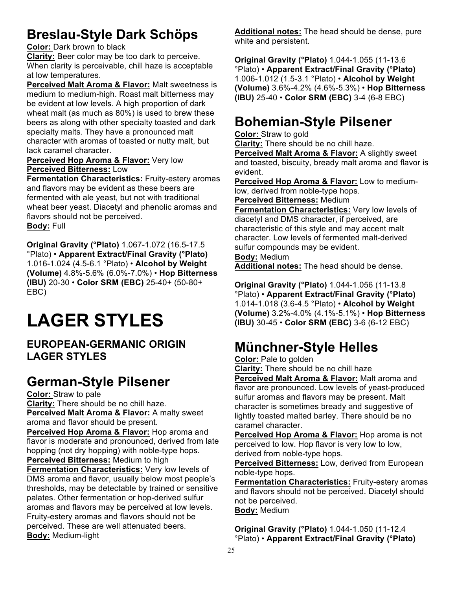# **Breslau-Style Dark Schöps**

**Color:** Dark brown to black

**Clarity:** Beer color may be too dark to perceive. When clarity is perceivable, chill haze is acceptable at low temperatures.

**Perceived Malt Aroma & Flavor:** Malt sweetness is medium to medium-high. Roast malt bitterness may be evident at low levels. A high proportion of dark wheat malt (as much as 80%) is used to brew these beers as along with other specialty toasted and dark specialty malts. They have a pronounced malt character with aromas of toasted or nutty malt, but lack caramel character.

#### **Perceived Hop Aroma & Flavor:** Very low **Perceived Bitterness:** Low

**Fermentation Characteristics:** Fruity-estery aromas and flavors may be evident as these beers are fermented with ale yeast, but not with traditional wheat beer yeast. Diacetyl and phenolic aromas and flavors should not be perceived.

**Body:** Full

**Original Gravity (°Plato)** 1.067-1.072 (16.5-17.5 °Plato) • **Apparent Extract/Final Gravity (°Plato)** 1.016-1.024 (4.5-6.1 °Plato) • **Alcohol by Weight (Volume)** 4.8%-5.6% (6.0%-7.0%) • **Hop Bitterness (IBU)** 20-30 • **Color SRM (EBC)** 25-40+ (50-80+ EBC)

# **LAGER STYLES**

**EUROPEAN-GERMANIC ORIGIN LAGER STYLES**

# **German-Style Pilsener**

**Color:** Straw to pale

**Clarity:** There should be no chill haze. **Perceived Malt Aroma & Flavor:** A malty sweet aroma and flavor should be present.

**Perceived Hop Aroma & Flavor:** Hop aroma and flavor is moderate and pronounced, derived from late hopping (not dry hopping) with noble-type hops. **Perceived Bitterness:** Medium to high

**Fermentation Characteristics:** Very low levels of DMS aroma and flavor, usually below most people's thresholds, may be detectable by trained or sensitive palates. Other fermentation or hop-derived sulfur aromas and flavors may be perceived at low levels. Fruity-estery aromas and flavors should not be perceived. These are well attenuated beers. **Body:** Medium-light

**Additional notes:** The head should be dense, pure white and persistent.

**Original Gravity (°Plato)** 1.044-1.055 (11-13.6 °Plato) • **Apparent Extract/Final Gravity (°Plato)** 1.006-1.012 (1.5-3.1 °Plato) • **Alcohol by Weight (Volume)** 3.6%-4.2% (4.6%-5.3%) • **Hop Bitterness (IBU)** 25-40 • **Color SRM (EBC)** 3-4 (6-8 EBC)

# **Bohemian-Style Pilsener**

**Color:** Straw to gold

**Clarity:** There should be no chill haze.

**Perceived Malt Aroma & Flavor:** A slightly sweet and toasted, biscuity, bready malt aroma and flavor is evident.

**Perceived Hop Aroma & Flavor:** Low to mediumlow, derived from noble-type hops.

**Perceived Bitterness:** Medium

**Fermentation Characteristics:** Very low levels of diacetyl and DMS character, if perceived, are characteristic of this style and may accent malt character. Low levels of fermented malt-derived sulfur compounds may be evident.

**Body:** Medium

**Additional notes:** The head should be dense.

**Original Gravity (°Plato)** 1.044-1.056 (11-13.8 °Plato) • **Apparent Extract/Final Gravity (°Plato)** 1.014-1.018 (3.6-4.5 °Plato) • **Alcohol by Weight (Volume)** 3.2%-4.0% (4.1%-5.1%) • **Hop Bitterness (IBU)** 30-45 • **Color SRM (EBC)** 3-6 (6-12 EBC)

# **Münchner-Style Helles**

**Color:** Pale to golden

**Clarity:** There should be no chill haze **Perceived Malt Aroma & Flavor:** Malt aroma and

flavor are pronounced. Low levels of yeast-produced sulfur aromas and flavors may be present. Malt character is sometimes bready and suggestive of lightly toasted malted barley. There should be no caramel character.

**Perceived Hop Aroma & Flavor:** Hop aroma is not perceived to low. Hop flavor is very low to low, derived from noble-type hops.

**Perceived Bitterness:** Low, derived from European noble-type hops.

**Fermentation Characteristics:** Fruity-estery aromas and flavors should not be perceived. Diacetyl should not be perceived. **Body:** Medium

**Original Gravity (°Plato)** 1.044-1.050 (11-12.4 °Plato) • **Apparent Extract/Final Gravity (°Plato)**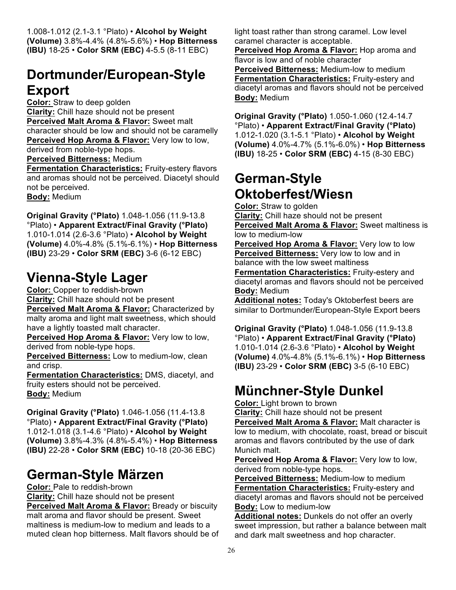1.008-1.012 (2.1-3.1 °Plato) • **Alcohol by Weight (Volume)** 3.8%-4.4% (4.8%-5.6%) • **Hop Bitterness (IBU)** 18-25 • **Color SRM (EBC)** 4-5.5 (8-11 EBC)

# **Dortmunder/European-Style Export**

**Color:** Straw to deep golden **Clarity:** Chill haze should not be present **Perceived Malt Aroma & Flavor:** Sweet malt character should be low and should not be caramelly **Perceived Hop Aroma & Flavor:** Very low to low, derived from noble-type hops.

**Perceived Bitterness:** Medium

**Fermentation Characteristics:** Fruity-estery flavors and aromas should not be perceived. Diacetyl should not be perceived.

**Body:** Medium

**Original Gravity (°Plato)** 1.048-1.056 (11.9-13.8 °Plato) • **Apparent Extract/Final Gravity (°Plato)** 1.010-1.014 (2.6-3.6 °Plato) • **Alcohol by Weight (Volume)** 4.0%-4.8% (5.1%-6.1%) • **Hop Bitterness (IBU)** 23-29 • **Color SRM (EBC)** 3-6 (6-12 EBC)

### **Vienna-Style Lager**

**Color:** Copper to reddish-brown **Clarity:** Chill haze should not be present **Perceived Malt Aroma & Flavor:** Characterized by malty aroma and light malt sweetness, which should have a lightly toasted malt character.

**Perceived Hop Aroma & Flavor:** Very low to low, derived from noble-type hops.

**Perceived Bitterness:** Low to medium-low, clean and crisp.

**Fermentation Characteristics:** DMS, diacetyl, and fruity esters should not be perceived. **Body:** Medium

**Original Gravity (°Plato)** 1.046-1.056 (11.4-13.8 °Plato) • **Apparent Extract/Final Gravity (°Plato)** 1.012-1.018 (3.1-4.6 °Plato) • **Alcohol by Weight (Volume)** 3.8%-4.3% (4.8%-5.4%) • **Hop Bitterness (IBU)** 22-28 • **Color SRM (EBC)** 10-18 (20-36 EBC)

# **German-Style Märzen**

**Color:** Pale to reddish-brown **Clarity:** Chill haze should not be present **Perceived Malt Aroma & Flavor:** Bready or biscuity malt aroma and flavor should be present. Sweet maltiness is medium-low to medium and leads to a muted clean hop bitterness. Malt flavors should be of light toast rather than strong caramel. Low level caramel character is acceptable.

**Perceived Hop Aroma & Flavor:** Hop aroma and flavor is low and of noble character

**Perceived Bitterness:** Medium-low to medium **Fermentation Characteristics:** Fruity-estery and diacetyl aromas and flavors should not be perceived **Body:** Medium

**Original Gravity (°Plato)** 1.050-1.060 (12.4-14.7 °Plato) • **Apparent Extract/Final Gravity (°Plato)** 1.012-1.020 (3.1-5.1 °Plato) • **Alcohol by Weight (Volume)** 4.0%-4.7% (5.1%-6.0%) • **Hop Bitterness (IBU)** 18-25 • **Color SRM (EBC)** 4-15 (8-30 EBC)

# **German-Style Oktoberfest/Wiesn**

**Color:** Straw to golden

**Clarity:** Chill haze should not be present **Perceived Malt Aroma & Flavor:** Sweet maltiness is

low to medium-low

**Perceived Hop Aroma & Flavor:** Very low to low **Perceived Bitterness:** Very low to low and in balance with the low sweet maltiness

**Fermentation Characteristics:** Fruity-estery and diacetyl aromas and flavors should not be perceived **Body:** Medium

**Additional notes:** Today's Oktoberfest beers are similar to Dortmunder/European-Style Export beers

**Original Gravity (°Plato)** 1.048-1.056 (11.9-13.8 °Plato) • **Apparent Extract/Final Gravity (°Plato)** 1.010-1.014 (2.6-3.6 °Plato) • **Alcohol by Weight (Volume)** 4.0%-4.8% (5.1%-6.1%) • **Hop Bitterness (IBU)** 23-29 • **Color SRM (EBC)** 3-5 (6-10 EBC)

# **Münchner-Style Dunkel**

**Color:** Light brown to brown

**Clarity:** Chill haze should not be present **Perceived Malt Aroma & Flavor:** Malt character is low to medium, with chocolate, roast, bread or biscuit aromas and flavors contributed by the use of dark Munich malt.

**Perceived Hop Aroma & Flavor:** Very low to low, derived from noble-type hops.

**Perceived Bitterness:** Medium-low to medium **Fermentation Characteristics:** Fruity-estery and diacetyl aromas and flavors should not be perceived **Body:** Low to medium-low

**Additional notes:** Dunkels do not offer an overly sweet impression, but rather a balance between malt and dark malt sweetness and hop character.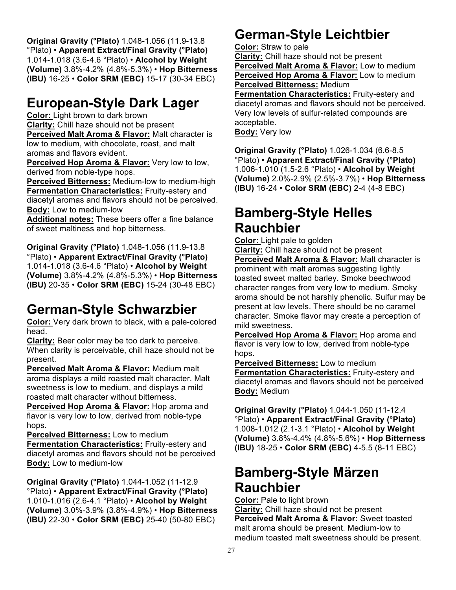**Original Gravity (°Plato)** 1.048-1.056 (11.9-13.8 °Plato) • **Apparent Extract/Final Gravity (°Plato)** 1.014-1.018 (3.6-4.6 °Plato) • **Alcohol by Weight (Volume)** 3.8%-4.2% (4.8%-5.3%) • **Hop Bitterness (IBU)** 16-25 • **Color SRM (EBC)** 15-17 (30-34 EBC)

#### **European-Style Dark Lager**

**Color:** Light brown to dark brown **Clarity:** Chill haze should not be present **Perceived Malt Aroma & Flavor:** Malt character is low to medium, with chocolate, roast, and malt aromas and flavors evident.

**Perceived Hop Aroma & Flavor:** Very low to low, derived from noble-type hops.

**Perceived Bitterness:** Medium-low to medium-high **Fermentation Characteristics:** Fruity-estery and diacetyl aromas and flavors should not be perceived. **Body:** Low to medium-low

**Additional notes:** These beers offer a fine balance of sweet maltiness and hop bitterness.

**Original Gravity (°Plato)** 1.048-1.056 (11.9-13.8 °Plato) • **Apparent Extract/Final Gravity (°Plato)** 1.014-1.018 (3.6-4.6 °Plato) • **Alcohol by Weight (Volume)** 3.8%-4.2% (4.8%-5.3%) • **Hop Bitterness (IBU)** 20-35 • **Color SRM (EBC)** 15-24 (30-48 EBC)

#### **German-Style Schwarzbier**

**Color:** Very dark brown to black, with a pale-colored head.

**Clarity:** Beer color may be too dark to perceive. When clarity is perceivable, chill haze should not be present.

**Perceived Malt Aroma & Flavor:** Medium malt aroma displays a mild roasted malt character. Malt sweetness is low to medium, and displays a mild roasted malt character without bitterness.

**Perceived Hop Aroma & Flavor:** Hop aroma and flavor is very low to low, derived from noble-type hops.

**Perceived Bitterness:** Low to medium **Fermentation Characteristics:** Fruity-estery and diacetyl aromas and flavors should not be perceived **Body:** Low to medium-low

**Original Gravity (°Plato)** 1.044-1.052 (11-12.9 °Plato) • **Apparent Extract/Final Gravity (°Plato)** 1.010-1.016 (2.6-4.1 °Plato) • **Alcohol by Weight (Volume)** 3.0%-3.9% (3.8%-4.9%) • **Hop Bitterness (IBU)** 22-30 • **Color SRM (EBC)** 25-40 (50-80 EBC)

# **German-Style Leichtbier**

**Color:** Straw to pale

**Clarity:** Chill haze should not be present **Perceived Malt Aroma & Flavor:** Low to medium **Perceived Hop Aroma & Flavor:** Low to medium **Perceived Bitterness:** Medium

**Fermentation Characteristics:** Fruity-estery and diacetyl aromas and flavors should not be perceived. Very low levels of sulfur-related compounds are acceptable.

**Body:** Very low

**Original Gravity (°Plato)** 1.026-1.034 (6.6-8.5 °Plato) • **Apparent Extract/Final Gravity (°Plato)** 1.006-1.010 (1.5-2.6 °Plato) • **Alcohol by Weight (Volume)** 2.0%-2.9% (2.5%-3.7%) • **Hop Bitterness (IBU)** 16-24 • **Color SRM (EBC)** 2-4 (4-8 EBC)

### **Bamberg-Style Helles Rauchbier**

**Color:** Light pale to golden

**Clarity:** Chill haze should not be present **Perceived Malt Aroma & Flavor:** Malt character is prominent with malt aromas suggesting lightly toasted sweet malted barley. Smoke beechwood character ranges from very low to medium. Smoky aroma should be not harshly phenolic. Sulfur may be present at low levels. There should be no caramel character. Smoke flavor may create a perception of mild sweetness.

**Perceived Hop Aroma & Flavor:** Hop aroma and flavor is very low to low, derived from noble-type hops.

**Perceived Bitterness:** Low to medium **Fermentation Characteristics:** Fruity-estery and diacetyl aromas and flavors should not be perceived **Body:** Medium

**Original Gravity (°Plato)** 1.044-1.050 (11-12.4 °Plato) • **Apparent Extract/Final Gravity (°Plato)** 1.008-1.012 (2.1-3.1 °Plato) • **Alcohol by Weight (Volume)** 3.8%-4.4% (4.8%-5.6%) • **Hop Bitterness (IBU)** 18-25 • **Color SRM (EBC)** 4-5.5 (8-11 EBC)

# **Bamberg-Style Märzen Rauchbier**

**Color:** Pale to light brown

**Clarity:** Chill haze should not be present **Perceived Malt Aroma & Flavor:** Sweet toasted malt aroma should be present. Medium-low to medium toasted malt sweetness should be present.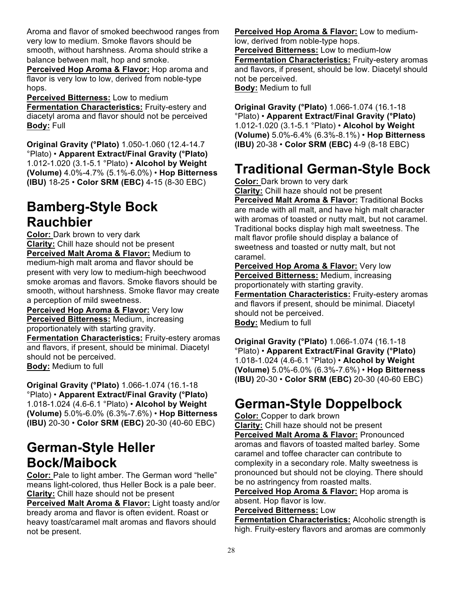Aroma and flavor of smoked beechwood ranges from very low to medium. Smoke flavors should be smooth, without harshness. Aroma should strike a balance between malt, hop and smoke.

**Perceived Hop Aroma & Flavor:** Hop aroma and flavor is very low to low, derived from noble-type hops.

**Perceived Bitterness:** Low to medium **Fermentation Characteristics:** Fruity-estery and diacetyl aroma and flavor should not be perceived **Body:** Full

**Original Gravity (°Plato)** 1.050-1.060 (12.4-14.7 °Plato) • **Apparent Extract/Final Gravity (°Plato)** 1.012-1.020 (3.1-5.1 °Plato) • **Alcohol by Weight (Volume)** 4.0%-4.7% (5.1%-6.0%) • **Hop Bitterness (IBU)** 18-25 • **Color SRM (EBC)** 4-15 (8-30 EBC)

# **Bamberg-Style Bock Rauchbier**

**Color:** Dark brown to very dark **Clarity:** Chill haze should not be present **Perceived Malt Aroma & Flavor:** Medium to medium-high malt aroma and flavor should be present with very low to medium-high beechwood smoke aromas and flavors. Smoke flavors should be smooth, without harshness. Smoke flavor may create a perception of mild sweetness.

**Perceived Hop Aroma & Flavor:** Very low **Perceived Bitterness:** Medium, increasing proportionately with starting gravity. **Fermentation Characteristics:** Fruity-estery aromas and flavors, if present, should be minimal. Diacetyl should not be perceived. **Body:** Medium to full

**Original Gravity (°Plato)** 1.066-1.074 (16.1-18 °Plato) • **Apparent Extract/Final Gravity (°Plato)** 1.018-1.024 (4.6-6.1 °Plato) • **Alcohol by Weight (Volume)** 5.0%-6.0% (6.3%-7.6%) • **Hop Bitterness (IBU)** 20-30 • **Color SRM (EBC)** 20-30 (40-60 EBC)

#### **German-Style Heller Bock/Maibock**

**Color:** Pale to light amber. The German word "helle" means light-colored, thus Heller Bock is a pale beer. **Clarity:** Chill haze should not be present **Perceived Malt Aroma & Flavor:** Light toasty and/or bready aroma and flavor is often evident. Roast or heavy toast/caramel malt aromas and flavors should not be present.

**Perceived Hop Aroma & Flavor:** Low to mediumlow, derived from noble-type hops.

**Perceived Bitterness:** Low to medium-low **Fermentation Characteristics:** Fruity-estery aromas and flavors, if present, should be low. Diacetyl should not be perceived.

**Body:** Medium to full

**Original Gravity (°Plato)** 1.066-1.074 (16.1-18 °Plato) • **Apparent Extract/Final Gravity (°Plato)** 1.012-1.020 (3.1-5.1 °Plato) • **Alcohol by Weight (Volume)** 5.0%-6.4% (6.3%-8.1%) • **Hop Bitterness (IBU)** 20-38 • **Color SRM (EBC)** 4-9 (8-18 EBC)

# **Traditional German-Style Bock**

**Color:** Dark brown to very dark **Clarity:** Chill haze should not be present

**Perceived Malt Aroma & Flavor:** Traditional Bocks are made with all malt, and have high malt character with aromas of toasted or nutty malt, but not caramel. Traditional bocks display high malt sweetness. The malt flavor profile should display a balance of sweetness and toasted or nutty malt, but not caramel.

**Perceived Hop Aroma & Flavor:** Very low **Perceived Bitterness:** Medium, increasing proportionately with starting gravity.

**Fermentation Characteristics:** Fruity-estery aromas and flavors if present, should be minimal. Diacetyl should not be perceived. **Body:** Medium to full

**Original Gravity (°Plato)** 1.066-1.074 (16.1-18 °Plato) • **Apparent Extract/Final Gravity (°Plato)** 1.018-1.024 (4.6-6.1 °Plato) • **Alcohol by Weight (Volume)** 5.0%-6.0% (6.3%-7.6%) • **Hop Bitterness (IBU)** 20-30 • **Color SRM (EBC)** 20-30 (40-60 EBC)

# **German-Style Doppelbock**

**Color:** Copper to dark brown

**Clarity:** Chill haze should not be present **Perceived Malt Aroma & Flavor:** Pronounced aromas and flavors of toasted malted barley. Some caramel and toffee character can contribute to complexity in a secondary role. Malty sweetness is pronounced but should not be cloying. There should be no astringency from roasted malts.

**Perceived Hop Aroma & Flavor:** Hop aroma is absent. Hop flavor is low.

**Perceived Bitterness:** Low

**Fermentation Characteristics:** Alcoholic strength is high. Fruity-estery flavors and aromas are commonly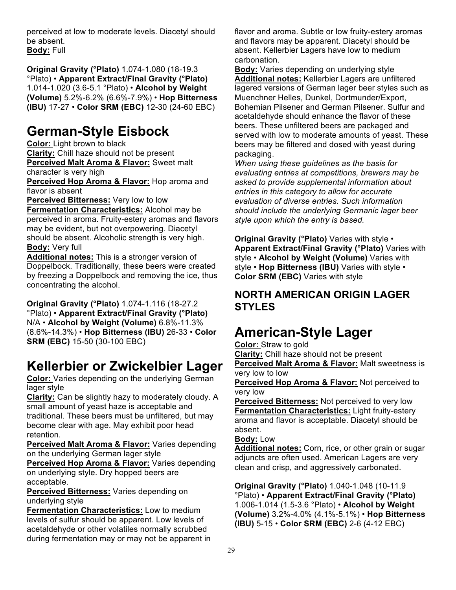perceived at low to moderate levels. Diacetyl should be absent. **Body:** Full

**Original Gravity (°Plato)** 1.074-1.080 (18-19.3 °Plato) • **Apparent Extract/Final Gravity (°Plato)** 1.014-1.020 (3.6-5.1 °Plato) • **Alcohol by Weight (Volume)** 5.2%-6.2% (6.6%-7.9%) • **Hop Bitterness (IBU)** 17-27 • **Color SRM (EBC)** 12-30 (24-60 EBC)

# **German-Style Eisbock**

**Color:** Light brown to black **Clarity:** Chill haze should not be present **Perceived Malt Aroma & Flavor:** Sweet malt character is very high

**Perceived Hop Aroma & Flavor:** Hop aroma and flavor is absent

**Perceived Bitterness:** Very low to low **Fermentation Characteristics:** Alcohol may be perceived in aroma. Fruity-estery aromas and flavors may be evident, but not overpowering. Diacetyl should be absent. Alcoholic strength is very high. **Body:** Very full

**Additional notes:** This is a stronger version of Doppelbock. Traditionally, these beers were created by freezing a Doppelbock and removing the ice, thus concentrating the alcohol.

**Original Gravity (°Plato)** 1.074-1.116 (18-27.2 °Plato) • **Apparent Extract/Final Gravity (°Plato)** N/A • **Alcohol by Weight (Volume)** 6.8%-11.3% (8.6%-14.3%) • **Hop Bitterness (IBU)** 26-33 • **Color SRM (EBC)** 15-50 (30-100 EBC)

# **Kellerbier or Zwickelbier Lager**

**Color:** Varies depending on the underlying German lager style

**Clarity:** Can be slightly hazy to moderately cloudy. A small amount of yeast haze is acceptable and traditional. These beers must be unfiltered, but may become clear with age. May exhibit poor head retention.

**Perceived Malt Aroma & Flavor:** Varies depending on the underlying German lager style

**Perceived Hop Aroma & Flavor:** Varies depending on underlying style. Dry hopped beers are acceptable.

**Perceived Bitterness:** Varies depending on underlying style

**Fermentation Characteristics:** Low to medium levels of sulfur should be apparent. Low levels of acetaldehyde or other volatiles normally scrubbed during fermentation may or may not be apparent in flavor and aroma. Subtle or low fruity-estery aromas and flavors may be apparent. Diacetyl should be absent. Kellerbier Lagers have low to medium carbonation.

**Body:** Varies depending on underlying style **Additional notes:** Kellerbier Lagers are unfiltered lagered versions of German lager beer styles such as Muenchner Helles, Dunkel, Dortmunder/Export, Bohemian Pilsener and German Pilsener. Sulfur and acetaldehyde should enhance the flavor of these beers. These unfiltered beers are packaged and served with low to moderate amounts of yeast. These beers may be filtered and dosed with yeast during packaging.

*When using these guidelines as the basis for evaluating entries at competitions, brewers may be asked to provide supplemental information about entries in this category to allow for accurate evaluation of diverse entries. Such information should include the underlying Germanic lager beer style upon which the entry is based.*

**Original Gravity (°Plato)** Varies with style • **Apparent Extract/Final Gravity (°Plato)** Varies with style • **Alcohol by Weight (Volume)** Varies with style • **Hop Bitterness (IBU)** Varies with style • **Color SRM (EBC)** Varies with style

#### **NORTH AMERICAN ORIGIN LAGER STYLES**

# **American-Style Lager**

**Color:** Straw to gold

**Clarity:** Chill haze should not be present **Perceived Malt Aroma & Flavor:** Malt sweetness is very low to low

**Perceived Hop Aroma & Flavor:** Not perceived to very low

**Perceived Bitterness:** Not perceived to very low **Fermentation Characteristics:** Light fruity-estery aroma and flavor is acceptable. Diacetyl should be absent.

**Body:** Low

**Additional notes:** Corn, rice, or other grain or sugar adjuncts are often used. American Lagers are very clean and crisp, and aggressively carbonated.

**Original Gravity (°Plato)** 1.040-1.048 (10-11.9 °Plato) • **Apparent Extract/Final Gravity (°Plato)** 1.006-1.014 (1.5-3.6 °Plato) • **Alcohol by Weight (Volume)** 3.2%-4.0% (4.1%-5.1%) • **Hop Bitterness (IBU)** 5-15 • **Color SRM (EBC)** 2-6 (4-12 EBC)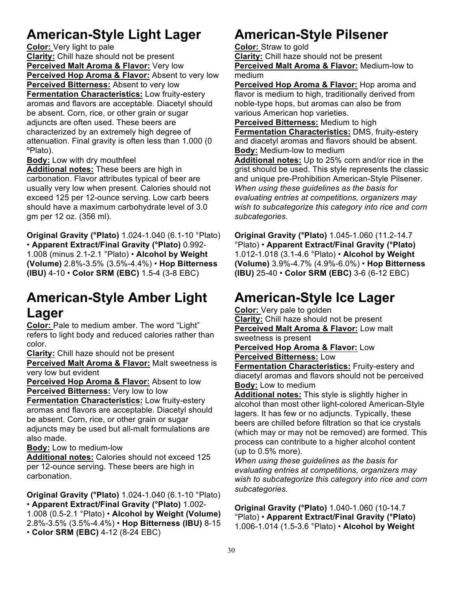# **American-Style Light Lager**

**Color:** Very light to pale

**Clarity:** Chill haze should not be present **Perceived Malt Aroma & Flavor:** Very low **Perceived Hop Aroma & Flavor:** Absent to very low **Perceived Bitterness:** Absent to very low **Fermentation Characteristics:** Low fruity-estery aromas and flavors are acceptable. Diacetyl should be absent. Corn, rice, or other grain or sugar adjuncts are often used. These beers are characterized by an extremely high degree of attenuation. Final gravity is often less than 1.000 (0 ºPlato).

#### **Body:** Low with dry mouthfeel

**Additional notes:** These beers are high in carbonation. Flavor attributes typical of beer are usually very low when present. Calories should not exceed 125 per 12-ounce serving. Low carb beers should have a maximum carbohydrate level of 3.0 gm per 12 oz. (356 ml).

**Original Gravity (°Plato)** 1.024-1.040 (6.1-10 °Plato) • **Apparent Extract/Final Gravity (°Plato)** 0.992- 1.008 (minus 2.1-2.1 °Plato) • **Alcohol by Weight (Volume)** 2.8%-3.5% (3.5%-4.4%) • **Hop Bitterness (IBU)** 4-10 • **Color SRM (EBC)** 1.5-4 (3-8 EBC)

#### **American-Style Amber Light Lager**

**Color:** Pale to medium amber. The word "Light" refers to light body and reduced calories rather than color.

**Clarity:** Chill haze should not be present **Perceived Malt Aroma & Flavor:** Malt sweetness is very low but evident

**Perceived Hop Aroma & Flavor:** Absent to low **Perceived Bitterness:** Very low to low

**Fermentation Characteristics:** Low fruity-estery aromas and flavors are acceptable. Diacetyl should be absent. Corn, rice, or other grain or sugar adjuncts may be used but all-malt formulations are also made.

**Body:** Low to medium-low

**Additional notes:** Calories should not exceed 125 per 12-ounce serving. These beers are high in carbonation.

**Original Gravity (°Plato)** 1.024-1.040 (6.1-10 °Plato) • **Apparent Extract/Final Gravity (°Plato)** 1.002-

1.008 (0.5-2.1 °Plato) • **Alcohol by Weight (Volume)** 2.8%-3.5% (3.5%-4.4%) • **Hop Bitterness (IBU)** 8-15 • **Color SRM (EBC)** 4-12 (8-24 EBC)

# **American-Style Pilsener**

**Color:** Straw to gold **Clarity:** Chill haze should not be present **Perceived Malt Aroma & Flavor:** Medium-low to medium

**Perceived Hop Aroma & Flavor:** Hop aroma and flavor is medium to high, traditionally derived from noble-type hops, but aromas can also be from various American hop varieties.

**Perceived Bitterness:** Medium to high **Fermentation Characteristics:** DMS, fruity-estery and diacetyl aromas and flavors should be absent. **Body:** Medium-low to medium

**Additional notes:** Up to 25% corn and/or rice in the grist should be used. This style represents the classic and unique pre-Prohibition American-Style Pilsener. *When using these guidelines as the basis for evaluating entries at competitions, organizers may wish to subcategorize this category into rice and corn subcategories.*

**Original Gravity (°Plato)** 1.045-1.060 (11.2-14.7 °Plato) • **Apparent Extract/Final Gravity (°Plato)** 1.012-1.018 (3.1-4.6 °Plato) • **Alcohol by Weight (Volume)** 3.9%-4.7% (4.9%-6.0%) • **Hop Bitterness (IBU)** 25-40 • **Color SRM (EBC)** 3-6 (6-12 EBC)

# **American-Style Ice Lager**

**Color:** Very pale to golden **Clarity:** Chill haze should not be present **Perceived Malt Aroma & Flavor:** Low malt sweetness is present **Perceived Hop Aroma & Flavor:** Low

**Perceived Bitterness:** Low

**Fermentation Characteristics:** Fruity-estery and diacetyl aromas and flavors should not be perceived **Body:** Low to medium

**Additional notes:** This style is slightly higher in alcohol than most other light-colored American-Style lagers. It has few or no adjuncts. Typically, these beers are chilled before filtration so that ice crystals (which may or may not be removed) are formed. This process can contribute to a higher alcohol content (up to 0.5% more).

*When using these guidelines as the basis for evaluating entries at competitions, organizers may wish to subcategorize this category into rice and corn subcategories.*

**Original Gravity (°Plato)** 1.040-1.060 (10-14.7 °Plato) • **Apparent Extract/Final Gravity (°Plato)** 1.006-1.014 (1.5-3.6 °Plato) • **Alcohol by Weight**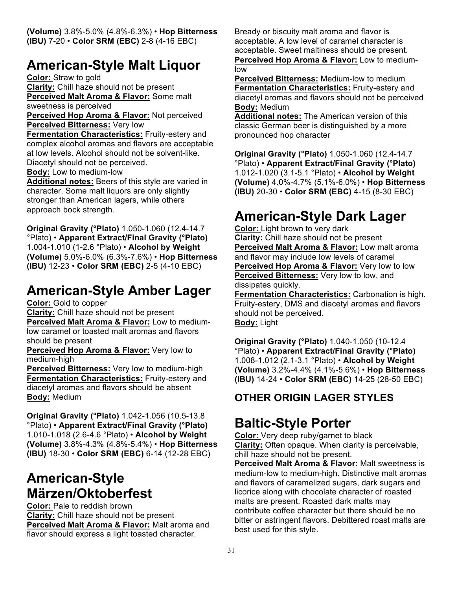**(Volume)** 3.8%-5.0% (4.8%-6.3%) • **Hop Bitterness (IBU)** 7-20 • **Color SRM (EBC)** 2-8 (4-16 EBC)

# **American-Style Malt Liquor**

**Color:** Straw to gold **Clarity:** Chill haze should not be present **Perceived Malt Aroma & Flavor:** Some malt sweetness is perceived **Perceived Hop Aroma & Flavor:** Not perceived

**Perceived Bitterness:** Very low

**Fermentation Characteristics:** Fruity-estery and complex alcohol aromas and flavors are acceptable at low levels. Alcohol should not be solvent-like. Diacetyl should not be perceived.

**Body:** Low to medium-low

**Additional notes:** Beers of this style are varied in character. Some malt liquors are only slightly stronger than American lagers, while others approach bock strength.

**Original Gravity (°Plato)** 1.050-1.060 (12.4-14.7 °Plato) • **Apparent Extract/Final Gravity (°Plato)** 1.004-1.010 (1-2.6 °Plato) • **Alcohol by Weight (Volume)** 5.0%-6.0% (6.3%-7.6%) • **Hop Bitterness (IBU)** 12-23 • **Color SRM (EBC)** 2-5 (4-10 EBC)

# **American-Style Amber Lager**

**Color:** Gold to copper

**Clarity:** Chill haze should not be present **Perceived Malt Aroma & Flavor:** Low to mediumlow caramel or toasted malt aromas and flavors should be present

**Perceived Hop Aroma & Flavor:** Very low to medium-high

**Perceived Bitterness:** Very low to medium-high **Fermentation Characteristics:** Fruity-estery and diacetyl aromas and flavors should be absent **Body:** Medium

**Original Gravity (°Plato)** 1.042-1.056 (10.5-13.8 °Plato) • **Apparent Extract/Final Gravity (°Plato)** 1.010-1.018 (2.6-4.6 °Plato) • **Alcohol by Weight (Volume)** 3.8%-4.3% (4.8%-5.4%) • **Hop Bitterness (IBU)** 18-30 • **Color SRM (EBC)** 6-14 (12-28 EBC)

# **American-Style Märzen/Oktoberfest**

**Color:** Pale to reddish brown **Clarity:** Chill haze should not be present **Perceived Malt Aroma & Flavor:** Malt aroma and flavor should express a light toasted character.

Bready or biscuity malt aroma and flavor is acceptable. A low level of caramel character is acceptable. Sweet maltiness should be present. **Perceived Hop Aroma & Flavor:** Low to mediumlow

**Perceived Bitterness:** Medium-low to medium **Fermentation Characteristics:** Fruity-estery and diacetyl aromas and flavors should not be perceived **Body:** Medium

**Additional notes:** The American version of this classic German beer is distinguished by a more pronounced hop character

**Original Gravity (°Plato)** 1.050-1.060 (12.4-14.7 °Plato) • **Apparent Extract/Final Gravity (°Plato)** 1.012-1.020 (3.1-5.1 °Plato) • **Alcohol by Weight (Volume)** 4.0%-4.7% (5.1%-6.0%) • **Hop Bitterness (IBU)** 20-30 • **Color SRM (EBC)** 4-15 (8-30 EBC)

# **American-Style Dark Lager**

**Color:** Light brown to very dark **Clarity:** Chill haze should not be present **Perceived Malt Aroma & Flavor:** Low malt aroma and flavor may include low levels of caramel **Perceived Hop Aroma & Flavor:** Very low to low **Perceived Bitterness:** Very low to low, and dissipates quickly.

**Fermentation Characteristics:** Carbonation is high. Fruity-estery, DMS and diacetyl aromas and flavors should not be perceived. **Body:** Light

**Original Gravity (°Plato)** 1.040-1.050 (10-12.4 °Plato) • **Apparent Extract/Final Gravity (°Plato)** 1.008-1.012 (2.1-3.1 °Plato) • **Alcohol by Weight (Volume)** 3.2%-4.4% (4.1%-5.6%) • **Hop Bitterness (IBU)** 14-24 • **Color SRM (EBC)** 14-25 (28-50 EBC)

#### **OTHER ORIGIN LAGER STYLES**

# **Baltic-Style Porter**

**Color:** Very deep ruby/garnet to black **Clarity:** Often opaque. When clarity is perceivable, chill haze should not be present.

**Perceived Malt Aroma & Flavor:** Malt sweetness is medium-low to medium-high. Distinctive malt aromas and flavors of caramelized sugars, dark sugars and licorice along with chocolate character of roasted malts are present. Roasted dark malts may contribute coffee character but there should be no bitter or astringent flavors. Debittered roast malts are best used for this style.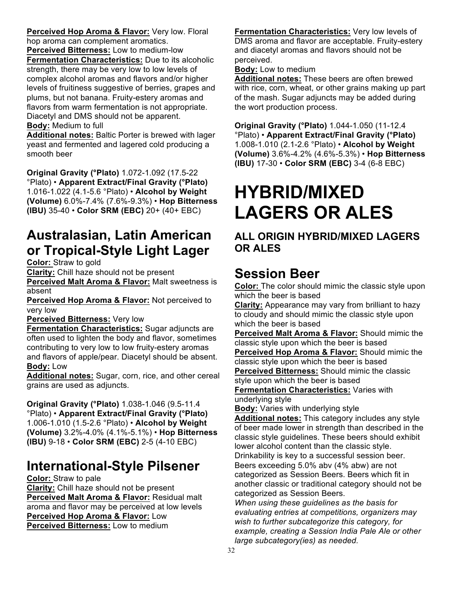**Perceived Hop Aroma & Flavor:** Very low. Floral hop aroma can complement aromatics. **Perceived Bitterness:** Low to medium-low **Fermentation Characteristics:** Due to its alcoholic strength, there may be very low to low levels of complex alcohol aromas and flavors and/or higher levels of fruitiness suggestive of berries, grapes and plums, but not banana. Fruity-estery aromas and flavors from warm fermentation is not appropriate. Diacetyl and DMS should not be apparent.

#### **Body:** Medium to full

**Additional notes:** Baltic Porter is brewed with lager yeast and fermented and lagered cold producing a smooth beer

**Original Gravity (°Plato)** 1.072-1.092 (17.5-22 °Plato) • **Apparent Extract/Final Gravity (°Plato)** 1.016-1.022 (4.1-5.6 °Plato) • **Alcohol by Weight (Volume)** 6.0%-7.4% (7.6%-9.3%) • **Hop Bitterness (IBU)** 35-40 • **Color SRM (EBC)** 20+ (40+ EBC)

# **Australasian, Latin American or Tropical-Style Light Lager**

**Color:** Straw to gold

**Clarity:** Chill haze should not be present

**Perceived Malt Aroma & Flavor:** Malt sweetness is absent

**Perceived Hop Aroma & Flavor:** Not perceived to very low

#### **Perceived Bitterness:** Very low

**Fermentation Characteristics:** Sugar adjuncts are often used to lighten the body and flavor, sometimes contributing to very low to low fruity-estery aromas and flavors of apple/pear. Diacetyl should be absent. **Body:** Low

**Additional notes:** Sugar, corn, rice, and other cereal grains are used as adjuncts.

**Original Gravity (°Plato)** 1.038-1.046 (9.5-11.4 °Plato) • **Apparent Extract/Final Gravity (°Plato)** 1.006-1.010 (1.5-2.6 °Plato) • **Alcohol by Weight (Volume)** 3.2%-4.0% (4.1%-5.1%) • **Hop Bitterness (IBU)** 9-18 • **Color SRM (EBC)** 2-5 (4-10 EBC)

# **International-Style Pilsener**

**Color:** Straw to pale

**Clarity:** Chill haze should not be present **Perceived Malt Aroma & Flavor:** Residual malt aroma and flavor may be perceived at low levels **Perceived Hop Aroma & Flavor:** Low **Perceived Bitterness:** Low to medium

**Fermentation Characteristics:** Very low levels of DMS aroma and flavor are acceptable. Fruity-estery and diacetyl aromas and flavors should not be perceived.

**Body:** Low to medium

**Additional notes:** These beers are often brewed with rice, corn, wheat, or other grains making up part of the mash. Sugar adjuncts may be added during the wort production process.

**Original Gravity (°Plato)** 1.044-1.050 (11-12.4 °Plato) • **Apparent Extract/Final Gravity (°Plato)** 1.008-1.010 (2.1-2.6 °Plato) • **Alcohol by Weight (Volume)** 3.6%-4.2% (4.6%-5.3%) • **Hop Bitterness (IBU)** 17-30 • **Color SRM (EBC)** 3-4 (6-8 EBC)

# **HYBRID/MIXED LAGERS OR ALES**

**ALL ORIGIN HYBRID/MIXED LAGERS OR ALES**

#### **Session Beer**

**Color:** The color should mimic the classic style upon which the beer is based

**Clarity:** Appearance may vary from brilliant to hazy to cloudy and should mimic the classic style upon which the beer is based

**Perceived Malt Aroma & Flavor:** Should mimic the classic style upon which the beer is based **Perceived Hop Aroma & Flavor:** Should mimic the classic style upon which the beer is based **Perceived Bitterness:** Should mimic the classic style upon which the beer is based

**Fermentation Characteristics:** Varies with

underlying style

**Body:** Varies with underlying style

**Additional notes:** This category includes any style of beer made lower in strength than described in the classic style guidelines. These beers should exhibit lower alcohol content than the classic style.

Drinkability is key to a successful session beer. Beers exceeding 5.0% abv (4% abw) are not categorized as Session Beers. Beers which fit in another classic or traditional category should not be categorized as Session Beers.

*When using these guidelines as the basis for evaluating entries at competitions, organizers may wish to further subcategorize this category, for example, creating a Session India Pale Ale or other large subcategory(ies) as needed.*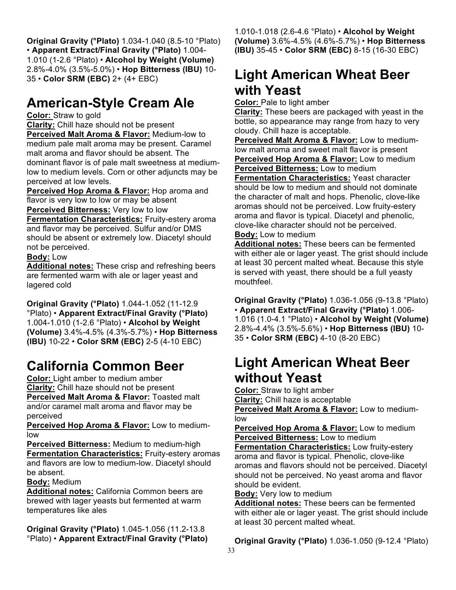**Original Gravity (°Plato)** 1.034-1.040 (8.5-10 °Plato) • **Apparent Extract/Final Gravity (°Plato)** 1.004- 1.010 (1-2.6 °Plato) • **Alcohol by Weight (Volume)** 2.8%-4.0% (3.5%-5.0%) • **Hop Bitterness (IBU)** 10- 35 • **Color SRM (EBC)** 2+ (4+ EBC)

# **American-Style Cream Ale**

**Color:** Straw to gold

**Clarity:** Chill haze should not be present **Perceived Malt Aroma & Flavor:** Medium-low to medium pale malt aroma may be present. Caramel malt aroma and flavor should be absent. The dominant flavor is of pale malt sweetness at mediumlow to medium levels. Corn or other adjuncts may be perceived at low levels.

**Perceived Hop Aroma & Flavor:** Hop aroma and flavor is very low to low or may be absent **Perceived Bitterness:** Very low to low

**Fermentation Characteristics:** Fruity-estery aroma and flavor may be perceived. Sulfur and/or DMS should be absent or extremely low. Diacetyl should not be perceived.

#### **Body:** Low

**Additional notes:** These crisp and refreshing beers are fermented warm with ale or lager yeast and lagered cold

**Original Gravity (°Plato)** 1.044-1.052 (11-12.9 °Plato) • **Apparent Extract/Final Gravity (°Plato)** 1.004-1.010 (1-2.6 °Plato) • **Alcohol by Weight (Volume)** 3.4%-4.5% (4.3%-5.7%) • **Hop Bitterness (IBU)** 10-22 • **Color SRM (EBC)** 2-5 (4-10 EBC)

# **California Common Beer**

**Color:** Light amber to medium amber **Clarity:** Chill haze should not be present **Perceived Malt Aroma & Flavor:** Toasted malt and/or caramel malt aroma and flavor may be perceived

**Perceived Hop Aroma & Flavor:** Low to mediumlow

**Perceived Bitterness:** Medium to medium-high **Fermentation Characteristics:** Fruity-estery aromas and flavors are low to medium-low. Diacetyl should be absent.

#### **Body:** Medium

**Additional notes:** California Common beers are brewed with lager yeasts but fermented at warm temperatures like ales

**Original Gravity (°Plato)** 1.045-1.056 (11.2-13.8 °Plato) • **Apparent Extract/Final Gravity (°Plato)**

1.010-1.018 (2.6-4.6 °Plato) • **Alcohol by Weight (Volume)** 3.6%-4.5% (4.6%-5.7%) • **Hop Bitterness (IBU)** 35-45 • **Color SRM (EBC)** 8-15 (16-30 EBC)

# **Light American Wheat Beer with Yeast**

**Color:** Pale to light amber

**Clarity:** These beers are packaged with yeast in the bottle, so appearance may range from hazy to very cloudy. Chill haze is acceptable.

**Perceived Malt Aroma & Flavor:** Low to mediumlow malt aroma and sweet malt flavor is present **Perceived Hop Aroma & Flavor:** Low to medium **Perceived Bitterness:** Low to medium

**Fermentation Characteristics:** Yeast character should be low to medium and should not dominate the character of malt and hops. Phenolic, clove-like aromas should not be perceived. Low fruity-estery aroma and flavor is typical. Diacetyl and phenolic, clove-like character should not be perceived. **Body:** Low to medium

**Additional notes:** These beers can be fermented with either ale or lager yeast. The grist should include at least 30 percent malted wheat. Because this style is served with yeast, there should be a full yeasty mouthfeel.

**Original Gravity (°Plato)** 1.036-1.056 (9-13.8 °Plato) • **Apparent Extract/Final Gravity (°Plato)** 1.006- 1.016 (1.0-4.1 °Plato) • **Alcohol by Weight (Volume)** 2.8%-4.4% (3.5%-5.6%) • **Hop Bitterness (IBU)** 10- 35 • **Color SRM (EBC)** 4-10 (8-20 EBC)

### **Light American Wheat Beer without Yeast**

**Color:** Straw to light amber **Clarity:** Chill haze is acceptable **Perceived Malt Aroma & Flavor:** Low to mediumlow

**Perceived Hop Aroma & Flavor:** Low to medium **Perceived Bitterness:** Low to medium

**Fermentation Characteristics:** Low fruity-estery aroma and flavor is typical. Phenolic, clove-like aromas and flavors should not be perceived. Diacetyl should not be perceived. No yeast aroma and flavor should be evident.

**Body:** Very low to medium

**Additional notes:** These beers can be fermented with either ale or lager yeast. The grist should include at least 30 percent malted wheat.

**Original Gravity (°Plato)** 1.036-1.050 (9-12.4 °Plato)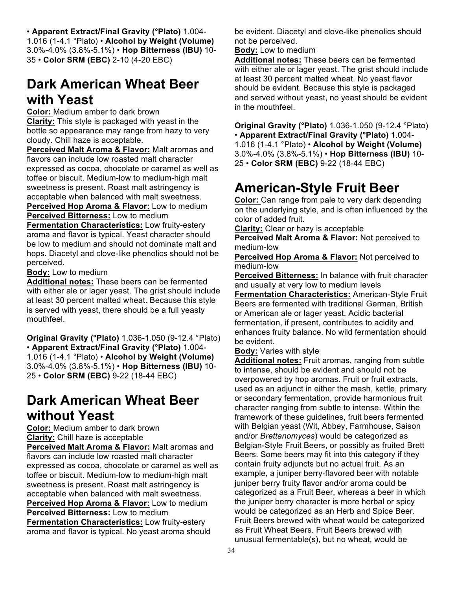• **Apparent Extract/Final Gravity (°Plato)** 1.004- 1.016 (1-4.1 °Plato) • **Alcohol by Weight (Volume)** 3.0%-4.0% (3.8%-5.1%) • **Hop Bitterness (IBU)** 10- 35 • **Color SRM (EBC)** 2-10 (4-20 EBC)

#### **Dark American Wheat Beer with Yeast**

**Color:** Medium amber to dark brown **Clarity:** This style is packaged with yeast in the bottle so appearance may range from hazy to very cloudy. Chill haze is acceptable.

**Perceived Malt Aroma & Flavor:** Malt aromas and flavors can include low roasted malt character expressed as cocoa, chocolate or caramel as well as toffee or biscuit. Medium-low to medium-high malt sweetness is present. Roast malt astringency is acceptable when balanced with malt sweetness.

**Perceived Hop Aroma & Flavor:** Low to medium **Perceived Bitterness:** Low to medium

**Fermentation Characteristics:** Low fruity-estery aroma and flavor is typical. Yeast character should be low to medium and should not dominate malt and hops. Diacetyl and clove-like phenolics should not be perceived.

**Body:** Low to medium

**Additional notes:** These beers can be fermented with either ale or lager yeast. The grist should include at least 30 percent malted wheat. Because this style is served with yeast, there should be a full yeasty mouthfeel.

**Original Gravity (°Plato)** 1.036-1.050 (9-12.4 °Plato) • **Apparent Extract/Final Gravity (°Plato)** 1.004- 1.016 (1-4.1 °Plato) • **Alcohol by Weight (Volume)** 3.0%-4.0% (3.8%-5.1%) • **Hop Bitterness (IBU)** 10- 25 • **Color SRM (EBC)** 9-22 (18-44 EBC)

#### **Dark American Wheat Beer without Yeast**

**Color:** Medium amber to dark brown **Clarity:** Chill haze is acceptable

**Perceived Malt Aroma & Flavor:** Malt aromas and flavors can include low roasted malt character expressed as cocoa, chocolate or caramel as well as toffee or biscuit. Medium-low to medium-high malt sweetness is present. Roast malt astringency is acceptable when balanced with malt sweetness. **Perceived Hop Aroma & Flavor:** Low to medium **Perceived Bitterness:** Low to medium **Fermentation Characteristics:** Low fruity-estery aroma and flavor is typical. No yeast aroma should

be evident. Diacetyl and clove-like phenolics should not be perceived.

**Body:** Low to medium

**Additional notes:** These beers can be fermented with either ale or lager yeast. The grist should include at least 30 percent malted wheat. No yeast flavor should be evident. Because this style is packaged and served without yeast, no yeast should be evident in the mouthfeel.

**Original Gravity (°Plato)** 1.036-1.050 (9-12.4 °Plato) • **Apparent Extract/Final Gravity (°Plato)** 1.004- 1.016 (1-4.1 °Plato) • **Alcohol by Weight (Volume)** 3.0%-4.0% (3.8%-5.1%) • **Hop Bitterness (IBU)** 10- 25 • **Color SRM (EBC)** 9-22 (18-44 EBC)

# **American-Style Fruit Beer**

**Color:** Can range from pale to very dark depending on the underlying style, and is often influenced by the color of added fruit.

**Clarity:** Clear or hazy is acceptable

**Perceived Malt Aroma & Flavor:** Not perceived to medium-low

**Perceived Hop Aroma & Flavor:** Not perceived to medium-low

**Perceived Bitterness:** In balance with fruit character and usually at very low to medium levels

**Fermentation Characteristics:** American-Style Fruit Beers are fermented with traditional German, British or American ale or lager yeast. Acidic bacterial fermentation, if present, contributes to acidity and enhances fruity balance. No wild fermentation should be evident.

**Body:** Varies with style

**Additional notes:** Fruit aromas, ranging from subtle to intense, should be evident and should not be overpowered by hop aromas. Fruit or fruit extracts, used as an adjunct in either the mash, kettle, primary or secondary fermentation, provide harmonious fruit character ranging from subtle to intense. Within the framework of these guidelines, fruit beers fermented with Belgian yeast (Wit, Abbey, Farmhouse, Saison and/or *Brettanomyces*) would be categorized as Belgian-Style Fruit Beers, or possibly as fruited Brett Beers. Some beers may fit into this category if they contain fruity adjuncts but no actual fruit. As an example, a juniper berry-flavored beer with notable juniper berry fruity flavor and/or aroma could be categorized as a Fruit Beer, whereas a beer in which the juniper berry character is more herbal or spicy would be categorized as an Herb and Spice Beer. Fruit Beers brewed with wheat would be categorized as Fruit Wheat Beers. Fruit Beers brewed with unusual fermentable(s), but no wheat, would be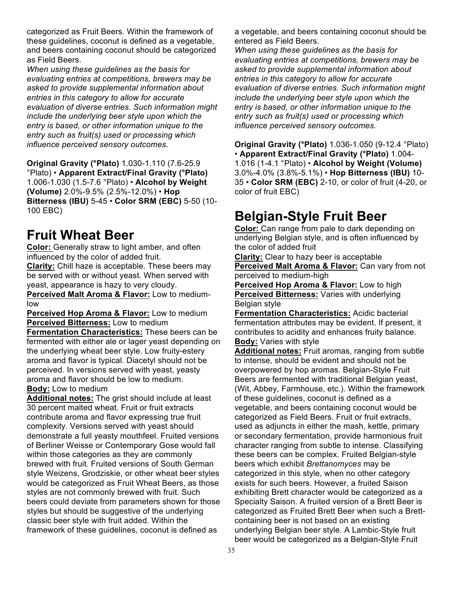categorized as Fruit Beers. Within the framework of these guidelines, coconut is defined as a vegetable, and beers containing coconut should be categorized as Field Beers.

*When using these guidelines as the basis for evaluating entries at competitions, brewers may be asked to provide supplemental information about entries in this category to allow for accurate evaluation of diverse entries. Such information might include the underlying beer style upon which the entry is based, or other information unique to the entry such as fruit(s) used or processing which influence perceived sensory outcomes.*

**Original Gravity (°Plato)** 1.030-1.110 (7.6-25.9 °Plato) • **Apparent Extract/Final Gravity (°Plato)** 1.006-1.030 (1.5-7.6 °Plato) • **Alcohol by Weight (Volume)** 2.0%-9.5% (2.5%-12.0%) • **Hop Bitterness (IBU)** 5-45 • **Color SRM (EBC)** 5-50 (10- 100 EBC)

#### **Fruit Wheat Beer**

**Color:** Generally straw to light amber, and often influenced by the color of added fruit.

**Clarity:** Chill haze is acceptable. These beers may be served with or without yeast. When served with yeast, appearance is hazy to very cloudy.

**Perceived Malt Aroma & Flavor:** Low to mediumlow

**Perceived Hop Aroma & Flavor:** Low to medium **Perceived Bitterness:** Low to medium **Fermentation Characteristics:** These beers can be fermented with either ale or lager yeast depending on the underlying wheat beer style. Low fruity-estery aroma and flavor is typical. Diacetyl should not be perceived. In versions served with yeast, yeasty aroma and flavor should be low to medium.

#### **Body:** Low to medium

**Additional notes:** The grist should include at least 30 percent malted wheat. Fruit or fruit extracts contribute aroma and flavor expressing true fruit complexity. Versions served with yeast should demonstrate a full yeasty mouthfeel. Fruited versions of Berliner Weisse or Contemporary Gose would fall within those categories as they are commonly brewed with fruit. Fruited versions of South German style Weizens, Grodziskie, or other wheat beer styles would be categorized as Fruit Wheat Beers, as those styles are not commonly brewed with fruit. Such beers could deviate from parameters shown for those styles but should be suggestive of the underlying classic beer style with fruit added. Within the framework of these guidelines, coconut is defined as

a vegetable, and beers containing coconut should be entered as Field Beers.

*When using these guidelines as the basis for evaluating entries at competitions, brewers may be asked to provide supplemental information about entries in this category to allow for accurate evaluation of diverse entries. Such information might include the underlying beer style upon which the entry is based, or other information unique to the entry such as fruit(s) used or processing which influence perceived sensory outcomes.*

**Original Gravity (°Plato)** 1.036-1.050 (9-12.4 °Plato) • **Apparent Extract/Final Gravity (°Plato)** 1.004- 1.016 (1-4.1 °Plato) • **Alcohol by Weight (Volume)** 3.0%-4.0% (3.8%-5.1%) • **Hop Bitterness (IBU)** 10- 35 • **Color SRM (EBC)** 2-10, or color of fruit (4-20, or color of fruit EBC)

# **Belgian-Style Fruit Beer**

**Color:** Can range from pale to dark depending on underlying Belgian style, and is often influenced by the color of added fruit

**Clarity:** Clear to hazy beer is acceptable **Perceived Malt Aroma & Flavor:** Can vary from not perceived to medium-high

**Perceived Hop Aroma & Flavor:** Low to high **Perceived Bitterness:** Varies with underlying Belgian style

**Fermentation Characteristics:** Acidic bacterial fermentation attributes may be evident. If present, it contributes to acidity and enhances fruity balance. **Body:** Varies with style

**Additional notes:** Fruit aromas, ranging from subtle to intense, should be evident and should not be overpowered by hop aromas. Belgian-Style Fruit Beers are fermented with traditional Belgian yeast, (Wit, Abbey, Farmhouse, etc.). Within the framework of these guidelines, coconut is defined as a vegetable, and beers containing coconut would be categorized as Field Beers. Fruit or fruit extracts, used as adjuncts in either the mash, kettle, primary or secondary fermentation, provide harmonious fruit character ranging from subtle to intense. Classifying these beers can be complex. Fruited Belgian-style beers which exhibit *Brettanomyces* may be categorized in this style, when no other category exists for such beers. However, a fruited Saison exhibiting Brett character would be categorized as a Specialty Saison. A fruited version of a Brett Beer is categorized as Fruited Brett Beer when such a Brettcontaining beer is not based on an existing underlying Belgian beer style. A Lambic-Style fruit beer would be categorized as a Belgian-Style Fruit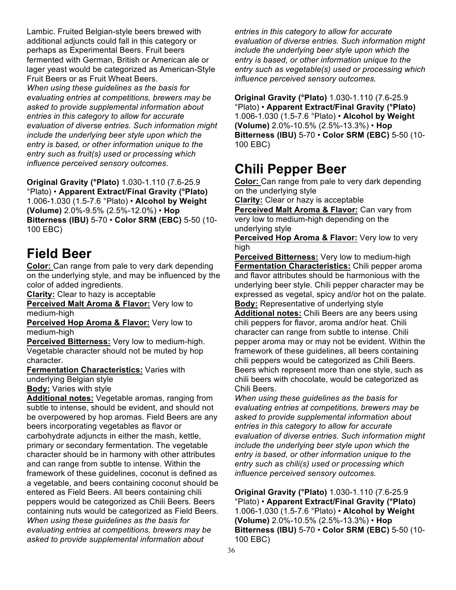Lambic. Fruited Belgian-style beers brewed with additional adjuncts could fall in this category or perhaps as Experimental Beers. Fruit beers fermented with German, British or American ale or lager yeast would be categorized as American-Style Fruit Beers or as Fruit Wheat Beers.

*When using these guidelines as the basis for evaluating entries at competitions, brewers may be asked to provide supplemental information about entries in this category to allow for accurate evaluation of diverse entries. Such information might include the underlying beer style upon which the entry is based, or other information unique to the entry such as fruit(s) used or processing which influence perceived sensory outcomes.*

**Original Gravity (°Plato)** 1.030-1.110 (7.6-25.9 °Plato) • **Apparent Extract/Final Gravity (°Plato)** 1.006-1.030 (1.5-7.6 °Plato) • **Alcohol by Weight (Volume)** 2.0%-9.5% (2.5%-12.0%) • **Hop Bitterness (IBU)** 5-70 • **Color SRM (EBC)** 5-50 (10- 100 EBC)

# **Field Beer**

**Color:** Can range from pale to very dark depending on the underlying style, and may be influenced by the color of added ingredients.

**Clarity:** Clear to hazy is acceptable

**Perceived Malt Aroma & Flavor:** Very low to medium-high

**Perceived Hop Aroma & Flavor:** Very low to medium-high

**Perceived Bitterness:** Very low to medium-high. Vegetable character should not be muted by hop character.

**Fermentation Characteristics:** Varies with underlying Belgian style

**Body:** Varies with style

**Additional notes:** Vegetable aromas, ranging from subtle to intense, should be evident, and should not be overpowered by hop aromas. Field Beers are any beers incorporating vegetables as flavor or carbohydrate adjuncts in either the mash, kettle, primary or secondary fermentation. The vegetable character should be in harmony with other attributes and can range from subtle to intense. Within the framework of these guidelines, coconut is defined as a vegetable, and beers containing coconut should be entered as Field Beers. All beers containing chili peppers would be categorized as Chili Beers. Beers containing nuts would be categorized as Field Beers. *When using these guidelines as the basis for evaluating entries at competitions, brewers may be asked to provide supplemental information about* 

*entries in this category to allow for accurate evaluation of diverse entries. Such information might include the underlying beer style upon which the entry is based, or other information unique to the entry such as vegetable(s) used or processing which influence perceived sensory outcomes.*

**Original Gravity (°Plato)** 1.030-1.110 (7.6-25.9 °Plato) • **Apparent Extract/Final Gravity (°Plato)** 1.006-1.030 (1.5-7.6 °Plato) • **Alcohol by Weight (Volume)** 2.0%-10.5% (2.5%-13.3%) • **Hop Bitterness (IBU)** 5-70 • **Color SRM (EBC)** 5-50 (10- 100 EBC)

# **Chili Pepper Beer**

**Color:** Can range from pale to very dark depending on the underlying style

**Clarity:** Clear or hazy is acceptable

**Perceived Malt Aroma & Flavor:** Can vary from very low to medium-high depending on the underlying style

**Perceived Hop Aroma & Flavor:** Very low to very high

**Perceived Bitterness:** Very low to medium-high **Fermentation Characteristics:** Chili pepper aroma and flavor attributes should be harmonious with the underlying beer style. Chili pepper character may be expressed as vegetal, spicy and/or hot on the palate. **Body:** Representative of underlying style

**Additional notes:** Chili Beers are any beers using chili peppers for flavor, aroma and/or heat. Chili character can range from subtle to intense. Chili pepper aroma may or may not be evident. Within the framework of these guidelines, all beers containing chili peppers would be categorized as Chili Beers. Beers which represent more than one style, such as chili beers with chocolate, would be categorized as Chili Beers.

*When using these guidelines as the basis for evaluating entries at competitions, brewers may be asked to provide supplemental information about entries in this category to allow for accurate evaluation of diverse entries. Such information might include the underlying beer style upon which the entry is based, or other information unique to the entry such as chili(s) used or processing which influence perceived sensory outcomes.*

**Original Gravity (°Plato)** 1.030-1.110 (7.6-25.9 °Plato) • **Apparent Extract/Final Gravity (°Plato)** 1.006-1.030 (1.5-7.6 °Plato) • **Alcohol by Weight (Volume)** 2.0%-10.5% (2.5%-13.3%) • **Hop Bitterness (IBU)** 5-70 • **Color SRM (EBC)** 5-50 (10- 100 EBC)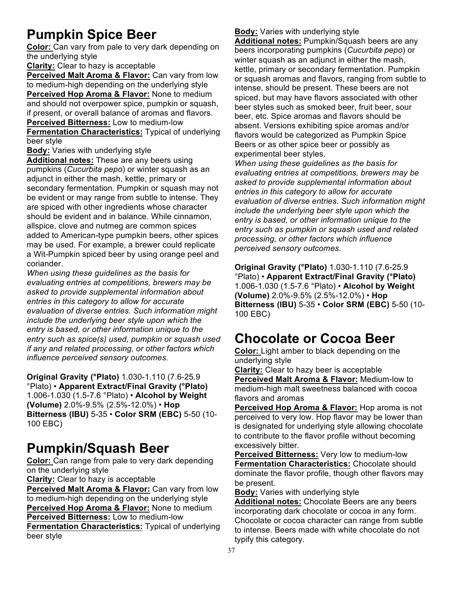# **Pumpkin Spice Beer**

**Color:** Can vary from pale to very dark depending on the underlying style

**Clarity:** Clear to hazy is acceptable

**Perceived Malt Aroma & Flavor:** Can vary from low to medium-high depending on the underlying style **Perceived Hop Aroma & Flavor:** None to medium and should not overpower spice, pumpkin or squash, if present, or overall balance of aromas and flavors. **Perceived Bitterness:** Low to medium-low

**Fermentation Characteristics:** Typical of underlying beer style

**Body:** Varies with underlying style

**Additional notes:** These are any beers using pumpkins (*Cucurbita pepo*) or winter squash as an adjunct in either the mash, kettle, primary or secondary fermentation. Pumpkin or squash may not be evident or may range from subtle to intense. They are spiced with other ingredients whose character should be evident and in balance. While cinnamon, allspice, clove and nutmeg are common spices added to American-type pumpkin beers, other spices may be used. For example, a brewer could replicate a Wit-Pumpkin spiced beer by using orange peel and coriander.

*When using these guidelines as the basis for evaluating entries at competitions, brewers may be asked to provide supplemental information about entries in this category to allow for accurate evaluation of diverse entries. Such information might include the underlying beer style upon which the entry is based, or other information unique to the entry such as spice(s) used, pumpkin or squash used if any and related processing, or other factors which influence perceived sensory outcomes.*

**Original Gravity (°Plato)** 1.030-1.110 (7.6-25.9 °Plato) • **Apparent Extract/Final Gravity (°Plato)** 1.006-1.030 (1.5-7.6 °Plato) • **Alcohol by Weight (Volume)** 2.0%-9.5% (2.5%-12.0%) • **Hop Bitterness (IBU)** 5-35 • **Color SRM (EBC)** 5-50 (10- 100 EBC)

# **Pumpkin/Squash Beer**

**Color:** Can range from pale to very dark depending on the underlying style

**Clarity:** Clear to hazy is acceptable

**Perceived Malt Aroma & Flavor:** Can vary from low to medium-high depending on the underlying style **Perceived Hop Aroma & Flavor:** None to medium **Perceived Bitterness:** Low to medium-low **Fermentation Characteristics:** Typical of underlying beer style

**Body:** Varies with underlying style

**Additional notes:** Pumpkin/Squash beers are any beers incorporating pumpkins (*Cucurbita pepo*) or winter squash as an adjunct in either the mash, kettle, primary or secondary fermentation. Pumpkin or squash aromas and flavors, ranging from subtle to intense, should be present. These beers are not spiced, but may have flavors associated with other beer styles such as smoked beer, fruit beer, sour beer, etc. Spice aromas and flavors should be absent. Versions exhibiting spice aromas and/or flavors would be categorized as Pumpkin Spice Beers or as other spice beer or possibly as experimental beer styles.

*When using these guidelines as the basis for evaluating entries at competitions, brewers may be asked to provide supplemental information about entries in this category to allow for accurate evaluation of diverse entries. Such information might include the underlying beer style upon which the entry is based, or other information unique to the entry such as pumpkin or squash used and related processing, or other factors which influence perceived sensory outcomes.*

**Original Gravity (°Plato)** 1.030-1.110 (7.6-25.9 °Plato) • **Apparent Extract/Final Gravity (°Plato)** 1.006-1.030 (1.5-7.6 °Plato) • **Alcohol by Weight (Volume)** 2.0%-9.5% (2.5%-12.0%) • **Hop Bitterness (IBU)** 5-35 • **Color SRM (EBC)** 5-50 (10- 100 EBC)

# **Chocolate or Cocoa Beer**

**Color:** Light amber to black depending on the underlying style

**Clarity:** Clear to hazy beer is acceptable **Perceived Malt Aroma & Flavor:** Medium-low to medium-high malt sweetness balanced with cocoa flavors and aromas

**Perceived Hop Aroma & Flavor:** Hop aroma is not perceived to very low. Hop flavor may be lower than is designated for underlying style allowing chocolate to contribute to the flavor profile without becoming excessively bitter.

**Perceived Bitterness:** Very low to medium-low **Fermentation Characteristics:** Chocolate should dominate the flavor profile, though other flavors may be present.

**Body:** Varies with underlying style

**Additional notes:** Chocolate Beers are any beers incorporating dark chocolate or cocoa in any form. Chocolate or cocoa character can range from subtle to intense. Beers made with white chocolate do not typify this category.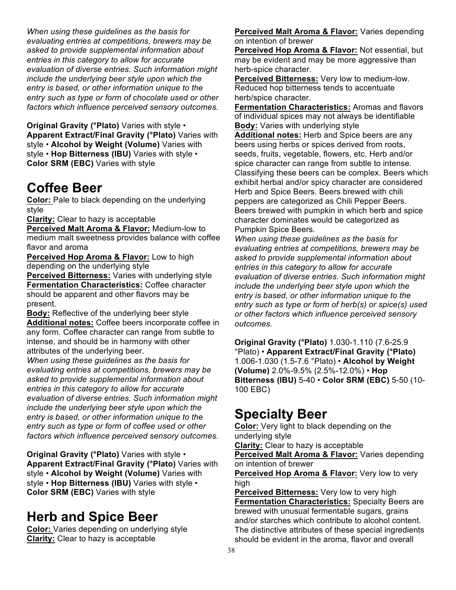*When using these guidelines as the basis for evaluating entries at competitions, brewers may be asked to provide supplemental information about entries in this category to allow for accurate evaluation of diverse entries. Such information might include the underlying beer style upon which the entry is based, or other information unique to the entry such as type or form of chocolate used or other factors which influence perceived sensory outcomes.*

**Original Gravity (°Plato)** Varies with style • **Apparent Extract/Final Gravity (°Plato)** Varies with style • **Alcohol by Weight (Volume)** Varies with style • **Hop Bitterness (IBU)** Varies with style • **Color SRM (EBC)** Varies with style

#### **Coffee Beer**

**Color:** Pale to black depending on the underlying style

**Clarity:** Clear to hazy is acceptable

**Perceived Malt Aroma & Flavor:** Medium-low to medium malt sweetness provides balance with coffee flavor and aroma

**Perceived Hop Aroma & Flavor:** Low to high depending on the underlying style

**Perceived Bitterness:** Varies with underlying style **Fermentation Characteristics:** Coffee character should be apparent and other flavors may be present.

**Body:** Reflective of the underlying beer style **Additional notes:** Coffee beers incorporate coffee in any form. Coffee character can range from subtle to intense, and should be in harmony with other attributes of the underlying beer.

*When using these guidelines as the basis for evaluating entries at competitions, brewers may be asked to provide supplemental information about entries in this category to allow for accurate evaluation of diverse entries. Such information might include the underlying beer style upon which the entry is based, or other information unique to the entry such as type or form of coffee used or other factors which influence perceived sensory outcomes.*

**Original Gravity (°Plato)** Varies with style • **Apparent Extract/Final Gravity (°Plato)** Varies with style • **Alcohol by Weight (Volume)** Varies with style • **Hop Bitterness (IBU)** Varies with style • **Color SRM (EBC)** Varies with style

# **Herb and Spice Beer**

**Color:** Varies depending on underlying style **Clarity:** Clear to hazy is acceptable

**Perceived Malt Aroma & Flavor:** Varies depending on intention of brewer

**Perceived Hop Aroma & Flavor:** Not essential, but may be evident and may be more aggressive than herb-spice character.

**Perceived Bitterness:** Very low to medium-low. Reduced hop bitterness tends to accentuate herb/spice character.

**Fermentation Characteristics:** Aromas and flavors of individual spices may not always be identifiable **Body:** Varies with underlying style

**Additional notes:** Herb and Spice beers are any beers using herbs or spices derived from roots, seeds, fruits, vegetable, flowers, etc. Herb and/or spice character can range from subtle to intense. Classifying these beers can be complex. Beers which exhibit herbal and/or spicy character are considered Herb and Spice Beers. Beers brewed with chili peppers are categorized as Chili Pepper Beers. Beers brewed with pumpkin in which herb and spice character dominates would be categorized as Pumpkin Spice Beers.

*When using these guidelines as the basis for evaluating entries at competitions, brewers may be asked to provide supplemental information about entries in this category to allow for accurate evaluation of diverse entries. Such information might include the underlying beer style upon which the entry is based, or other information unique to the entry such as type or form of herb(s) or spice(s) used or other factors which influence perceived sensory outcomes.*

**Original Gravity (°Plato)** 1.030-1.110 (7.6-25.9 °Plato) • **Apparent Extract/Final Gravity (°Plato)** 1.006-1.030 (1.5-7.6 °Plato) • **Alcohol by Weight (Volume)** 2.0%-9.5% (2.5%-12.0%) • **Hop Bitterness (IBU)** 5-40 • **Color SRM (EBC)** 5-50 (10- 100 EBC)

# **Specialty Beer**

**Color:** Very light to black depending on the underlying style

**Clarity:** Clear to hazy is acceptable

**Perceived Malt Aroma & Flavor:** Varies depending on intention of brewer

**Perceived Hop Aroma & Flavor:** Very low to very high

**Perceived Bitterness:** Very low to very high **Fermentation Characteristics:** Specialty Beers are brewed with unusual fermentable sugars, grains and/or starches which contribute to alcohol content. The distinctive attributes of these special ingredients should be evident in the aroma, flavor and overall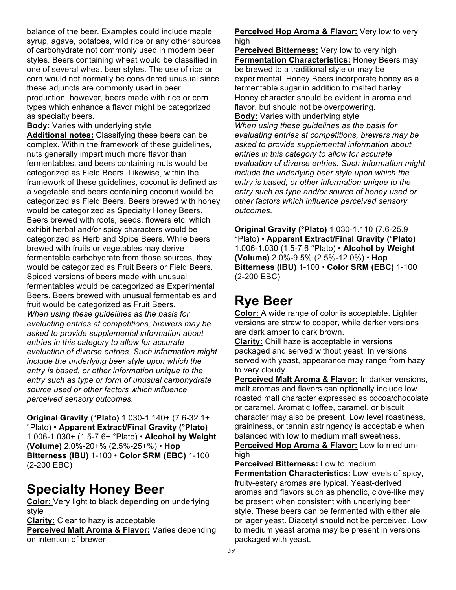balance of the beer. Examples could include maple syrup, agave, potatoes, wild rice or any other sources of carbohydrate not commonly used in modern beer styles. Beers containing wheat would be classified in one of several wheat beer styles. The use of rice or corn would not normally be considered unusual since these adjuncts are commonly used in beer production, however, beers made with rice or corn types which enhance a flavor might be categorized as specialty beers.

**Body:** Varies with underlying style

**Additional notes:** Classifying these beers can be complex. Within the framework of these guidelines, nuts generally impart much more flavor than fermentables, and beers containing nuts would be categorized as Field Beers. Likewise, within the framework of these guidelines, coconut is defined as a vegetable and beers containing coconut would be categorized as Field Beers. Beers brewed with honey would be categorized as Specialty Honey Beers. Beers brewed with roots, seeds, flowers etc. which exhibit herbal and/or spicy characters would be categorized as Herb and Spice Beers. While beers brewed with fruits or vegetables may derive fermentable carbohydrate from those sources, they would be categorized as Fruit Beers or Field Beers. Spiced versions of beers made with unusual fermentables would be categorized as Experimental Beers. Beers brewed with unusual fermentables and fruit would be categorized as Fruit Beers. *When using these guidelines as the basis for evaluating entries at competitions, brewers may be asked to provide supplemental information about entries in this category to allow for accurate evaluation of diverse entries. Such information might include the underlying beer style upon which the entry is based, or other information unique to the entry such as type or form of unusual carbohydrate source used or other factors which influence perceived sensory outcomes.*

**Original Gravity (°Plato)** 1.030-1.140+ (7.6-32.1+ °Plato) • **Apparent Extract/Final Gravity (°Plato)** 1.006-1.030+ (1.5-7.6+ °Plato) • **Alcohol by Weight (Volume)** 2.0%-20+% (2.5%-25+%) • **Hop Bitterness (IBU)** 1-100 • **Color SRM (EBC)** 1-100 (2-200 EBC)

#### **Specialty Honey Beer**

**Color:** Very light to black depending on underlying style

**Clarity:** Clear to hazy is acceptable

**Perceived Malt Aroma & Flavor:** Varies depending on intention of brewer

**Perceived Hop Aroma & Flavor:** Very low to very high

**Perceived Bitterness:** Very low to very high **Fermentation Characteristics:** Honey Beers may be brewed to a traditional style or may be experimental. Honey Beers incorporate honey as a fermentable sugar in addition to malted barley. Honey character should be evident in aroma and flavor, but should not be overpowering.

**Body:** Varies with underlying style *When using these guidelines as the basis for evaluating entries at competitions, brewers may be asked to provide supplemental information about entries in this category to allow for accurate evaluation of diverse entries. Such information might include the underlying beer style upon which the entry is based, or other information unique to the entry such as type and/or source of honey used or other factors which influence perceived sensory outcomes.*

**Original Gravity (°Plato)** 1.030-1.110 (7.6-25.9 °Plato) • **Apparent Extract/Final Gravity (°Plato)** 1.006-1.030 (1.5-7.6 °Plato) • **Alcohol by Weight (Volume)** 2.0%-9.5% (2.5%-12.0%) • **Hop Bitterness (IBU)** 1-100 • **Color SRM (EBC)** 1-100 (2-200 EBC)

# **Rye Beer**

**Color:** A wide range of color is acceptable. Lighter versions are straw to copper, while darker versions are dark amber to dark brown.

**Clarity:** Chill haze is acceptable in versions packaged and served without yeast. In versions served with yeast, appearance may range from hazy to very cloudy.

**Perceived Malt Aroma & Flavor:** In darker versions, malt aromas and flavors can optionally include low roasted malt character expressed as cocoa/chocolate or caramel. Aromatic toffee, caramel, or biscuit character may also be present. Low level roastiness, graininess, or tannin astringency is acceptable when balanced with low to medium malt sweetness.

**Perceived Hop Aroma & Flavor:** Low to mediumhigh

**Perceived Bitterness:** Low to medium **Fermentation Characteristics:** Low levels of spicy, fruity-estery aromas are typical. Yeast-derived aromas and flavors such as phenolic, clove-like may be present when consistent with underlying beer style. These beers can be fermented with either ale or lager yeast. Diacetyl should not be perceived. Low to medium yeast aroma may be present in versions packaged with yeast.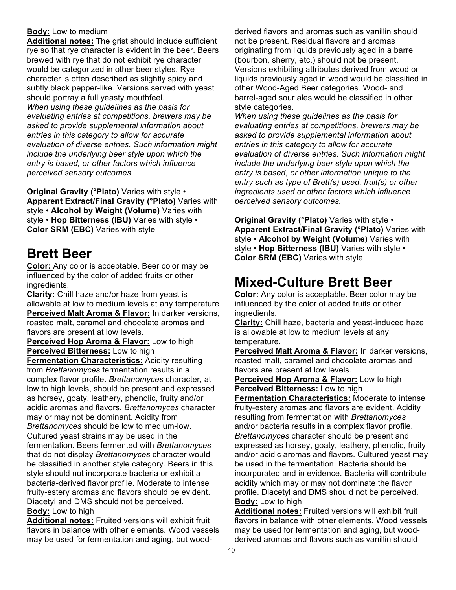#### **Body:** Low to medium

**Additional notes:** The grist should include sufficient rye so that rye character is evident in the beer. Beers brewed with rye that do not exhibit rye character would be categorized in other beer styles. Rye character is often described as slightly spicy and subtly black pepper-like. Versions served with yeast should portray a full yeasty mouthfeel. *When using these guidelines as the basis for evaluating entries at competitions, brewers may be asked to provide supplemental information about entries in this category to allow for accurate evaluation of diverse entries. Such information might include the underlying beer style upon which the entry is based, or other factors which influence perceived sensory outcomes.*

**Original Gravity (°Plato)** Varies with style • **Apparent Extract/Final Gravity (°Plato)** Varies with style • **Alcohol by Weight (Volume)** Varies with style • **Hop Bitterness (IBU)** Varies with style • **Color SRM (EBC)** Varies with style

#### **Brett Beer**

**Color:** Any color is acceptable. Beer color may be influenced by the color of added fruits or other ingredients.

**Clarity:** Chill haze and/or haze from yeast is allowable at low to medium levels at any temperature **Perceived Malt Aroma & Flavor:** In darker versions, roasted malt, caramel and chocolate aromas and flavors are present at low levels.

**Perceived Hop Aroma & Flavor:** Low to high **Perceived Bitterness:** Low to high

**Fermentation Characteristics:** Acidity resulting from *Brettanomyces* fermentation results in a complex flavor profile. *Brettanomyces* character, at low to high levels, should be present and expressed as horsey, goaty, leathery, phenolic, fruity and/or acidic aromas and flavors. *Brettanomyces* character may or may not be dominant. Acidity from *Brettanomyces* should be low to medium-low. Cultured yeast strains may be used in the fermentation. Beers fermented with *Brettanomyces* that do not display *Brettanomyces* character would be classified in another style category. Beers in this style should not incorporate bacteria or exhibit a bacteria-derived flavor profile. Moderate to intense fruity-estery aromas and flavors should be evident. Diacetyl and DMS should not be perceived. **Body:** Low to high

**Additional notes:** Fruited versions will exhibit fruit flavors in balance with other elements. Wood vessels may be used for fermentation and aging, but woodderived flavors and aromas such as vanillin should not be present. Residual flavors and aromas originating from liquids previously aged in a barrel (bourbon, sherry, etc.) should not be present. Versions exhibiting attributes derived from wood or liquids previously aged in wood would be classified in other Wood-Aged Beer categories. Wood- and barrel-aged sour ales would be classified in other style categories.

*When using these guidelines as the basis for evaluating entries at competitions, brewers may be asked to provide supplemental information about entries in this category to allow for accurate evaluation of diverse entries. Such information might include the underlying beer style upon which the entry is based, or other information unique to the entry such as type of Brett(s) used, fruit(s) or other ingredients used or other factors which influence perceived sensory outcomes.*

**Original Gravity (°Plato)** Varies with style • **Apparent Extract/Final Gravity (°Plato)** Varies with style • **Alcohol by Weight (Volume)** Varies with style • **Hop Bitterness (IBU)** Varies with style • **Color SRM (EBC)** Varies with style

### **Mixed-Culture Brett Beer**

**Color:** Any color is acceptable. Beer color may be influenced by the color of added fruits or other ingredients.

**Clarity:** Chill haze, bacteria and yeast-induced haze is allowable at low to medium levels at any temperature.

**Perceived Malt Aroma & Flavor:** In darker versions, roasted malt, caramel and chocolate aromas and flavors are present at low levels.

**Perceived Hop Aroma & Flavor:** Low to high **Perceived Bitterness:** Low to high

**Fermentation Characteristics:** Moderate to intense fruity-estery aromas and flavors are evident. Acidity resulting from fermentation with *Brettanomyces* and/or bacteria results in a complex flavor profile. *Brettanomyces* character should be present and expressed as horsey, goaty, leathery, phenolic, fruity and/or acidic aromas and flavors. Cultured yeast may be used in the fermentation. Bacteria should be incorporated and in evidence. Bacteria will contribute acidity which may or may not dominate the flavor profile. Diacetyl and DMS should not be perceived. **Body:** Low to high

**Additional notes:** Fruited versions will exhibit fruit flavors in balance with other elements. Wood vessels may be used for fermentation and aging, but woodderived aromas and flavors such as vanillin should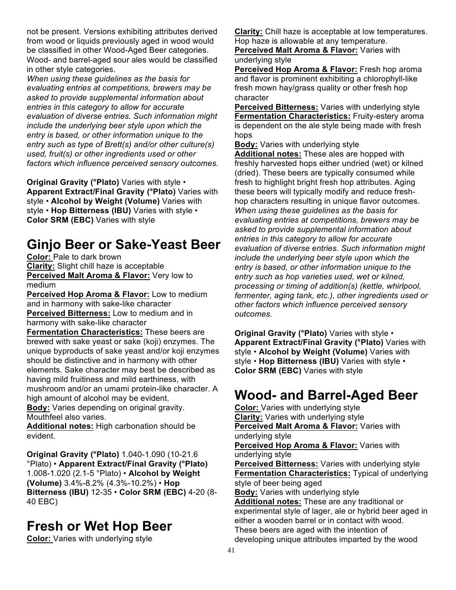not be present. Versions exhibiting attributes derived from wood or liquids previously aged in wood would be classified in other Wood-Aged Beer categories. Wood- and barrel-aged sour ales would be classified in other style categories.

*When using these guidelines as the basis for evaluating entries at competitions, brewers may be asked to provide supplemental information about entries in this category to allow for accurate evaluation of diverse entries. Such information might include the underlying beer style upon which the entry is based, or other information unique to the entry such as type of Brett(s) and/or other culture(s) used, fruit(s) or other ingredients used or other factors which influence perceived sensory outcomes.*

**Original Gravity (°Plato)** Varies with style • **Apparent Extract/Final Gravity (°Plato)** Varies with style • **Alcohol by Weight (Volume)** Varies with style • **Hop Bitterness (IBU)** Varies with style • **Color SRM (EBC)** Varies with style

### **Ginjo Beer or Sake-Yeast Beer**

**Color:** Pale to dark brown **Clarity:** Slight chill haze is acceptable **Perceived Malt Aroma & Flavor:** Very low to medium

**Perceived Hop Aroma & Flavor:** Low to medium and in harmony with sake-like character **Perceived Bitterness:** Low to medium and in harmony with sake-like character

**Fermentation Characteristics:** These beers are brewed with sake yeast or sake (koji) enzymes. The unique byproducts of sake yeast and/or koji enzymes should be distinctive and in harmony with other elements. Sake character may best be described as having mild fruitiness and mild earthiness, with mushroom and/or an umami protein-like character. A high amount of alcohol may be evident.

**Body:** Varies depending on original gravity. Mouthfeel also varies.

**Additional notes:** High carbonation should be evident.

**Original Gravity (°Plato)** 1.040-1.090 (10-21.6 °Plato) • **Apparent Extract/Final Gravity (°Plato)** 1.008-1.020 (2.1-5 °Plato) • **Alcohol by Weight (Volume)** 3.4%-8.2% (4.3%-10.2%) • **Hop Bitterness (IBU)** 12-35 • **Color SRM (EBC)** 4-20 (8- 40 EBC)

# **Fresh or Wet Hop Beer**

**Color:** Varies with underlying style

**Clarity:** Chill haze is acceptable at low temperatures. Hop haze is allowable at any temperature.

**Perceived Malt Aroma & Flavor:** Varies with underlying style

**Perceived Hop Aroma & Flavor:** Fresh hop aroma and flavor is prominent exhibiting a chlorophyll-like fresh mown hay/grass quality or other fresh hop character

**Perceived Bitterness:** Varies with underlying style **Fermentation Characteristics:** Fruity-estery aroma is dependent on the ale style being made with fresh hops

**Body:** Varies with underlying style

**Additional notes:** These ales are hopped with freshly harvested hops either undried (wet) or kilned (dried). These beers are typically consumed while fresh to highlight bright fresh hop attributes. Aging these beers will typically modify and reduce freshhop characters resulting in unique flavor outcomes. *When using these guidelines as the basis for evaluating entries at competitions, brewers may be asked to provide supplemental information about entries in this category to allow for accurate evaluation of diverse entries. Such information might include the underlying beer style upon which the entry is based, or other information unique to the entry such as hop varieties used, wet or kilned, processing or timing of addition(s) (kettle, whirlpool, fermenter, aging tank, etc.), other ingredients used or other factors which influence perceived sensory outcomes.*

**Original Gravity (°Plato)** Varies with style • **Apparent Extract/Final Gravity (°Plato)** Varies with style • **Alcohol by Weight (Volume)** Varies with style • **Hop Bitterness (IBU)** Varies with style • **Color SRM (EBC)** Varies with style

#### **Wood- and Barrel-Aged Beer**

**Color:** Varies with underlying style **Clarity:** Varies with underlying style **Perceived Malt Aroma & Flavor:** Varies with underlying style **Perceived Hop Aroma & Flavor:** Varies with underlying style **Perceived Bitterness:** Varies with underlying style **Fermentation Characteristics:** Typical of underlying

style of beer being aged **Body:** Varies with underlying style **Additional notes:** These are any traditional or experimental style of lager, ale or hybrid beer aged in either a wooden barrel or in contact with wood. These beers are aged with the intention of developing unique attributes imparted by the wood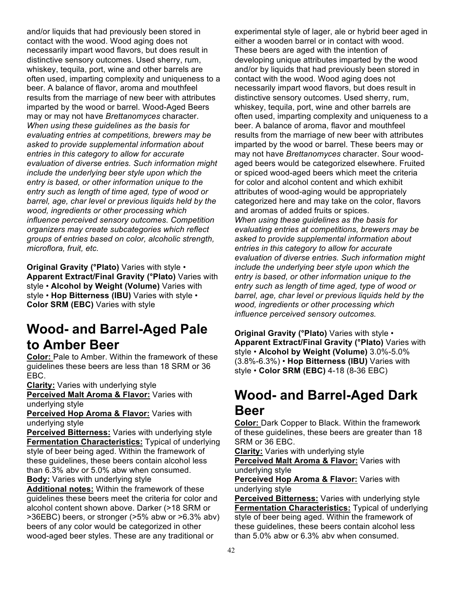and/or liquids that had previously been stored in contact with the wood. Wood aging does not necessarily impart wood flavors, but does result in distinctive sensory outcomes. Used sherry, rum, whiskey, tequila, port, wine and other barrels are often used, imparting complexity and uniqueness to a beer. A balance of flavor, aroma and mouthfeel results from the marriage of new beer with attributes imparted by the wood or barrel. Wood-Aged Beers may or may not have *Brettanomyces* character. *When using these guidelines as the basis for evaluating entries at competitions, brewers may be asked to provide supplemental information about entries in this category to allow for accurate evaluation of diverse entries. Such information might include the underlying beer style upon which the entry is based, or other information unique to the entry such as length of time aged, type of wood or barrel, age, char level or previous liquids held by the wood, ingredients or other processing which influence perceived sensory outcomes. Competition organizers may create subcategories which reflect groups of entries based on color, alcoholic strength, microflora, fruit, etc.*

**Original Gravity (°Plato)** Varies with style • **Apparent Extract/Final Gravity (°Plato)** Varies with style • **Alcohol by Weight (Volume)** Varies with style • **Hop Bitterness (IBU)** Varies with style • **Color SRM (EBC)** Varies with style

#### **Wood- and Barrel-Aged Pale to Amber Beer**

**Color:** Pale to Amber. Within the framework of these guidelines these beers are less than 18 SRM or 36 EBC.

**Clarity:** Varies with underlying style

**Perceived Malt Aroma & Flavor:** Varies with underlying style

**Perceived Hop Aroma & Flavor:** Varies with underlying style

**Perceived Bitterness:** Varies with underlying style **Fermentation Characteristics:** Typical of underlying style of beer being aged. Within the framework of these guidelines, these beers contain alcohol less than 6.3% abv or 5.0% abw when consumed. **Body:** Varies with underlying style

**Additional notes:** Within the framework of these guidelines these beers meet the criteria for color and alcohol content shown above. Darker (>18 SRM or >36EBC) beers, or stronger (>5% abw or >6.3% abv) beers of any color would be categorized in other wood-aged beer styles. These are any traditional or

experimental style of lager, ale or hybrid beer aged in either a wooden barrel or in contact with wood. These beers are aged with the intention of developing unique attributes imparted by the wood and/or by liquids that had previously been stored in contact with the wood. Wood aging does not necessarily impart wood flavors, but does result in distinctive sensory outcomes. Used sherry, rum, whiskey, tequila, port, wine and other barrels are often used, imparting complexity and uniqueness to a beer. A balance of aroma, flavor and mouthfeel results from the marriage of new beer with attributes imparted by the wood or barrel. These beers may or may not have *Brettanomyces* character. Sour woodaged beers would be categorized elsewhere. Fruited or spiced wood-aged beers which meet the criteria for color and alcohol content and which exhibit attributes of wood-aging would be appropriately categorized here and may take on the color, flavors and aromas of added fruits or spices. *When using these guidelines as the basis for evaluating entries at competitions, brewers may be asked to provide supplemental information about entries in this category to allow for accurate evaluation of diverse entries. Such information might include the underlying beer style upon which the entry is based, or other information unique to the entry such as length of time aged, type of wood or barrel, age, char level or previous liquids held by the wood, ingredients or other processing which influence perceived sensory outcomes.*

**Original Gravity (°Plato)** Varies with style • **Apparent Extract/Final Gravity (°Plato)** Varies with style • **Alcohol by Weight (Volume)** 3.0%-5.0% (3.8%-6.3%) • **Hop Bitterness (IBU)** Varies with style • **Color SRM (EBC)** 4-18 (8-36 EBC)

#### **Wood- and Barrel-Aged Dark Beer**

**Color:** Dark Copper to Black. Within the framework of these guidelines, these beers are greater than 18 SRM or 36 EBC.

**Clarity:** Varies with underlying style

**Perceived Malt Aroma & Flavor:** Varies with underlying style

#### **Perceived Hop Aroma & Flavor:** Varies with underlying style

**Perceived Bitterness:** Varies with underlying style **Fermentation Characteristics:** Typical of underlying style of beer being aged. Within the framework of these guidelines, these beers contain alcohol less than 5.0% abw or 6.3% abv when consumed.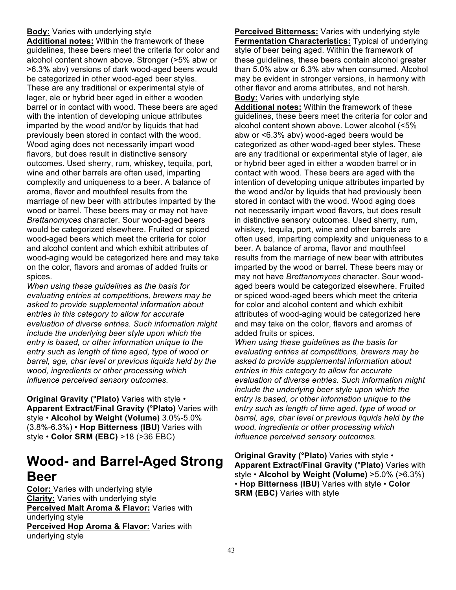#### **Body:** Varies with underlying style

**Additional notes:** Within the framework of these guidelines, these beers meet the criteria for color and alcohol content shown above. Stronger (>5% abw or >6.3% abv) versions of dark wood-aged beers would be categorized in other wood-aged beer styles. These are any traditional or experimental style of lager, ale or hybrid beer aged in either a wooden barrel or in contact with wood. These beers are aged with the intention of developing unique attributes imparted by the wood and/or by liquids that had previously been stored in contact with the wood. Wood aging does not necessarily impart wood flavors, but does result in distinctive sensory outcomes. Used sherry, rum, whiskey, tequila, port, wine and other barrels are often used, imparting complexity and uniqueness to a beer. A balance of aroma, flavor and mouthfeel results from the marriage of new beer with attributes imparted by the wood or barrel. These beers may or may not have *Brettanomyces* character. Sour wood-aged beers would be categorized elsewhere. Fruited or spiced wood-aged beers which meet the criteria for color and alcohol content and which exhibit attributes of wood-aging would be categorized here and may take on the color, flavors and aromas of added fruits or spices.

*When using these guidelines as the basis for evaluating entries at competitions, brewers may be asked to provide supplemental information about entries in this category to allow for accurate evaluation of diverse entries. Such information might include the underlying beer style upon which the entry is based, or other information unique to the entry such as length of time aged, type of wood or barrel, age, char level or previous liquids held by the wood, ingredients or other processing which influence perceived sensory outcomes.*

**Original Gravity (°Plato)** Varies with style • **Apparent Extract/Final Gravity (°Plato)** Varies with style • **Alcohol by Weight (Volume)** 3.0%-5.0% (3.8%-6.3%) • **Hop Bitterness (IBU)** Varies with style • **Color SRM (EBC)** >18 (>36 EBC)

#### **Wood- and Barrel-Aged Strong Beer**

**Color:** Varies with underlying style **Clarity:** Varies with underlying style **Perceived Malt Aroma & Flavor:** Varies with underlying style **Perceived Hop Aroma & Flavor:** Varies with underlying style

**Perceived Bitterness:** Varies with underlying style **Fermentation Characteristics:** Typical of underlying style of beer being aged. Within the framework of these guidelines, these beers contain alcohol greater than 5.0% abw or 6.3% abv when consumed. Alcohol may be evident in stronger versions, in harmony with other flavor and aroma attributes, and not harsh. **Body:** Varies with underlying style

**Additional notes:** Within the framework of these guidelines, these beers meet the criteria for color and alcohol content shown above. Lower alcohol (<5% abw or <6.3% abv) wood-aged beers would be categorized as other wood-aged beer styles. These are any traditional or experimental style of lager, ale or hybrid beer aged in either a wooden barrel or in contact with wood. These beers are aged with the intention of developing unique attributes imparted by the wood and/or by liquids that had previously been stored in contact with the wood. Wood aging does not necessarily impart wood flavors, but does result in distinctive sensory outcomes. Used sherry, rum, whiskey, tequila, port, wine and other barrels are often used, imparting complexity and uniqueness to a beer. A balance of aroma, flavor and mouthfeel results from the marriage of new beer with attributes imparted by the wood or barrel. These beers may or may not have *Brettanomyces* character. Sour woodaged beers would be categorized elsewhere. Fruited or spiced wood-aged beers which meet the criteria for color and alcohol content and which exhibit attributes of wood-aging would be categorized here and may take on the color, flavors and aromas of added fruits or spices.

*When using these guidelines as the basis for evaluating entries at competitions, brewers may be asked to provide supplemental information about entries in this category to allow for accurate evaluation of diverse entries. Such information might include the underlying beer style upon which the entry is based, or other information unique to the entry such as length of time aged, type of wood or barrel, age, char level or previous liquids held by the wood, ingredients or other processing which influence perceived sensory outcomes.*

**Original Gravity (°Plato)** Varies with style • **Apparent Extract/Final Gravity (°Plato)** Varies with style • **Alcohol by Weight (Volume)** >5.0% (>6.3%) • **Hop Bitterness (IBU)** Varies with style • **Color SRM (EBC)** Varies with style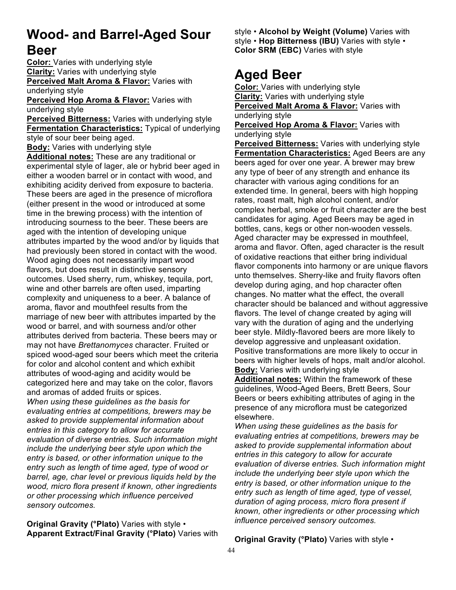### **Wood- and Barrel-Aged Sour Beer**

**Color:** Varies with underlying style **Clarity:** Varies with underlying style **Perceived Malt Aroma & Flavor:** Varies with

underlying style

**Perceived Hop Aroma & Flavor:** Varies with underlying style

**Perceived Bitterness:** Varies with underlying style **Fermentation Characteristics:** Typical of underlying style of sour beer being aged.

**Body:** Varies with underlying style

**Additional notes:** These are any traditional or experimental style of lager, ale or hybrid beer aged in either a wooden barrel or in contact with wood, and exhibiting acidity derived from exposure to bacteria. These beers are aged in the presence of microflora (either present in the wood or introduced at some time in the brewing process) with the intention of introducing sourness to the beer. These beers are aged with the intention of developing unique attributes imparted by the wood and/or by liquids that had previously been stored in contact with the wood. Wood aging does not necessarily impart wood flavors, but does result in distinctive sensory outcomes. Used sherry, rum, whiskey, tequila, port, wine and other barrels are often used, imparting complexity and uniqueness to a beer. A balance of aroma, flavor and mouthfeel results from the marriage of new beer with attributes imparted by the wood or barrel, and with sourness and/or other attributes derived from bacteria. These beers may or may not have *Brettanomyces* character. Fruited or spiced wood-aged sour beers which meet the criteria for color and alcohol content and which exhibit attributes of wood-aging and acidity would be categorized here and may take on the color, flavors and aromas of added fruits or spices. *When using these guidelines as the basis for evaluating entries at competitions, brewers may be asked to provide supplemental information about entries in this category to allow for accurate evaluation of diverse entries. Such information might include the underlying beer style upon which the entry is based, or other information unique to the entry such as length of time aged, type of wood or barrel, age, char level or previous liquids held by the wood, micro flora present if known, other ingredients or other processing which influence perceived sensory outcomes.*

**Original Gravity (°Plato)** Varies with style • **Apparent Extract/Final Gravity (°Plato)** Varies with style • **Alcohol by Weight (Volume)** Varies with style • **Hop Bitterness (IBU)** Varies with style • **Color SRM (EBC)** Varies with style

#### **Aged Beer**

**Color:** Varies with underlying style **Clarity:** Varies with underlying style **Perceived Malt Aroma & Flavor:** Varies with underlying style

**Perceived Hop Aroma & Flavor:** Varies with underlying style

**Perceived Bitterness:** Varies with underlying style **Fermentation Characteristics:** Aged Beers are any beers aged for over one year. A brewer may brew any type of beer of any strength and enhance its character with various aging conditions for an extended time. In general, beers with high hopping rates, roast malt, high alcohol content, and/or complex herbal, smoke or fruit character are the best candidates for aging. Aged Beers may be aged in bottles, cans, kegs or other non-wooden vessels. Aged character may be expressed in mouthfeel, aroma and flavor. Often, aged character is the result of oxidative reactions that either bring individual flavor components into harmony or are unique flavors unto themselves. Sherry-like and fruity flavors often develop during aging, and hop character often changes. No matter what the effect, the overall character should be balanced and without aggressive flavors. The level of change created by aging will vary with the duration of aging and the underlying beer style. Mildly-flavored beers are more likely to develop aggressive and unpleasant oxidation. Positive transformations are more likely to occur in beers with higher levels of hops, malt and/or alcohol. **Body:** Varies with underlying style

**Additional notes:** Within the framework of these guidelines, Wood-Aged Beers, Brett Beers, Sour Beers or beers exhibiting attributes of aging in the presence of any microflora must be categorized elsewhere.

*When using these guidelines as the basis for evaluating entries at competitions, brewers may be asked to provide supplemental information about entries in this category to allow for accurate evaluation of diverse entries. Such information might include the underlying beer style upon which the entry is based, or other information unique to the entry such as length of time aged, type of vessel, duration of aging process, micro flora present if known, other ingredients or other processing which influence perceived sensory outcomes.*

**Original Gravity (°Plato)** Varies with style •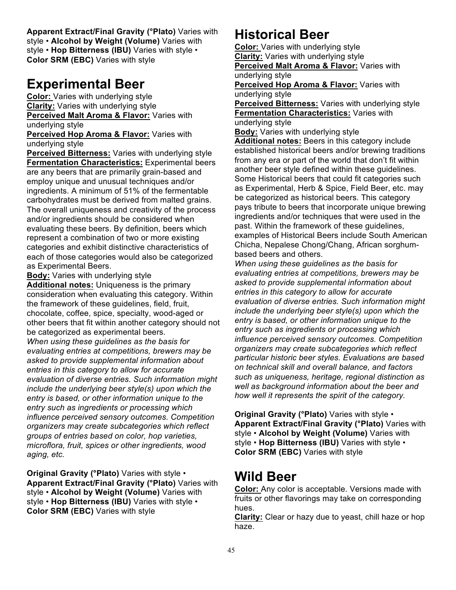**Apparent Extract/Final Gravity (°Plato)** Varies with style • **Alcohol by Weight (Volume)** Varies with style • **Hop Bitterness (IBU)** Varies with style • **Color SRM (EBC)** Varies with style

### **Experimental Beer**

**Color:** Varies with underlying style **Clarity:** Varies with underlying style **Perceived Malt Aroma & Flavor:** Varies with underlying style

**Perceived Hop Aroma & Flavor:** Varies with underlying style

**Perceived Bitterness:** Varies with underlying style **Fermentation Characteristics:** Experimental beers are any beers that are primarily grain-based and employ unique and unusual techniques and/or ingredients. A minimum of 51% of the fermentable carbohydrates must be derived from malted grains. The overall uniqueness and creativity of the process and/or ingredients should be considered when evaluating these beers. By definition, beers which represent a combination of two or more existing categories and exhibit distinctive characteristics of each of those categories would also be categorized as Experimental Beers.

**Body:** Varies with underlying style

**Additional notes:** Uniqueness is the primary consideration when evaluating this category. Within the framework of these guidelines, field, fruit, chocolate, coffee, spice, specialty, wood-aged or other beers that fit within another category should not be categorized as experimental beers. *When using these guidelines as the basis for evaluating entries at competitions, brewers may be asked to provide supplemental information about entries in this category to allow for accurate evaluation of diverse entries. Such information might include the underlying beer style(s) upon which the entry is based, or other information unique to the entry such as ingredients or processing which influence perceived sensory outcomes. Competition organizers may create subcategories which reflect* 

*groups of entries based on color, hop varieties, microflora, fruit, spices or other ingredients, wood aging, etc.*

**Original Gravity (°Plato)** Varies with style • **Apparent Extract/Final Gravity (°Plato)** Varies with style • **Alcohol by Weight (Volume)** Varies with style • **Hop Bitterness (IBU)** Varies with style • **Color SRM (EBC)** Varies with style

### **Historical Beer**

**Color:** Varies with underlying style **Clarity:** Varies with underlying style **Perceived Malt Aroma & Flavor:** Varies with underlying style

**Perceived Hop Aroma & Flavor:** Varies with underlying style

**Perceived Bitterness:** Varies with underlying style **Fermentation Characteristics:** Varies with underlying style

**Body:** Varies with underlying style

**Additional notes:** Beers in this category include established historical beers and/or brewing traditions from any era or part of the world that don't fit within another beer style defined within these guidelines. Some Historical beers that could fit categories such as Experimental, Herb & Spice, Field Beer, etc. may be categorized as historical beers. This category pays tribute to beers that incorporate unique brewing ingredients and/or techniques that were used in the past. Within the framework of these guidelines, examples of Historical Beers include South American Chicha, Nepalese Chong/Chang, African sorghumbased beers and others.

*When using these guidelines as the basis for evaluating entries at competitions, brewers may be asked to provide supplemental information about entries in this category to allow for accurate evaluation of diverse entries. Such information might include the underlying beer style(s) upon which the entry is based, or other information unique to the entry such as ingredients or processing which influence perceived sensory outcomes. Competition organizers may create subcategories which reflect particular historic beer styles. Evaluations are based on technical skill and overall balance, and factors such as uniqueness, heritage, regional distinction as well as background information about the beer and how well it represents the spirit of the category.*

**Original Gravity (°Plato)** Varies with style • **Apparent Extract/Final Gravity (°Plato)** Varies with style • **Alcohol by Weight (Volume)** Varies with style • **Hop Bitterness (IBU)** Varies with style • **Color SRM (EBC)** Varies with style

# **Wild Beer**

**Color:** Any color is acceptable. Versions made with fruits or other flavorings may take on corresponding hues.

**Clarity:** Clear or hazy due to yeast, chill haze or hop haze.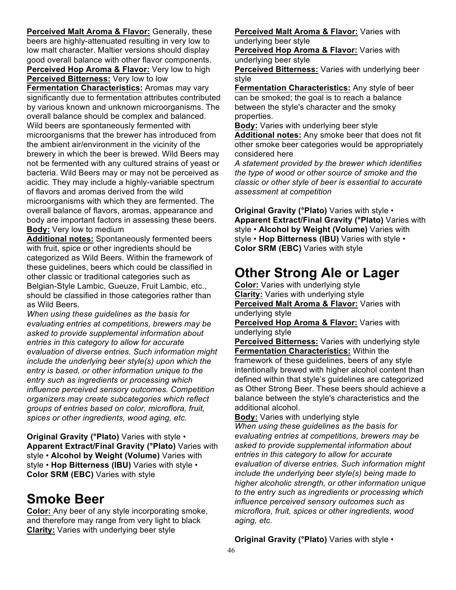**Perceived Malt Aroma & Flavor:** Generally, these beers are highly-attenuated resulting in very low to low malt character. Maltier versions should display good overall balance with other flavor components. **Perceived Hop Aroma & Flavor:** Very low to high **Perceived Bitterness:** Very low to low

**Fermentation Characteristics:** Aromas may vary significantly due to fermentation attributes contributed by various known and unknown microorganisms. The overall balance should be complex and balanced. Wild beers are spontaneously fermented with microorganisms that the brewer has introduced from the ambient air/environment in the vicinity of the brewery in which the beer is brewed. Wild Beers may not be fermented with any cultured strains of yeast or bacteria. Wild Beers may or may not be perceived as acidic. They may include a highly-variable spectrum of flavors and aromas derived from the wild microorganisms with which they are fermented. The overall balance of flavors, aromas, appearance and body are important factors in assessing these beers. **Body:** Very low to medium

**Additional notes:** Spontaneously fermented beers with fruit, spice or other ingredients should be categorized as Wild Beers. Within the framework of these guidelines, beers which could be classified in other classic or traditional categories such as Belgian-Style Lambic, Gueuze, Fruit Lambic, etc., should be classified in those categories rather than as Wild Beers.

*When using these guidelines as the basis for evaluating entries at competitions, brewers may be asked to provide supplemental information about entries in this category to allow for accurate evaluation of diverse entries. Such information might include the underlying beer style(s) upon which the entry is based, or other information unique to the entry such as ingredients or processing which influence perceived sensory outcomes. Competition organizers may create subcategories which reflect groups of entries based on color, microflora, fruit, spices or other ingredients, wood aging, etc.*

**Original Gravity (°Plato)** Varies with style • **Apparent Extract/Final Gravity (°Plato)** Varies with style • **Alcohol by Weight (Volume)** Varies with style • **Hop Bitterness (IBU)** Varies with style • **Color SRM (EBC)** Varies with style

#### **Smoke Beer**

**Color:** Any beer of any style incorporating smoke, and therefore may range from very light to black **Clarity:** Varies with underlying beer style

**Perceived Malt Aroma & Flavor:** Varies with underlying beer style

**Perceived Hop Aroma & Flavor:** Varies with underlying beer style

**Perceived Bitterness:** Varies with underlying beer style

**Fermentation Characteristics:** Any style of beer can be smoked; the goal is to reach a balance between the style's character and the smoky properties.

**Body:** Varies with underlying beer style **Additional notes:** Any smoke beer that does not fit other smoke beer categories would be appropriately considered here

*A statement provided by the brewer which identifies the type of wood or other source of smoke and the classic or other style of beer is essential to accurate assessment at competition*

**Original Gravity (°Plato)** Varies with style • **Apparent Extract/Final Gravity (°Plato)** Varies with style • **Alcohol by Weight (Volume)** Varies with style • **Hop Bitterness (IBU)** Varies with style • **Color SRM (EBC)** Varies with style

# **Other Strong Ale or Lager**

**Color:** Varies with underlying style **Clarity:** Varies with underlying style **Perceived Malt Aroma & Flavor:** Varies with underlying style

**Perceived Hop Aroma & Flavor:** Varies with underlying style

**Perceived Bitterness:** Varies with underlying style **Fermentation Characteristics:** Within the framework of these guidelines, beers of any style intentionally brewed with higher alcohol content than defined within that style's guidelines are categorized as Other Strong Beer. These beers should achieve a balance between the style's characteristics and the additional alcohol.

**Body:** Varies with underlying style *When using these guidelines as the basis for evaluating entries at competitions, brewers may be asked to provide supplemental information about entries in this category to allow for accurate evaluation of diverse entries. Such information might include the underlying beer style(s) being made to higher alcoholic strength, or other information unique to the entry such as ingredients or processing which influence perceived sensory outcomes such as microflora, fruit, spices or other ingredients, wood aging, etc.*

**Original Gravity (°Plato)** Varies with style •